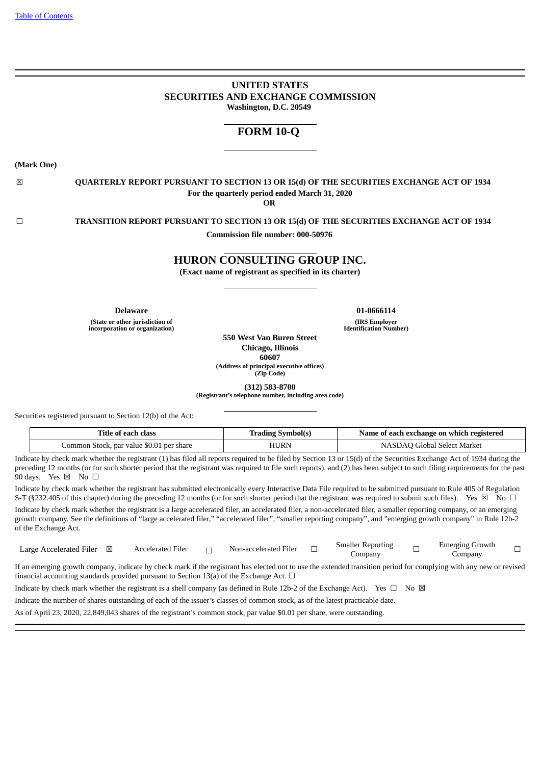## **UNITED STATES SECURITIES AND EXCHANGE COMMISSION Washington, D.C. 20549**

# **FORM 10-Q**

**(Mark One)**

# ☒ **QUARTERLY REPORT PURSUANT TO SECTION 13 OR 15(d) OF THE SECURITIES EXCHANGE ACT OF 1934 For the quarterly period ended March 31, 2020**

**OR**

☐ **TRANSITION REPORT PURSUANT TO SECTION 13 OR 15(d) OF THE SECURITIES EXCHANGE ACT OF 1934**

**Commission file number: 000-50976**

# **HURON CONSULTING GROUP INC.**

**(Exact name of registrant as specified in its charter)**

**Delaware 01-0666114 (State or other jurisdiction of incorporation or organization)**

**(IRS Employer Identification Number)**

**550 West Van Buren Street Chicago, Illinois 60607 (Address of principal executive offices) (Zip Code)**

**(312) 583-8700**

**(Registrant's telephone number, including area code)**

Securities registered pursuant to Section 12(b) of the Act:

| <b>Title of each class</b>               | Trading Symbol(s) | Name ot each exchange on which registered |
|------------------------------------------|-------------------|-------------------------------------------|
| Common Stock, par value \$0.01 per share | HURN              | NASDAO Global Select Market               |

Indicate by check mark whether the registrant (1) has filed all reports required to be filed by Section 13 or 15(d) of the Securities Exchange Act of 1934 during the preceding 12 months (or for such shorter period that the registrant was required to file such reports), and (2) has been subject to such filing requirements for the past 90 days. Yes  $\boxtimes$  No  $\Box$ 

Indicate by check mark whether the registrant has submitted electronically every Interactive Data File required to be submitted pursuant to Rule 405 of Regulation S-T (§232.405 of this chapter) during the preceding 12 months (or for such shorter period that the registrant was required to submit such files). Yes ⊠ No □ Indicate by check mark whether the registrant is a large accelerated filer, an accelerated filer, a non-accelerated filer, a smaller reporting company, or an emerging growth company. See the definitions of "large accelerated filer," "accelerated filer", "smaller reporting company", and "emerging growth company" in Rule 12b-2 of the Exchange Act.

| Large Accelerated Filer                                                                                                                                                                                                                                              | ⊠ | Accelerated Filer | Non-accelerated Filer | <b>Smaller Reporting</b><br>Company |      | <b>Emerging Growth</b><br>Company | $\Box$ |
|----------------------------------------------------------------------------------------------------------------------------------------------------------------------------------------------------------------------------------------------------------------------|---|-------------------|-----------------------|-------------------------------------|------|-----------------------------------|--------|
| If an emerging growth company, indicate by check mark if the registrant has elected not to use the extended transition period for complying with any new or revised<br>financial accounting standards provided pursuant to Section 13(a) of the Exchange Act. $\Box$ |   |                   |                       |                                     |      |                                   |        |
| Indicate by check mark whether the registrant is a shell company (as defined in Rule 12b-2 of the Exchange Act).                                                                                                                                                     |   |                   |                       | Yes $\Box$                          | No ⊠ |                                   |        |

Indicate the number of shares outstanding of each of the issuer's classes of common stock, as of the latest practicable date.

As of April 23, 2020, 22,849,043 shares of the registrant's common stock, par value \$0.01 per share, were outstanding.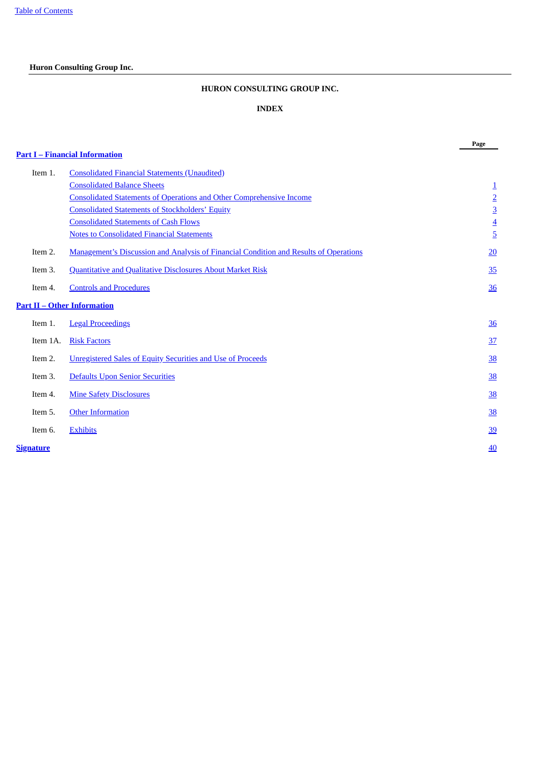<span id="page-1-0"></span>**Huron Consulting Group Inc.**

# **HURON CONSULTING GROUP INC.**

# **INDEX**

|                  |                                                                                       | Page           |
|------------------|---------------------------------------------------------------------------------------|----------------|
|                  | <u> Part I – Financial Information</u>                                                |                |
| Item 1.          | <b>Consolidated Financial Statements (Unaudited)</b>                                  |                |
|                  | <b>Consolidated Balance Sheets</b>                                                    | $\overline{1}$ |
|                  | <b>Consolidated Statements of Operations and Other Comprehensive Income</b>           | $\overline{2}$ |
|                  | <b>Consolidated Statements of Stockholders' Equity</b>                                | $\overline{3}$ |
|                  | <b>Consolidated Statements of Cash Flows</b>                                          | $\overline{4}$ |
|                  | <b>Notes to Consolidated Financial Statements</b>                                     | $\overline{5}$ |
| Item 2.          | Management's Discussion and Analysis of Financial Condition and Results of Operations | 20             |
| Item 3.          | <b>Quantitative and Qualitative Disclosures About Market Risk</b>                     | 35             |
| Item 4.          | <b>Controls and Procedures</b>                                                        | 36             |
|                  | <b>Part II – Other Information</b>                                                    |                |
| Item 1.          | <b>Legal Proceedings</b>                                                              | 36             |
| Item 1A.         | <b>Risk Factors</b>                                                                   | 37             |
| Item 2.          | <b>Unregistered Sales of Equity Securities and Use of Proceeds</b>                    | <u>38</u>      |
| Item 3.          | <b>Defaults Upon Senior Securities</b>                                                | <u>38</u>      |
| Item 4.          | <b>Mine Safety Disclosures</b>                                                        | 38             |
| Item 5.          | <b>Other Information</b>                                                              | <u>38</u>      |
| Item 6.          | <b>Exhibits</b>                                                                       | 39             |
| <b>Signature</b> |                                                                                       | 40             |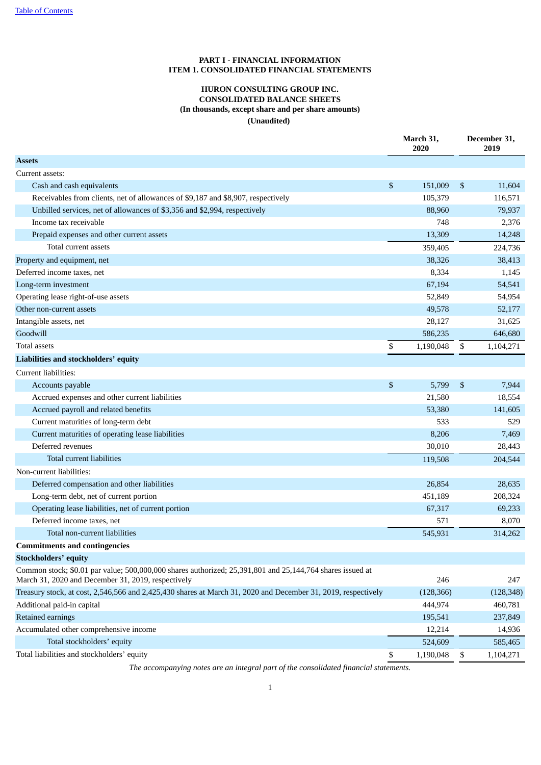# **PART I - FINANCIAL INFORMATION ITEM 1. CONSOLIDATED FINANCIAL STATEMENTS**

## **HURON CONSULTING GROUP INC. CONSOLIDATED BALANCE SHEETS (In thousands, except share and per share amounts) (Unaudited)**

<span id="page-2-2"></span><span id="page-2-1"></span><span id="page-2-0"></span>

|                                                                                                                                                                 | March 31,<br>2020 |    | December 31,<br>2019 |
|-----------------------------------------------------------------------------------------------------------------------------------------------------------------|-------------------|----|----------------------|
| <b>Assets</b>                                                                                                                                                   |                   |    |                      |
| Current assets:                                                                                                                                                 |                   |    |                      |
| Cash and cash equivalents                                                                                                                                       | \$<br>151,009     | \$ | 11,604               |
| Receivables from clients, net of allowances of \$9,187 and \$8,907, respectively                                                                                | 105,379           |    | 116,571              |
| Unbilled services, net of allowances of \$3,356 and \$2,994, respectively                                                                                       | 88,960            |    | 79,937               |
| Income tax receivable                                                                                                                                           | 748               |    | 2,376                |
| Prepaid expenses and other current assets                                                                                                                       | 13,309            |    | 14,248               |
| Total current assets                                                                                                                                            | 359,405           |    | 224,736              |
| Property and equipment, net                                                                                                                                     | 38,326            |    | 38,413               |
| Deferred income taxes, net                                                                                                                                      | 8,334             |    | 1,145                |
| Long-term investment                                                                                                                                            | 67,194            |    | 54,541               |
| Operating lease right-of-use assets                                                                                                                             | 52,849            |    | 54,954               |
| Other non-current assets                                                                                                                                        | 49,578            |    | 52,177               |
| Intangible assets, net                                                                                                                                          | 28,127            |    | 31,625               |
| Goodwill                                                                                                                                                        | 586,235           |    | 646,680              |
| <b>Total assets</b>                                                                                                                                             | \$<br>1,190,048   | \$ | 1,104,271            |
| Liabilities and stockholders' equity                                                                                                                            |                   |    |                      |
| Current liabilities:                                                                                                                                            |                   |    |                      |
| Accounts payable                                                                                                                                                | \$<br>5,799       | \$ | 7,944                |
| Accrued expenses and other current liabilities                                                                                                                  | 21,580            |    | 18,554               |
| Accrued payroll and related benefits                                                                                                                            | 53,380            |    | 141,605              |
| Current maturities of long-term debt                                                                                                                            | 533               |    | 529                  |
| Current maturities of operating lease liabilities                                                                                                               | 8,206             |    | 7,469                |
| Deferred revenues                                                                                                                                               | 30,010            |    | 28,443               |
| Total current liabilities                                                                                                                                       | 119,508           |    | 204,544              |
| Non-current liabilities:                                                                                                                                        |                   |    |                      |
| Deferred compensation and other liabilities                                                                                                                     | 26,854            |    | 28,635               |
| Long-term debt, net of current portion                                                                                                                          | 451,189           |    | 208,324              |
| Operating lease liabilities, net of current portion                                                                                                             | 67,317            |    | 69,233               |
| Deferred income taxes, net                                                                                                                                      | 571               |    | 8,070                |
| Total non-current liabilities                                                                                                                                   | 545,931           |    | 314,262              |
| <b>Commitments and contingencies</b>                                                                                                                            |                   |    |                      |
| <b>Stockholders' equity</b>                                                                                                                                     |                   |    |                      |
| Common stock; \$0.01 par value; 500,000,000 shares authorized; 25,391,801 and 25,144,764 shares issued at<br>March 31, 2020 and December 31, 2019, respectively | 246               |    | 247                  |
| Treasury stock, at cost, 2,546,566 and 2,425,430 shares at March 31, 2020 and December 31, 2019, respectively                                                   | (128, 366)        |    | (128, 348)           |
| Additional paid-in capital                                                                                                                                      | 444,974           |    | 460,781              |
| Retained earnings                                                                                                                                               | 195,541           |    | 237,849              |
| Accumulated other comprehensive income                                                                                                                          | 12,214            |    | 14,936               |
| Total stockholders' equity                                                                                                                                      | 524,609           |    | 585,465              |
| Total liabilities and stockholders' equity                                                                                                                      | \$<br>1,190,048   | \$ | 1,104,271            |

*The accompanying notes are an integral part of the consolidated financial statements.*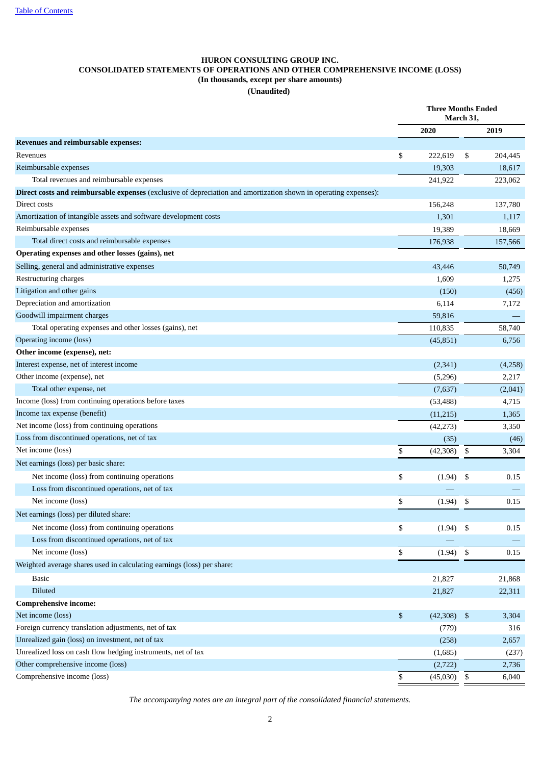# <span id="page-3-0"></span>**HURON CONSULTING GROUP INC. CONSOLIDATED STATEMENTS OF OPERATIONS AND OTHER COMPREHENSIVE INCOME (LOSS) (In thousands, except per share amounts) (Unaudited)**

|                                                                                                                  | <b>Three Months Ended</b><br>March 31, |               |    |         |
|------------------------------------------------------------------------------------------------------------------|----------------------------------------|---------------|----|---------|
|                                                                                                                  |                                        | 2020          |    | 2019    |
| Revenues and reimbursable expenses:                                                                              |                                        |               |    |         |
| Revenues                                                                                                         | \$                                     | 222,619       | \$ | 204,445 |
| Reimbursable expenses                                                                                            |                                        | 19,303        |    | 18,617  |
| Total revenues and reimbursable expenses                                                                         |                                        | 241,922       |    | 223,062 |
| Direct costs and reimbursable expenses (exclusive of depreciation and amortization shown in operating expenses): |                                        |               |    |         |
| Direct costs                                                                                                     |                                        | 156,248       |    | 137,780 |
| Amortization of intangible assets and software development costs                                                 |                                        | 1,301         |    | 1,117   |
| Reimbursable expenses                                                                                            |                                        | 19,389        |    | 18,669  |
| Total direct costs and reimbursable expenses                                                                     |                                        | 176,938       |    | 157,566 |
| Operating expenses and other losses (gains), net                                                                 |                                        |               |    |         |
| Selling, general and administrative expenses                                                                     |                                        | 43,446        |    | 50,749  |
| Restructuring charges                                                                                            |                                        | 1,609         |    | 1,275   |
| Litigation and other gains                                                                                       |                                        | (150)         |    | (456)   |
| Depreciation and amortization                                                                                    |                                        | 6,114         |    | 7,172   |
| Goodwill impairment charges                                                                                      |                                        | 59,816        |    |         |
| Total operating expenses and other losses (gains), net                                                           |                                        | 110,835       |    | 58,740  |
| Operating income (loss)                                                                                          |                                        | (45, 851)     |    | 6,756   |
| Other income (expense), net:                                                                                     |                                        |               |    |         |
| Interest expense, net of interest income                                                                         |                                        | (2,341)       |    | (4,258) |
| Other income (expense), net                                                                                      |                                        | (5,296)       |    | 2,217   |
| Total other expense, net                                                                                         |                                        | (7,637)       |    | (2,041) |
| Income (loss) from continuing operations before taxes                                                            |                                        | (53, 488)     |    | 4,715   |
| Income tax expense (benefit)                                                                                     |                                        | (11,215)      |    | 1,365   |
| Net income (loss) from continuing operations                                                                     |                                        | (42, 273)     |    | 3,350   |
| Loss from discontinued operations, net of tax                                                                    |                                        | (35)          |    | (46)    |
| Net income (loss)                                                                                                | \$                                     | (42,308)      | \$ | 3,304   |
| Net earnings (loss) per basic share:                                                                             |                                        |               |    |         |
| Net income (loss) from continuing operations                                                                     | \$                                     | (1.94)        | \$ | 0.15    |
| Loss from discontinued operations, net of tax                                                                    |                                        |               |    |         |
| Net income (loss)                                                                                                | \$                                     | (1.94)        | \$ | 0.15    |
| Net earnings (loss) per diluted share:                                                                           |                                        |               |    |         |
| Net income (loss) from continuing operations                                                                     | \$                                     | (1.94)        | \$ | 0.15    |
| Loss from discontinued operations, net of tax                                                                    |                                        |               |    |         |
| Net income (loss)                                                                                                | \$                                     | (1.94)        | \$ | 0.15    |
| Weighted average shares used in calculating earnings (loss) per share:                                           |                                        |               |    |         |
| <b>Basic</b>                                                                                                     |                                        | 21,827        |    | 21,868  |
| Diluted                                                                                                          |                                        | 21,827        |    | 22,311  |
| <b>Comprehensive income:</b>                                                                                     |                                        |               |    |         |
| Net income (loss)                                                                                                | $\boldsymbol{\mathsf{S}}$              | $(42,308)$ \$ |    | 3,304   |
| Foreign currency translation adjustments, net of tax                                                             |                                        | (779)         |    | 316     |
| Unrealized gain (loss) on investment, net of tax                                                                 |                                        | (258)         |    | 2,657   |
| Unrealized loss on cash flow hedging instruments, net of tax                                                     |                                        | (1,685)       |    | (237)   |
| Other comprehensive income (loss)                                                                                |                                        | (2, 722)      |    | 2,736   |
| Comprehensive income (loss)                                                                                      | \$                                     | (45,030)      | \$ | 6,040   |

*The accompanying notes are an integral part of the consolidated financial statements.*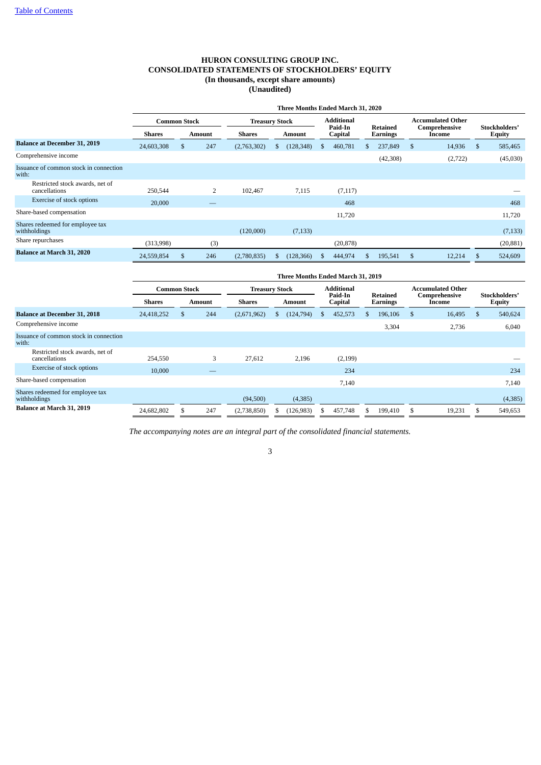**Balance at March 31, 2019**

## **HURON CONSULTING GROUP INC. CONSOLIDATED STATEMENTS OF STOCKHOLDERS' EQUITY (In thousands, except share amounts) (Unaudited)**

<span id="page-4-0"></span>

|                                                  | Three Months Ended March 31, 2020                                                               |                |               |                       |              |                                   |              |                              |                                           |                 |               |                                           |                |               |
|--------------------------------------------------|-------------------------------------------------------------------------------------------------|----------------|---------------|-----------------------|--------------|-----------------------------------|--------------|------------------------------|-------------------------------------------|-----------------|---------------|-------------------------------------------|----------------|---------------|
|                                                  | <b>Additional</b><br><b>Common Stock</b><br><b>Treasury Stock</b><br>Paid-In<br><b>Retained</b> |                |               |                       |              |                                   |              |                              | <b>Accumulated Other</b><br>Comprehensive |                 | Stockholders' |                                           |                |               |
|                                                  | <b>Shares</b>                                                                                   |                | <b>Amount</b> | <b>Shares</b>         |              | <b>Amount</b>                     |              | Capital                      |                                           | <b>Earnings</b> |               | Income                                    |                | <b>Equity</b> |
| <b>Balance at December 31, 2019</b>              | 24,603,308                                                                                      | $\mathfrak{S}$ | 247           | (2,763,302)           | $\mathbb{S}$ | (128, 348)                        | $\mathbb{S}$ | 460,781                      | <sup>\$</sup>                             | 237,849         | $\mathbb{S}$  | 14,936                                    | $\mathfrak{S}$ | 585,465       |
| Comprehensive income                             |                                                                                                 |                |               |                       |              |                                   |              |                              |                                           | (42,308)        |               | (2,722)                                   |                | (45,030)      |
| Issuance of common stock in connection<br>with:  |                                                                                                 |                |               |                       |              |                                   |              |                              |                                           |                 |               |                                           |                |               |
| Restricted stock awards, net of<br>cancellations | 250,544                                                                                         |                | 2             | 102,467               |              | 7,115                             |              | (7, 117)                     |                                           |                 |               |                                           |                |               |
| <b>Exercise of stock options</b>                 | 20,000                                                                                          |                |               |                       |              |                                   |              | 468                          |                                           |                 |               |                                           |                | 468           |
| Share-based compensation                         |                                                                                                 |                |               |                       |              |                                   |              | 11,720                       |                                           |                 |               |                                           |                | 11,720        |
| Shares redeemed for employee tax<br>withholdings |                                                                                                 |                |               | (120,000)             |              | (7, 133)                          |              |                              |                                           |                 |               |                                           |                | (7, 133)      |
| Share repurchases                                | (313,998)                                                                                       |                | (3)           |                       |              |                                   |              | (20, 878)                    |                                           |                 |               |                                           |                | (20, 881)     |
| Balance at March 31, 2020                        | 24,559,854                                                                                      | $\mathfrak{S}$ | 246           | (2,780,835)           | \$           | (128, 366)                        | \$           | 444,974                      | $\mathbb{S}$                              | 195,541         | $\mathbb{S}$  | 12,214                                    | $\mathfrak{s}$ | 524,609       |
|                                                  |                                                                                                 |                |               |                       |              |                                   |              |                              |                                           |                 |               |                                           |                |               |
|                                                  |                                                                                                 |                |               |                       |              | Three Months Ended March 31, 2019 |              |                              |                                           |                 |               |                                           |                |               |
|                                                  | <b>Common Stock</b>                                                                             |                |               | <b>Treasury Stock</b> |              |                                   |              | <b>Additional</b><br>Paid-In |                                           | <b>Retained</b> |               | <b>Accumulated Other</b><br>Comprehensive | Stockholders'  |               |
|                                                  | <b>Shares</b>                                                                                   |                | <b>Amount</b> | <b>Shares</b>         |              | <b>Amount</b>                     |              | Capital                      |                                           | <b>Earnings</b> |               | Income                                    |                | <b>Equity</b> |
| <b>Balance at December 31, 2018</b>              | 24,418,252                                                                                      | $\mathbb{S}$   | 244           | (2,671,962)           | \$           | (124, 794)                        | \$           | 452,573                      | \$                                        | 196,106         | \$            | 16,495                                    | $\mathfrak{s}$ | 540,624       |
| Comprehensive income                             |                                                                                                 |                |               |                       |              |                                   |              |                              |                                           | 3,304           |               | 2,736                                     |                | 6,040         |
| Issuance of common stock in connection<br>with:  |                                                                                                 |                |               |                       |              |                                   |              |                              |                                           |                 |               |                                           |                |               |
| Restricted stock awards, net of<br>cancellations | 254,550                                                                                         |                | 3             | 27,612                |              | 2,196                             |              | (2, 199)                     |                                           |                 |               |                                           |                |               |
| <b>Exercise of stock options</b>                 | 10,000                                                                                          |                |               |                       |              |                                   |              | 234                          |                                           |                 |               |                                           |                | 234           |
| Share-based compensation                         |                                                                                                 |                |               |                       |              |                                   |              | 7,140                        |                                           |                 |               |                                           |                | 7,140         |
| Shares redeemed for employee tax<br>withholdings |                                                                                                 |                |               | (94,500)              |              | (4, 385)                          |              |                              |                                           |                 |               |                                           |                | (4,385)       |

*The accompanying notes are an integral part of the consolidated financial statements.*

24,682,802 \$ 247 (2,738,850) \$ (126,983) \$ 457,748 \$ 199,410 \$ 19,231 \$ 549,653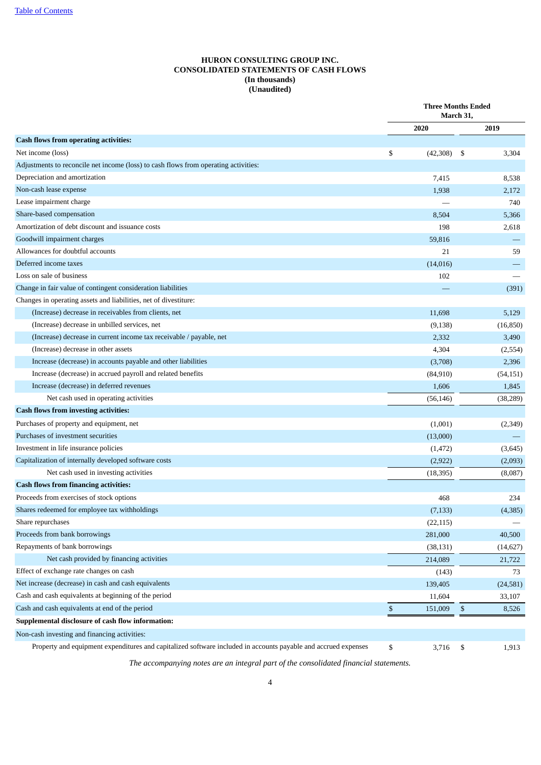## **HURON CONSULTING GROUP INC. CONSOLIDATED STATEMENTS OF CASH FLOWS (In thousands) (Unaudited)**

<span id="page-5-0"></span>

|                                                                                                                | <b>Three Months Ended</b><br>March 31. |           |      |              |
|----------------------------------------------------------------------------------------------------------------|----------------------------------------|-----------|------|--------------|
|                                                                                                                |                                        | 2020      |      | 2019         |
| <b>Cash flows from operating activities:</b>                                                                   |                                        |           |      |              |
| Net income (loss)                                                                                              | \$                                     | (42,308)  | - \$ | 3,304        |
| Adjustments to reconcile net income (loss) to cash flows from operating activities:                            |                                        |           |      |              |
| Depreciation and amortization                                                                                  |                                        | 7,415     |      | 8,538        |
| Non-cash lease expense                                                                                         |                                        | 1,938     |      | 2,172        |
| Lease impairment charge                                                                                        |                                        |           |      | 740          |
| Share-based compensation                                                                                       |                                        | 8,504     |      | 5,366        |
| Amortization of debt discount and issuance costs                                                               |                                        | 198       |      | 2,618        |
| Goodwill impairment charges                                                                                    |                                        | 59,816    |      |              |
| Allowances for doubtful accounts                                                                               |                                        | 21        |      | 59           |
| Deferred income taxes                                                                                          |                                        | (14, 016) |      |              |
| Loss on sale of business                                                                                       |                                        | 102       |      |              |
| Change in fair value of contingent consideration liabilities                                                   |                                        |           |      | (391)        |
| Changes in operating assets and liabilities, net of divestiture:                                               |                                        |           |      |              |
| (Increase) decrease in receivables from clients, net                                                           |                                        | 11,698    |      | 5,129        |
| (Increase) decrease in unbilled services, net                                                                  |                                        | (9, 138)  |      | (16, 850)    |
| (Increase) decrease in current income tax receivable / payable, net                                            |                                        | 2,332     |      | 3,490        |
| (Increase) decrease in other assets                                                                            |                                        | 4,304     |      | (2,554)      |
| Increase (decrease) in accounts payable and other liabilities                                                  |                                        | (3,708)   |      | 2,396        |
| Increase (decrease) in accrued payroll and related benefits                                                    |                                        | (84, 910) |      | (54, 151)    |
| Increase (decrease) in deferred revenues                                                                       |                                        | 1,606     |      | 1,845        |
| Net cash used in operating activities                                                                          |                                        | (56, 146) |      | (38, 289)    |
| <b>Cash flows from investing activities:</b>                                                                   |                                        |           |      |              |
| Purchases of property and equipment, net                                                                       |                                        | (1,001)   |      | (2,349)      |
| Purchases of investment securities                                                                             |                                        | (13,000)  |      |              |
| Investment in life insurance policies                                                                          |                                        | (1, 472)  |      | (3,645)      |
| Capitalization of internally developed software costs                                                          |                                        | (2,922)   |      | (2,093)      |
| Net cash used in investing activities                                                                          |                                        | (18, 395) |      | (8,087)      |
| <b>Cash flows from financing activities:</b>                                                                   |                                        |           |      |              |
| Proceeds from exercises of stock options                                                                       |                                        | 468       |      | 234          |
| Shares redeemed for employee tax withholdings                                                                  |                                        | (7, 133)  |      | (4,385)      |
| Share repurchases                                                                                              |                                        | (22, 115) |      |              |
| Proceeds from bank borrowings                                                                                  |                                        | 281,000   |      | 40,500       |
| Repayments of bank borrowings                                                                                  |                                        | (38, 131) |      | (14, 627)    |
| Net cash provided by financing activities                                                                      |                                        | 214,089   |      |              |
| Effect of exchange rate changes on cash                                                                        |                                        |           |      | 21,722<br>73 |
| Net increase (decrease) in cash and cash equivalents                                                           |                                        | (143)     |      |              |
| Cash and cash equivalents at beginning of the period                                                           |                                        | 139,405   |      | (24, 581)    |
| Cash and cash equivalents at end of the period                                                                 |                                        | 11,604    |      | 33,107       |
| Supplemental disclosure of cash flow information:                                                              | $\mathbb{S}$                           | 151,009   | $\$$ | 8,526        |
|                                                                                                                |                                        |           |      |              |
| Non-cash investing and financing activities:                                                                   |                                        |           |      |              |
| Property and equipment expenditures and capitalized software included in accounts payable and accrued expenses | \$                                     | 3,716     | \$   | 1,913        |

*The accompanying notes are an integral part of the consolidated financial statements.*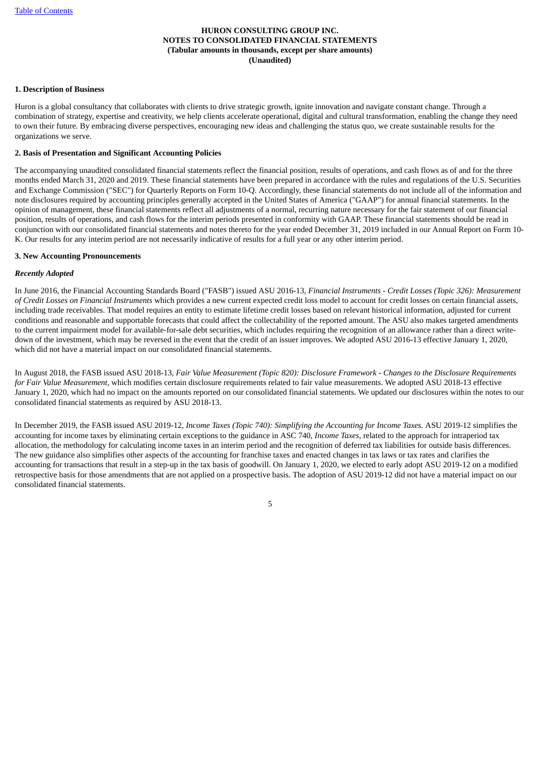## <span id="page-6-0"></span>**1. Description of Business**

Huron is a global consultancy that collaborates with clients to drive strategic growth, ignite innovation and navigate constant change. Through a combination of strategy, expertise and creativity, we help clients accelerate operational, digital and cultural transformation, enabling the change they need to own their future. By embracing diverse perspectives, encouraging new ideas and challenging the status quo, we create sustainable results for the organizations we serve.

# **2. Basis of Presentation and Significant Accounting Policies**

The accompanying unaudited consolidated financial statements reflect the financial position, results of operations, and cash flows as of and for the three months ended March 31, 2020 and 2019. These financial statements have been prepared in accordance with the rules and regulations of the U.S. Securities and Exchange Commission ("SEC") for Quarterly Reports on Form 10-Q. Accordingly, these financial statements do not include all of the information and note disclosures required by accounting principles generally accepted in the United States of America ("GAAP") for annual financial statements. In the opinion of management, these financial statements reflect all adjustments of a normal, recurring nature necessary for the fair statement of our financial position, results of operations, and cash flows for the interim periods presented in conformity with GAAP. These financial statements should be read in conjunction with our consolidated financial statements and notes thereto for the year ended December 31, 2019 included in our Annual Report on Form 10- K. Our results for any interim period are not necessarily indicative of results for a full year or any other interim period.

## **3. New Accounting Pronouncements**

#### *Recently Adopted*

In June 2016, the Financial Accounting Standards Board ("FASB") issued ASU 2016-13, *Financial Instruments - Credit Losses (Topic 326): Measurement of Credit Losses on Financial Instruments* which provides a new current expected credit loss model to account for credit losses on certain financial assets, including trade receivables. That model requires an entity to estimate lifetime credit losses based on relevant historical information, adjusted for current conditions and reasonable and supportable forecasts that could affect the collectability of the reported amount. The ASU also makes targeted amendments to the current impairment model for available-for-sale debt securities, which includes requiring the recognition of an allowance rather than a direct writedown of the investment, which may be reversed in the event that the credit of an issuer improves. We adopted ASU 2016-13 effective January 1, 2020, which did not have a material impact on our consolidated financial statements.

In August 2018, the FASB issued ASU 2018-13, Fair Value Measurement (Topic 820): Disclosure Framework - Changes to the Disclosure Requirements *for Fair Value Measurement,* which modifies certain disclosure requirements related to fair value measurements. We adopted ASU 2018-13 effective January 1, 2020, which had no impact on the amounts reported on our consolidated financial statements. We updated our disclosures within the notes to our consolidated financial statements as required by ASU 2018-13.

In December 2019, the FASB issued ASU 2019-12, *Income Taxes (Topic 740): Simplifying the Accounting for Income Taxes.* ASU 2019-12 simplifies the accounting for income taxes by eliminating certain exceptions to the guidance in ASC 740, *Income Taxes*, related to the approach for intraperiod tax allocation, the methodology for calculating income taxes in an interim period and the recognition of deferred tax liabilities for outside basis differences. The new guidance also simplifies other aspects of the accounting for franchise taxes and enacted changes in tax laws or tax rates and clarifies the accounting for transactions that result in a step-up in the tax basis of goodwill. On January 1, 2020, we elected to early adopt ASU 2019-12 on a modified retrospective basis for those amendments that are not applied on a prospective basis. The adoption of ASU 2019-12 did not have a material impact on our consolidated financial statements.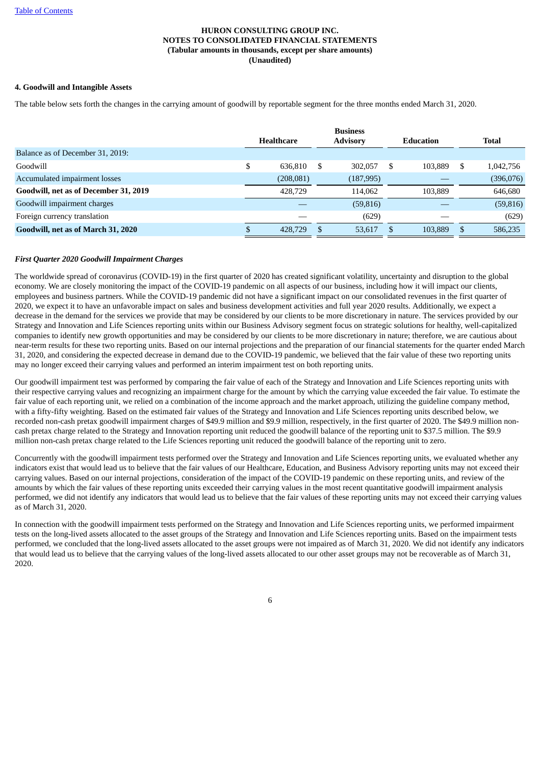## **4. Goodwill and Intangible Assets**

The table below sets forth the changes in the carrying amount of goodwill by reportable segment for the three months ended March 31, 2020.

|                                       | <b>Healthcare</b> |    | <b>Business</b><br><b>Advisory</b> |   | Education |    | Total      |
|---------------------------------------|-------------------|----|------------------------------------|---|-----------|----|------------|
| Balance as of December 31, 2019:      |                   |    |                                    |   |           |    |            |
| Goodwill                              | \$<br>636.810     | -S | 302,057                            | S | 103,889   | S  | 1,042,756  |
| Accumulated impairment losses         | (208, 081)        |    | (187, 995)                         |   |           |    | (396, 076) |
| Goodwill, net as of December 31, 2019 | 428.729           |    | 114,062                            |   | 103,889   |    | 646,680    |
| Goodwill impairment charges           |                   |    | (59, 816)                          |   |           |    | (59, 816)  |
| Foreign currency translation          |                   |    | (629)                              |   |           |    | (629)      |
| Goodwill, net as of March 31, 2020    | 428,729           |    | 53,617                             |   | 103,889   | £. | 586,235    |

#### *First Quarter 2020 Goodwill Impairment Charges*

The worldwide spread of coronavirus (COVID-19) in the first quarter of 2020 has created significant volatility, uncertainty and disruption to the global economy. We are closely monitoring the impact of the COVID-19 pandemic on all aspects of our business, including how it will impact our clients, employees and business partners. While the COVID-19 pandemic did not have a significant impact on our consolidated revenues in the first quarter of 2020, we expect it to have an unfavorable impact on sales and business development activities and full year 2020 results. Additionally, we expect a decrease in the demand for the services we provide that may be considered by our clients to be more discretionary in nature. The services provided by our Strategy and Innovation and Life Sciences reporting units within our Business Advisory segment focus on strategic solutions for healthy, well-capitalized companies to identify new growth opportunities and may be considered by our clients to be more discretionary in nature; therefore, we are cautious about near-term results for these two reporting units. Based on our internal projections and the preparation of our financial statements for the quarter ended March 31, 2020, and considering the expected decrease in demand due to the COVID-19 pandemic, we believed that the fair value of these two reporting units may no longer exceed their carrying values and performed an interim impairment test on both reporting units.

Our goodwill impairment test was performed by comparing the fair value of each of the Strategy and Innovation and Life Sciences reporting units with their respective carrying values and recognizing an impairment charge for the amount by which the carrying value exceeded the fair value. To estimate the fair value of each reporting unit, we relied on a combination of the income approach and the market approach, utilizing the guideline company method, with a fifty-fifty weighting. Based on the estimated fair values of the Strategy and Innovation and Life Sciences reporting units described below, we recorded non-cash pretax goodwill impairment charges of \$49.9 million and \$9.9 million, respectively, in the first quarter of 2020. The \$49.9 million noncash pretax charge related to the Strategy and Innovation reporting unit reduced the goodwill balance of the reporting unit to \$37.5 million. The \$9.9 million non-cash pretax charge related to the Life Sciences reporting unit reduced the goodwill balance of the reporting unit to zero.

Concurrently with the goodwill impairment tests performed over the Strategy and Innovation and Life Sciences reporting units, we evaluated whether any indicators exist that would lead us to believe that the fair values of our Healthcare, Education, and Business Advisory reporting units may not exceed their carrying values. Based on our internal projections, consideration of the impact of the COVID-19 pandemic on these reporting units, and review of the amounts by which the fair values of these reporting units exceeded their carrying values in the most recent quantitative goodwill impairment analysis performed, we did not identify any indicators that would lead us to believe that the fair values of these reporting units may not exceed their carrying values as of March 31, 2020.

In connection with the goodwill impairment tests performed on the Strategy and Innovation and Life Sciences reporting units, we performed impairment tests on the long-lived assets allocated to the asset groups of the Strategy and Innovation and Life Sciences reporting units. Based on the impairment tests performed, we concluded that the long-lived assets allocated to the asset groups were not impaired as of March 31, 2020. We did not identify any indicators that would lead us to believe that the carrying values of the long-lived assets allocated to our other asset groups may not be recoverable as of March 31, 2020.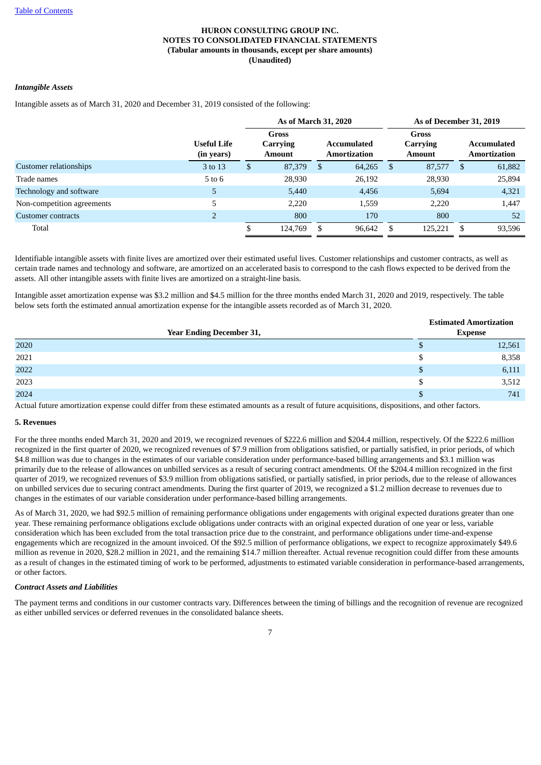## *Intangible Assets*

Intangible assets as of March 31, 2020 and December 31, 2019 consisted of the following:

|                            |                                  | As of March 31, 2020                      |      |                                    |    |                                           |    | As of December 31, 2019            |  |  |
|----------------------------|----------------------------------|-------------------------------------------|------|------------------------------------|----|-------------------------------------------|----|------------------------------------|--|--|
|                            | <b>Useful Life</b><br>(in years) | <b>Gross</b><br>Carrying<br><b>Amount</b> |      | Accumulated<br><b>Amortization</b> |    | <b>Gross</b><br>Carrying<br><b>Amount</b> |    | Accumulated<br><b>Amortization</b> |  |  |
| Customer relationships     | 3 to 13                          | \$<br>87,379                              | - \$ | 64,265                             | S. | 87,577                                    | -S | 61,882                             |  |  |
| Trade names                | $5$ to $6$                       | 28,930                                    |      | 26,192                             |    | 28,930                                    |    | 25,894                             |  |  |
| Technology and software    | 5                                | 5,440                                     |      | 4,456                              |    | 5,694                                     |    | 4,321                              |  |  |
| Non-competition agreements | 5                                | 2.220                                     |      | 1,559                              |    | 2,220                                     |    | 1,447                              |  |  |
| Customer contracts         |                                  | 800                                       |      | 170                                |    | 800                                       |    | 52                                 |  |  |
| Total                      |                                  | 124,769                                   | - \$ | 96,642                             |    | 125,221                                   | -S | 93,596                             |  |  |

Identifiable intangible assets with finite lives are amortized over their estimated useful lives. Customer relationships and customer contracts, as well as certain trade names and technology and software, are amortized on an accelerated basis to correspond to the cash flows expected to be derived from the assets. All other intangible assets with finite lives are amortized on a straight-line basis.

Intangible asset amortization expense was \$3.2 million and \$4.5 million for the three months ended March 31, 2020 and 2019, respectively. The table below sets forth the estimated annual amortization expense for the intangible assets recorded as of March 31, 2020.

|      |                                 |    | <b>Estimated Amortization</b> |
|------|---------------------------------|----|-------------------------------|
|      | <b>Year Ending December 31,</b> |    | <b>Expense</b>                |
| 2020 |                                 | Ψ  | 12,561                        |
| 2021 |                                 |    | 8,358                         |
| 2022 |                                 | ۰D | 6,111                         |
| 2023 |                                 |    | 3,512                         |
| 2024 |                                 |    | 741                           |

Actual future amortization expense could differ from these estimated amounts as a result of future acquisitions, dispositions, and other factors.

#### **5. Revenues**

For the three months ended March 31, 2020 and 2019, we recognized revenues of \$222.6 million and \$204.4 million, respectively. Of the \$222.6 million recognized in the first quarter of 2020, we recognized revenues of \$7.9 million from obligations satisfied, or partially satisfied, in prior periods, of which \$4.8 million was due to changes in the estimates of our variable consideration under performance-based billing arrangements and \$3.1 million was primarily due to the release of allowances on unbilled services as a result of securing contract amendments. Of the \$204.4 million recognized in the first quarter of 2019, we recognized revenues of \$3.9 million from obligations satisfied, or partially satisfied, in prior periods, due to the release of allowances on unbilled services due to securing contract amendments. During the first quarter of 2019, we recognized a \$1.2 million decrease to revenues due to changes in the estimates of our variable consideration under performance-based billing arrangements.

As of March 31, 2020, we had \$92.5 million of remaining performance obligations under engagements with original expected durations greater than one year. These remaining performance obligations exclude obligations under contracts with an original expected duration of one year or less, variable consideration which has been excluded from the total transaction price due to the constraint, and performance obligations under time-and-expense engagements which are recognized in the amount invoiced. Of the \$92.5 million of performance obligations, we expect to recognize approximately \$49.6 million as revenue in 2020, \$28.2 million in 2021, and the remaining \$14.7 million thereafter. Actual revenue recognition could differ from these amounts as a result of changes in the estimated timing of work to be performed, adjustments to estimated variable consideration in performance-based arrangements, or other factors.

#### *Contract Assets and Liabilities*

The payment terms and conditions in our customer contracts vary. Differences between the timing of billings and the recognition of revenue are recognized as either unbilled services or deferred revenues in the consolidated balance sheets.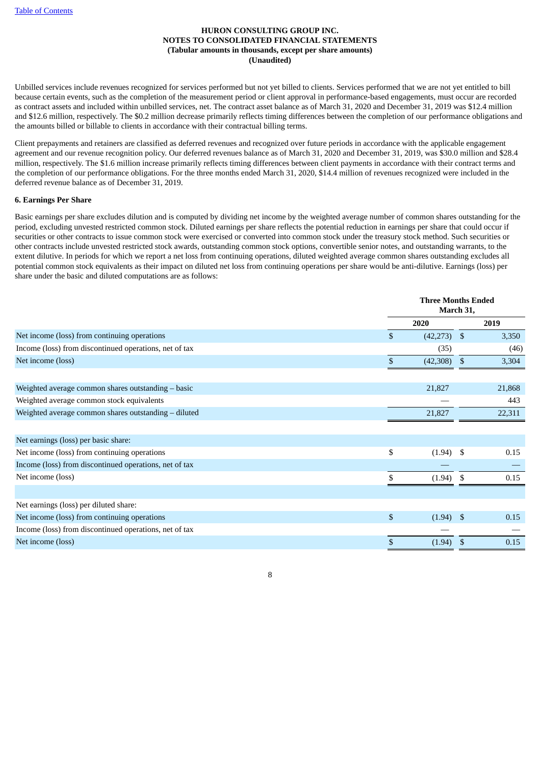Unbilled services include revenues recognized for services performed but not yet billed to clients. Services performed that we are not yet entitled to bill because certain events, such as the completion of the measurement period or client approval in performance-based engagements, must occur are recorded as contract assets and included within unbilled services, net. The contract asset balance as of March 31, 2020 and December 31, 2019 was \$12.4 million and \$12.6 million, respectively. The \$0.2 million decrease primarily reflects timing differences between the completion of our performance obligations and the amounts billed or billable to clients in accordance with their contractual billing terms.

Client prepayments and retainers are classified as deferred revenues and recognized over future periods in accordance with the applicable engagement agreement and our revenue recognition policy. Our deferred revenues balance as of March 31, 2020 and December 31, 2019, was \$30.0 million and \$28.4 million, respectively. The \$1.6 million increase primarily reflects timing differences between client payments in accordance with their contract terms and the completion of our performance obligations. For the three months ended March 31, 2020, \$14.4 million of revenues recognized were included in the deferred revenue balance as of December 31, 2019.

#### **6. Earnings Per Share**

Basic earnings per share excludes dilution and is computed by dividing net income by the weighted average number of common shares outstanding for the period, excluding unvested restricted common stock. Diluted earnings per share reflects the potential reduction in earnings per share that could occur if securities or other contracts to issue common stock were exercised or converted into common stock under the treasury stock method. Such securities or other contracts include unvested restricted stock awards, outstanding common stock options, convertible senior notes, and outstanding warrants, to the extent dilutive. In periods for which we report a net loss from continuing operations, diluted weighted average common shares outstanding excludes all potential common stock equivalents as their impact on diluted net loss from continuing operations per share would be anti-dilutive. Earnings (loss) per share under the basic and diluted computations are as follows:

|                                                        | <b>Three Months Ended</b><br>March 31, |             |      |        |  |
|--------------------------------------------------------|----------------------------------------|-------------|------|--------|--|
|                                                        |                                        | 2020        |      | 2019   |  |
| Net income (loss) from continuing operations           | \$                                     | (42, 273)   | - \$ | 3,350  |  |
| Income (loss) from discontinued operations, net of tax |                                        | (35)        |      | (46)   |  |
| Net income (loss)                                      | \$                                     | (42, 308)   | \$   | 3,304  |  |
| Weighted average common shares outstanding - basic     |                                        | 21,827      |      | 21,868 |  |
| Weighted average common stock equivalents              |                                        |             |      | 443    |  |
| Weighted average common shares outstanding – diluted   |                                        | 21,827      |      | 22,311 |  |
| Net earnings (loss) per basic share:                   |                                        |             |      |        |  |
| Net income (loss) from continuing operations           | \$                                     | $(1.94)$ \$ |      | 0.15   |  |
| Income (loss) from discontinued operations, net of tax |                                        |             |      |        |  |
| Net income (loss)                                      | \$                                     | (1.94)      | \$   | 0.15   |  |
|                                                        |                                        |             |      |        |  |
| Net earnings (loss) per diluted share:                 |                                        |             |      |        |  |
| Net income (loss) from continuing operations           | \$                                     | (1.94)      | - \$ | 0.15   |  |
| Income (loss) from discontinued operations, net of tax |                                        |             |      |        |  |
| Net income (loss)                                      | \$                                     | (1.94)      | \$   | 0.15   |  |

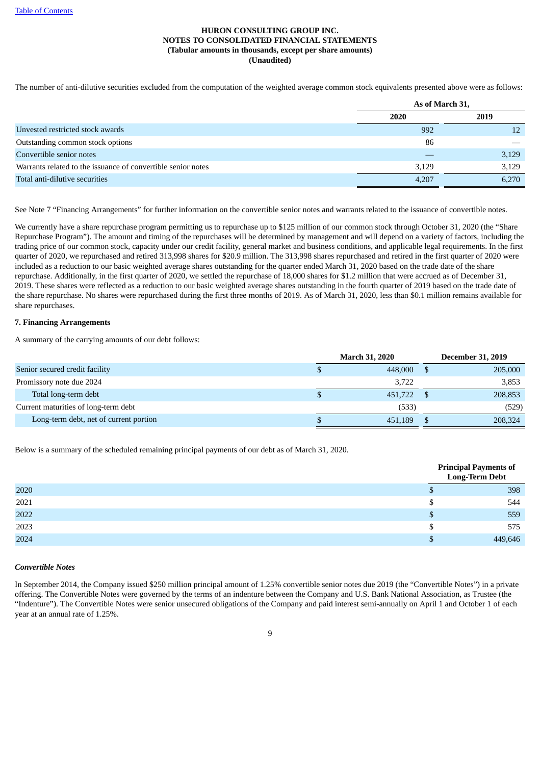The number of anti-dilutive securities excluded from the computation of the weighted average common stock equivalents presented above were as follows:

|                                                              | As of March 31, |       |
|--------------------------------------------------------------|-----------------|-------|
|                                                              | 2020            | 2019  |
| Unvested restricted stock awards                             | 992             | 12    |
| Outstanding common stock options                             | 86              |       |
| Convertible senior notes                                     |                 | 3,129 |
| Warrants related to the issuance of convertible senior notes | 3.129           | 3,129 |
| Total anti-dilutive securities                               | 4.207           | 6,270 |

See Note 7 "Financing Arrangements" for further information on the convertible senior notes and warrants related to the issuance of convertible notes.

We currently have a share repurchase program permitting us to repurchase up to \$125 million of our common stock through October 31, 2020 (the "Share Repurchase Program"). The amount and timing of the repurchases will be determined by management and will depend on a variety of factors, including the trading price of our common stock, capacity under our credit facility, general market and business conditions, and applicable legal requirements. In the first quarter of 2020, we repurchased and retired 313,998 shares for \$20.9 million. The 313,998 shares repurchased and retired in the first quarter of 2020 were included as a reduction to our basic weighted average shares outstanding for the quarter ended March 31, 2020 based on the trade date of the share repurchase. Additionally, in the first quarter of 2020, we settled the repurchase of 18,000 shares for \$1.2 million that were accrued as of December 31, 2019. These shares were reflected as a reduction to our basic weighted average shares outstanding in the fourth quarter of 2019 based on the trade date of the share repurchase. No shares were repurchased during the first three months of 2019. As of March 31, 2020, less than \$0.1 million remains available for share repurchases.

## **7. Financing Arrangements**

A summary of the carrying amounts of our debt follows:

|                                        | <b>March 31, 2020</b> | <b>December 31, 2019</b> |
|----------------------------------------|-----------------------|--------------------------|
| Senior secured credit facility         | 448,000               | 205,000                  |
| Promissory note due 2024               | 3.722                 | 3,853                    |
| Total long-term debt                   | 451,722<br>Φ          | 208,853                  |
| Current maturities of long-term debt   | (533)                 | (529)                    |
| Long-term debt, net of current portion | 451,189               | 208,324                  |

Below is a summary of the scheduled remaining principal payments of our debt as of March 31, 2020.

|      | <b>Principal Payments of</b><br><b>Long-Term Debt</b> |
|------|-------------------------------------------------------|
| 2020 | 398                                                   |
| 2021 | 544                                                   |
| 2022 | 559                                                   |
| 2023 | 575                                                   |
| 2024 | 449,646                                               |

## *Convertible Notes*

In September 2014, the Company issued \$250 million principal amount of 1.25% convertible senior notes due 2019 (the "Convertible Notes") in a private offering. The Convertible Notes were governed by the terms of an indenture between the Company and U.S. Bank National Association, as Trustee (the "Indenture"). The Convertible Notes were senior unsecured obligations of the Company and paid interest semi-annually on April 1 and October 1 of each year at an annual rate of 1.25%.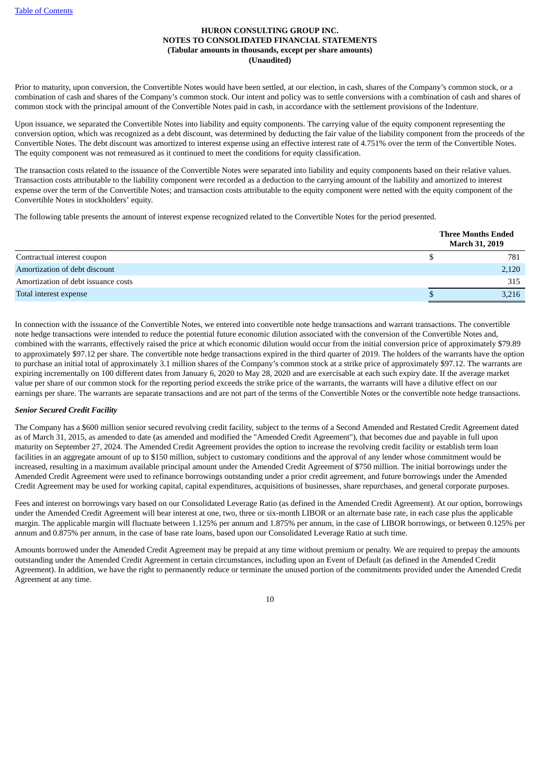Prior to maturity, upon conversion, the Convertible Notes would have been settled, at our election, in cash, shares of the Company's common stock, or a combination of cash and shares of the Company's common stock. Our intent and policy was to settle conversions with a combination of cash and shares of common stock with the principal amount of the Convertible Notes paid in cash, in accordance with the settlement provisions of the Indenture.

Upon issuance, we separated the Convertible Notes into liability and equity components. The carrying value of the equity component representing the conversion option, which was recognized as a debt discount, was determined by deducting the fair value of the liability component from the proceeds of the Convertible Notes. The debt discount was amortized to interest expense using an effective interest rate of 4.751% over the term of the Convertible Notes. The equity component was not remeasured as it continued to meet the conditions for equity classification.

The transaction costs related to the issuance of the Convertible Notes were separated into liability and equity components based on their relative values. Transaction costs attributable to the liability component were recorded as a deduction to the carrying amount of the liability and amortized to interest expense over the term of the Convertible Notes; and transaction costs attributable to the equity component were netted with the equity component of the Convertible Notes in stockholders' equity.

The following table presents the amount of interest expense recognized related to the Convertible Notes for the period presented.

|                                     | <b>Three Months Ended</b><br><b>March 31, 2019</b> |
|-------------------------------------|----------------------------------------------------|
| Contractual interest coupon         | 781                                                |
| Amortization of debt discount       | 2,120                                              |
| Amortization of debt issuance costs | 315                                                |
| Total interest expense              | 3,216                                              |

In connection with the issuance of the Convertible Notes, we entered into convertible note hedge transactions and warrant transactions. The convertible note hedge transactions were intended to reduce the potential future economic dilution associated with the conversion of the Convertible Notes and, combined with the warrants, effectively raised the price at which economic dilution would occur from the initial conversion price of approximately \$79.89 to approximately \$97.12 per share. The convertible note hedge transactions expired in the third quarter of 2019. The holders of the warrants have the option to purchase an initial total of approximately 3.1 million shares of the Company's common stock at a strike price of approximately \$97.12. The warrants are expiring incrementally on 100 different dates from January 6, 2020 to May 28, 2020 and are exercisable at each such expiry date. If the average market value per share of our common stock for the reporting period exceeds the strike price of the warrants, the warrants will have a dilutive effect on our earnings per share. The warrants are separate transactions and are not part of the terms of the Convertible Notes or the convertible note hedge transactions.

## *Senior Secured Credit Facility*

The Company has a \$600 million senior secured revolving credit facility, subject to the terms of a Second Amended and Restated Credit Agreement dated as of March 31, 2015, as amended to date (as amended and modified the "Amended Credit Agreement"), that becomes due and payable in full upon maturity on September 27, 2024. The Amended Credit Agreement provides the option to increase the revolving credit facility or establish term loan facilities in an aggregate amount of up to \$150 million, subject to customary conditions and the approval of any lender whose commitment would be increased, resulting in a maximum available principal amount under the Amended Credit Agreement of \$750 million. The initial borrowings under the Amended Credit Agreement were used to refinance borrowings outstanding under a prior credit agreement, and future borrowings under the Amended Credit Agreement may be used for working capital, capital expenditures, acquisitions of businesses, share repurchases, and general corporate purposes.

Fees and interest on borrowings vary based on our Consolidated Leverage Ratio (as defined in the Amended Credit Agreement). At our option, borrowings under the Amended Credit Agreement will bear interest at one, two, three or six-month LIBOR or an alternate base rate, in each case plus the applicable margin. The applicable margin will fluctuate between 1.125% per annum and 1.875% per annum, in the case of LIBOR borrowings, or between 0.125% per annum and 0.875% per annum, in the case of base rate loans, based upon our Consolidated Leverage Ratio at such time.

Amounts borrowed under the Amended Credit Agreement may be prepaid at any time without premium or penalty. We are required to prepay the amounts outstanding under the Amended Credit Agreement in certain circumstances, including upon an Event of Default (as defined in the Amended Credit Agreement). In addition, we have the right to permanently reduce or terminate the unused portion of the commitments provided under the Amended Credit Agreement at any time.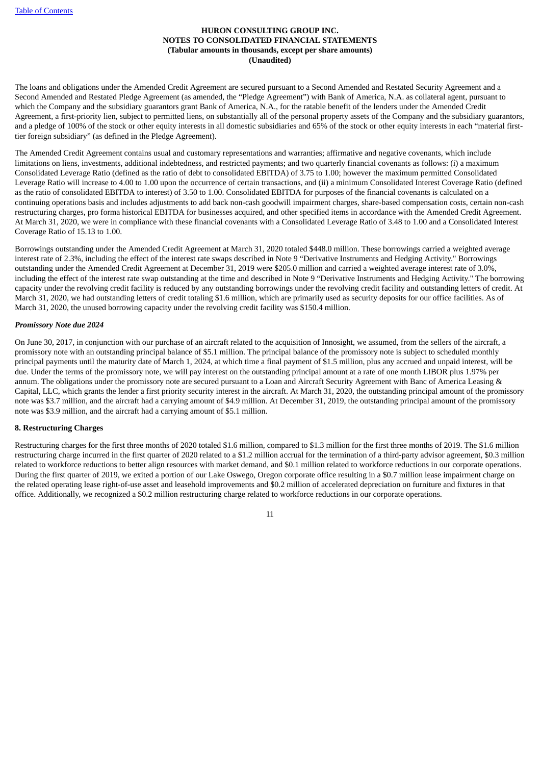The loans and obligations under the Amended Credit Agreement are secured pursuant to a Second Amended and Restated Security Agreement and a Second Amended and Restated Pledge Agreement (as amended, the "Pledge Agreement") with Bank of America, N.A. as collateral agent, pursuant to which the Company and the subsidiary guarantors grant Bank of America, N.A., for the ratable benefit of the lenders under the Amended Credit Agreement, a first-priority lien, subject to permitted liens, on substantially all of the personal property assets of the Company and the subsidiary guarantors, and a pledge of 100% of the stock or other equity interests in all domestic subsidiaries and 65% of the stock or other equity interests in each "material firsttier foreign subsidiary" (as defined in the Pledge Agreement).

The Amended Credit Agreement contains usual and customary representations and warranties; affirmative and negative covenants, which include limitations on liens, investments, additional indebtedness, and restricted payments; and two quarterly financial covenants as follows: (i) a maximum Consolidated Leverage Ratio (defined as the ratio of debt to consolidated EBITDA) of 3.75 to 1.00; however the maximum permitted Consolidated Leverage Ratio will increase to 4.00 to 1.00 upon the occurrence of certain transactions, and (ii) a minimum Consolidated Interest Coverage Ratio (defined as the ratio of consolidated EBITDA to interest) of 3.50 to 1.00. Consolidated EBITDA for purposes of the financial covenants is calculated on a continuing operations basis and includes adjustments to add back non-cash goodwill impairment charges, share-based compensation costs, certain non-cash restructuring charges, pro forma historical EBITDA for businesses acquired, and other specified items in accordance with the Amended Credit Agreement. At March 31, 2020, we were in compliance with these financial covenants with a Consolidated Leverage Ratio of 3.48 to 1.00 and a Consolidated Interest Coverage Ratio of 15.13 to 1.00.

Borrowings outstanding under the Amended Credit Agreement at March 31, 2020 totaled \$448.0 million. These borrowings carried a weighted average interest rate of 2.3%, including the effect of the interest rate swaps described in Note 9 "Derivative Instruments and Hedging Activity." Borrowings outstanding under the Amended Credit Agreement at December 31, 2019 were \$205.0 million and carried a weighted average interest rate of 3.0%, including the effect of the interest rate swap outstanding at the time and described in Note 9 "Derivative Instruments and Hedging Activity." The borrowing capacity under the revolving credit facility is reduced by any outstanding borrowings under the revolving credit facility and outstanding letters of credit. At March 31, 2020, we had outstanding letters of credit totaling \$1.6 million, which are primarily used as security deposits for our office facilities. As of March 31, 2020, the unused borrowing capacity under the revolving credit facility was \$150.4 million.

## *Promissory Note due 2024*

On June 30, 2017, in conjunction with our purchase of an aircraft related to the acquisition of Innosight, we assumed, from the sellers of the aircraft, a promissory note with an outstanding principal balance of \$5.1 million. The principal balance of the promissory note is subject to scheduled monthly principal payments until the maturity date of March 1, 2024, at which time a final payment of \$1.5 million, plus any accrued and unpaid interest, will be due. Under the terms of the promissory note, we will pay interest on the outstanding principal amount at a rate of one month LIBOR plus 1.97% per annum. The obligations under the promissory note are secured pursuant to a Loan and Aircraft Security Agreement with Banc of America Leasing & Capital, LLC, which grants the lender a first priority security interest in the aircraft. At March 31, 2020, the outstanding principal amount of the promissory note was \$3.7 million, and the aircraft had a carrying amount of \$4.9 million. At December 31, 2019, the outstanding principal amount of the promissory note was \$3.9 million, and the aircraft had a carrying amount of \$5.1 million.

## **8. Restructuring Charges**

Restructuring charges for the first three months of 2020 totaled \$1.6 million, compared to \$1.3 million for the first three months of 2019. The \$1.6 million restructuring charge incurred in the first quarter of 2020 related to a \$1.2 million accrual for the termination of a third-party advisor agreement, \$0.3 million related to workforce reductions to better align resources with market demand, and \$0.1 million related to workforce reductions in our corporate operations. During the first quarter of 2019, we exited a portion of our Lake Oswego, Oregon corporate office resulting in a \$0.7 million lease impairment charge on the related operating lease right-of-use asset and leasehold improvements and \$0.2 million of accelerated depreciation on furniture and fixtures in that office. Additionally, we recognized a \$0.2 million restructuring charge related to workforce reductions in our corporate operations.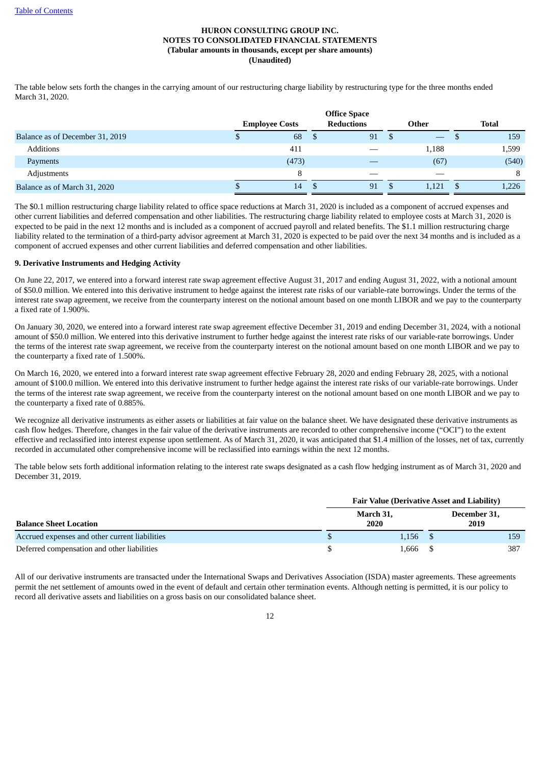The table below sets forth the changes in the carrying amount of our restructuring charge liability by restructuring type for the three months ended March 31, 2020.

|                                 | <b>Employee Costs</b> | <b>Reductions</b> | Other                    | <b>Total</b> |
|---------------------------------|-----------------------|-------------------|--------------------------|--------------|
| Balance as of December 31, 2019 | 68                    | 91                | $\overline{\phantom{m}}$ | 159          |
| <b>Additions</b>                | 411                   |                   | 1,188                    | 1,599        |
| Payments                        | (473)                 |                   | (67)                     | (540)        |
| Adjustments                     | 8                     |                   |                          | 8            |
| Balance as of March 31, 2020    | 14                    | 91                | 1.121                    | 1,226        |

The \$0.1 million restructuring charge liability related to office space reductions at March 31, 2020 is included as a component of accrued expenses and other current liabilities and deferred compensation and other liabilities. The restructuring charge liability related to employee costs at March 31, 2020 is expected to be paid in the next 12 months and is included as a component of accrued payroll and related benefits. The \$1.1 million restructuring charge liability related to the termination of a third-party advisor agreement at March 31, 2020 is expected to be paid over the next 34 months and is included as a component of accrued expenses and other current liabilities and deferred compensation and other liabilities.

## **9. Derivative Instruments and Hedging Activity**

On June 22, 2017, we entered into a forward interest rate swap agreement effective August 31, 2017 and ending August 31, 2022, with a notional amount of \$50.0 million. We entered into this derivative instrument to hedge against the interest rate risks of our variable-rate borrowings. Under the terms of the interest rate swap agreement, we receive from the counterparty interest on the notional amount based on one month LIBOR and we pay to the counterparty a fixed rate of 1.900%.

On January 30, 2020, we entered into a forward interest rate swap agreement effective December 31, 2019 and ending December 31, 2024, with a notional amount of \$50.0 million. We entered into this derivative instrument to further hedge against the interest rate risks of our variable-rate borrowings. Under the terms of the interest rate swap agreement, we receive from the counterparty interest on the notional amount based on one month LIBOR and we pay to the counterparty a fixed rate of 1.500%.

On March 16, 2020, we entered into a forward interest rate swap agreement effective February 28, 2020 and ending February 28, 2025, with a notional amount of \$100.0 million. We entered into this derivative instrument to further hedge against the interest rate risks of our variable-rate borrowings. Under the terms of the interest rate swap agreement, we receive from the counterparty interest on the notional amount based on one month LIBOR and we pay to the counterparty a fixed rate of 0.885%.

We recognize all derivative instruments as either assets or liabilities at fair value on the balance sheet. We have designated these derivative instruments as cash flow hedges. Therefore, changes in the fair value of the derivative instruments are recorded to other comprehensive income ("OCI") to the extent effective and reclassified into interest expense upon settlement. As of March 31, 2020, it was anticipated that \$1.4 million of the losses, net of tax, currently recorded in accumulated other comprehensive income will be reclassified into earnings within the next 12 months.

The table below sets forth additional information relating to the interest rate swaps designated as a cash flow hedging instrument as of March 31, 2020 and December 31, 2019.

|                                                | <b>Fair Value (Derivative Asset and Liability)</b> |  |                      |  |  |  |  |  |
|------------------------------------------------|----------------------------------------------------|--|----------------------|--|--|--|--|--|
| <b>Balance Sheet Location</b>                  | March 31,<br>2020                                  |  | December 31,<br>2019 |  |  |  |  |  |
| Accrued expenses and other current liabilities | 1.156                                              |  | 159                  |  |  |  |  |  |
| Deferred compensation and other liabilities    | 1,666                                              |  | 387                  |  |  |  |  |  |

All of our derivative instruments are transacted under the International Swaps and Derivatives Association (ISDA) master agreements. These agreements permit the net settlement of amounts owed in the event of default and certain other termination events. Although netting is permitted, it is our policy to record all derivative assets and liabilities on a gross basis on our consolidated balance sheet.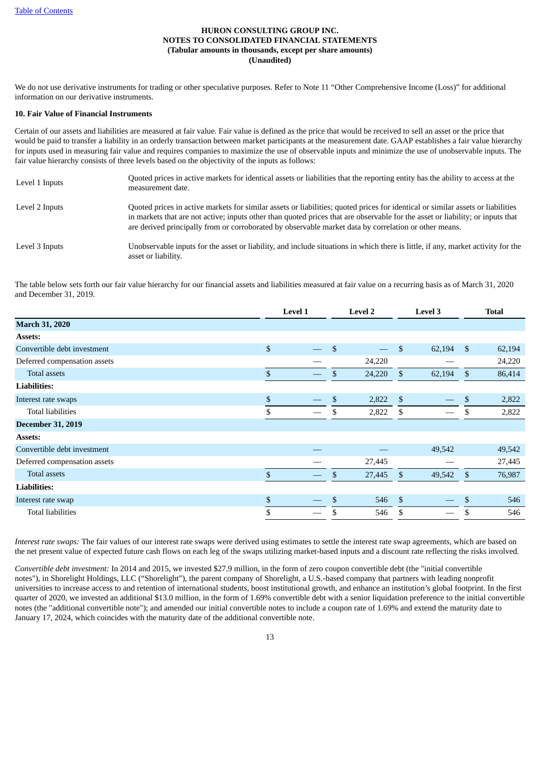We do not use derivative instruments for trading or other speculative purposes. Refer to Note 11 "Other Comprehensive Income (Loss)" for additional information on our derivative instruments.

## **10. Fair Value of Financial Instruments**

Certain of our assets and liabilities are measured at fair value. Fair value is defined as the price that would be received to sell an asset or the price that would be paid to transfer a liability in an orderly transaction between market participants at the measurement date. GAAP establishes a fair value hierarchy for inputs used in measuring fair value and requires companies to maximize the use of observable inputs and minimize the use of unobservable inputs. The fair value hierarchy consists of three levels based on the objectivity of the inputs as follows:

| Level 1 Inputs | Quoted prices in active markets for identical assets or liabilities that the reporting entity has the ability to access at the<br>measurement date.                                                                                                                                                                                                                        |
|----------------|----------------------------------------------------------------------------------------------------------------------------------------------------------------------------------------------------------------------------------------------------------------------------------------------------------------------------------------------------------------------------|
| Level 2 Inputs | Quoted prices in active markets for similar assets or liabilities; quoted prices for identical or similar assets or liabilities<br>in markets that are not active; inputs other than quoted prices that are observable for the asset or liability; or inputs that<br>are derived principally from or corroborated by observable market data by correlation or other means. |
| Level 3 Inputs | Unobservable inputs for the asset or liability, and include situations in which there is little, if any, market activity for the<br>asset or liability.                                                                                                                                                                                                                    |

The table below sets forth our fair value hierarchy for our financial assets and liabilities measured at fair value on a recurring basis as of March 31, 2020 and December 31, 2019.

|                              | <b>Level 1</b> | <b>Level 2</b> |        |                | <b>Level 3</b> |                | <b>Total</b> |  |
|------------------------------|----------------|----------------|--------|----------------|----------------|----------------|--------------|--|
| <b>March 31, 2020</b>        |                |                |        |                |                |                |              |  |
| Assets:                      |                |                |        |                |                |                |              |  |
| Convertible debt investment  | \$             | -\$            |        | \$             | 62,194         | \$             | 62,194       |  |
| Deferred compensation assets |                |                | 24,220 |                |                |                | 24,220       |  |
| <b>Total assets</b>          | \$             | \$             | 24,220 | $\mathfrak{S}$ | 62,194         | $\mathfrak{s}$ | 86,414       |  |
| <b>Liabilities:</b>          |                |                |        |                |                |                |              |  |
| Interest rate swaps          | \$             | \$             | 2,822  | $\mathfrak{s}$ |                | \$             | 2,822        |  |
| <b>Total liabilities</b>     | \$             |                | 2,822  | \$             |                | \$             | 2,822        |  |
| <b>December 31, 2019</b>     |                |                |        |                |                |                |              |  |
| Assets:                      |                |                |        |                |                |                |              |  |
| Convertible debt investment  |                |                |        |                | 49,542         |                | 49,542       |  |
| Deferred compensation assets |                |                | 27,445 |                |                |                | 27,445       |  |
| <b>Total assets</b>          | \$             |                | 27,445 | $\mathfrak{S}$ | 49,542         | \$             | 76,987       |  |
| <b>Liabilities:</b>          |                |                |        |                |                |                |              |  |
| Interest rate swap           | \$             | \$             | 546    | $\mathfrak{S}$ |                | \$             | 546          |  |
| <b>Total liabilities</b>     | \$             |                | 546    | \$             |                | \$             | 546          |  |
|                              |                |                |        |                |                |                |              |  |

*Interest rate swaps:* The fair values of our interest rate swaps were derived using estimates to settle the interest rate swap agreements, which are based on the net present value of expected future cash flows on each leg of the swaps utilizing market-based inputs and a discount rate reflecting the risks involved.

*Convertible debt investment:* In 2014 and 2015, we invested \$27.9 million, in the form of zero coupon convertible debt (the "initial convertible notes"), in Shorelight Holdings, LLC ("Shorelight"), the parent company of Shorelight, a U.S.-based company that partners with leading nonprofit universities to increase access to and retention of international students, boost institutional growth, and enhance an institution's global footprint. In the first quarter of 2020, we invested an additional \$13.0 million, in the form of 1.69% convertible debt with a senior liquidation preference to the initial convertible notes (the "additional convertible note"); and amended our initial convertible notes to include a coupon rate of 1.69% and extend the maturity date to January 17, 2024, which coincides with the maturity date of the additional convertible note.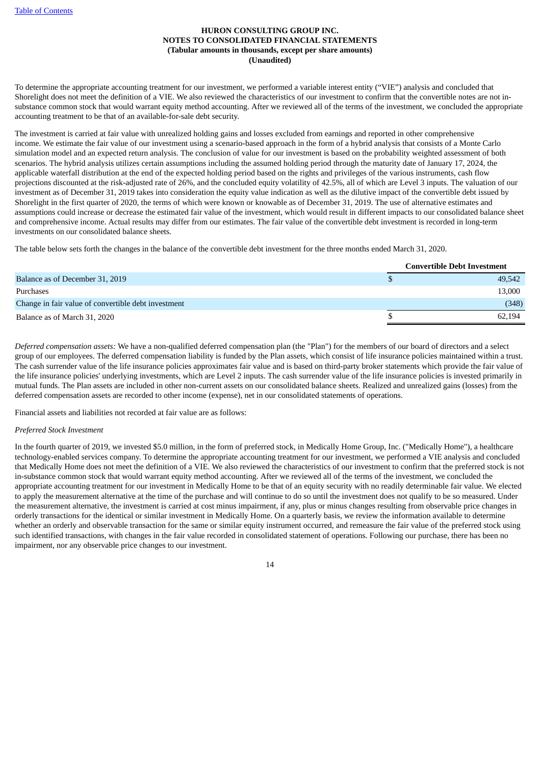To determine the appropriate accounting treatment for our investment, we performed a variable interest entity ("VIE") analysis and concluded that Shorelight does not meet the definition of a VIE. We also reviewed the characteristics of our investment to confirm that the convertible notes are not insubstance common stock that would warrant equity method accounting. After we reviewed all of the terms of the investment, we concluded the appropriate accounting treatment to be that of an available-for-sale debt security.

The investment is carried at fair value with unrealized holding gains and losses excluded from earnings and reported in other comprehensive income. We estimate the fair value of our investment using a scenario-based approach in the form of a hybrid analysis that consists of a Monte Carlo simulation model and an expected return analysis. The conclusion of value for our investment is based on the probability weighted assessment of both scenarios. The hybrid analysis utilizes certain assumptions including the assumed holding period through the maturity date of January 17, 2024, the applicable waterfall distribution at the end of the expected holding period based on the rights and privileges of the various instruments, cash flow projections discounted at the risk-adjusted rate of 26%, and the concluded equity volatility of 42.5%, all of which are Level 3 inputs. The valuation of our investment as of December 31, 2019 takes into consideration the equity value indication as well as the dilutive impact of the convertible debt issued by Shorelight in the first quarter of 2020, the terms of which were known or knowable as of December 31, 2019. The use of alternative estimates and assumptions could increase or decrease the estimated fair value of the investment, which would result in different impacts to our consolidated balance sheet and comprehensive income. Actual results may differ from our estimates. The fair value of the convertible debt investment is recorded in long-term investments on our consolidated balance sheets.

The table below sets forth the changes in the balance of the convertible debt investment for the three months ended March 31, 2020.

|                                                     | <b>Convertible Debt Investment</b> |  |  |  |
|-----------------------------------------------------|------------------------------------|--|--|--|
| Balance as of December 31, 2019                     | 49,542                             |  |  |  |
| Purchases                                           | 13,000                             |  |  |  |
| Change in fair value of convertible debt investment | (348)                              |  |  |  |
| Balance as of March 31, 2020                        | 62.194                             |  |  |  |
|                                                     |                                    |  |  |  |

*Deferred compensation assets:* We have a non-qualified deferred compensation plan (the "Plan") for the members of our board of directors and a select group of our employees. The deferred compensation liability is funded by the Plan assets, which consist of life insurance policies maintained within a trust. The cash surrender value of the life insurance policies approximates fair value and is based on third-party broker statements which provide the fair value of the life insurance policies' underlying investments, which are Level 2 inputs. The cash surrender value of the life insurance policies is invested primarily in mutual funds. The Plan assets are included in other non-current assets on our consolidated balance sheets. Realized and unrealized gains (losses) from the deferred compensation assets are recorded to other income (expense), net in our consolidated statements of operations.

Financial assets and liabilities not recorded at fair value are as follows:

#### *Preferred Stock Investment*

In the fourth quarter of 2019, we invested \$5.0 million, in the form of preferred stock, in Medically Home Group, Inc. ("Medically Home"), a healthcare technology-enabled services company. To determine the appropriate accounting treatment for our investment, we performed a VIE analysis and concluded that Medically Home does not meet the definition of a VIE. We also reviewed the characteristics of our investment to confirm that the preferred stock is not in-substance common stock that would warrant equity method accounting. After we reviewed all of the terms of the investment, we concluded the appropriate accounting treatment for our investment in Medically Home to be that of an equity security with no readily determinable fair value. We elected to apply the measurement alternative at the time of the purchase and will continue to do so until the investment does not qualify to be so measured. Under the measurement alternative, the investment is carried at cost minus impairment, if any, plus or minus changes resulting from observable price changes in orderly transactions for the identical or similar investment in Medically Home. On a quarterly basis, we review the information available to determine whether an orderly and observable transaction for the same or similar equity instrument occurred, and remeasure the fair value of the preferred stock using such identified transactions, with changes in the fair value recorded in consolidated statement of operations. Following our purchase, there has been no impairment, nor any observable price changes to our investment.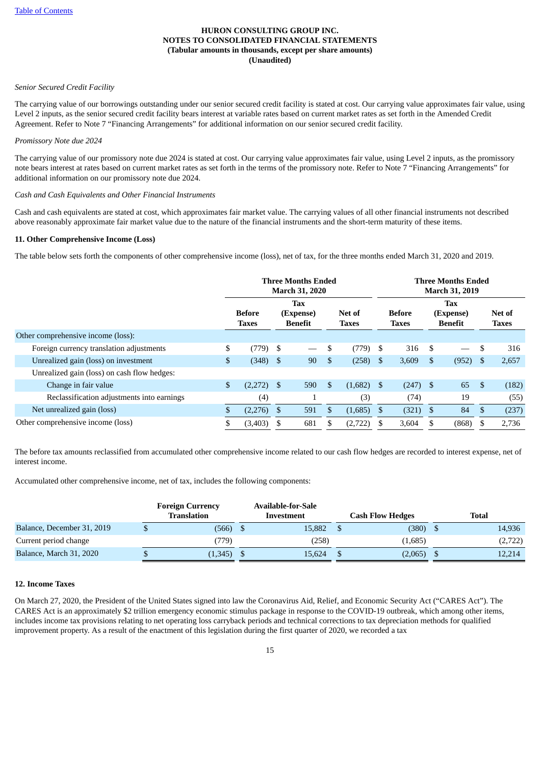### *Senior Secured Credit Facility*

The carrying value of our borrowings outstanding under our senior secured credit facility is stated at cost. Our carrying value approximates fair value, using Level 2 inputs, as the senior secured credit facility bears interest at variable rates based on current market rates as set forth in the Amended Credit Agreement. Refer to Note 7 "Financing Arrangements" for additional information on our senior secured credit facility.

#### *Promissory Note due 2024*

The carrying value of our promissory note due 2024 is stated at cost. Our carrying value approximates fair value, using Level 2 inputs, as the promissory note bears interest at rates based on current market rates as set forth in the terms of the promissory note. Refer to Note 7 "Financing Arrangements" for additional information on our promissory note due 2024.

## *Cash and Cash Equivalents and Other Financial Instruments*

Cash and cash equivalents are stated at cost, which approximates fair market value. The carrying values of all other financial instruments not described above reasonably approximate fair market value due to the nature of the financial instruments and the short-term maturity of these items.

#### **11. Other Comprehensive Income (Loss)**

The table below sets forth the components of other comprehensive income (loss), net of tax, for the three months ended March 31, 2020 and 2019.

|                                             |                               |              |  | <b>Three Months Ended</b><br><b>March 31, 2020</b> |               | Three Months Ended<br><b>March 31, 2019</b> |              |                               |    |                                           |               |                        |
|---------------------------------------------|-------------------------------|--------------|--|----------------------------------------------------|---------------|---------------------------------------------|--------------|-------------------------------|----|-------------------------------------------|---------------|------------------------|
|                                             | <b>Before</b><br><b>Taxes</b> |              |  | <b>Tax</b><br>(Expense)<br>Benefit                 |               | Net of<br><b>Taxes</b>                      |              | <b>Before</b><br><b>Taxes</b> |    | <b>Tax</b><br>(Expense)<br><b>Benefit</b> |               | Net of<br><b>Taxes</b> |
| Other comprehensive income (loss):          |                               |              |  |                                                    |               |                                             |              |                               |    |                                           |               |                        |
| Foreign currency translation adjustments    | \$                            | $(779)$ \$   |  |                                                    | \$            | (779)                                       | - \$         | 316                           | S  |                                           | \$            | 316                    |
| Unrealized gain (loss) on investment        | \$                            | $(348)$ \$   |  | 90                                                 | \$            | (258)                                       | - \$         | 3,609                         | S  | (952)                                     | -\$           | 2,657                  |
| Unrealized gain (loss) on cash flow hedges: |                               |              |  |                                                    |               |                                             |              |                               |    |                                           |               |                        |
| Change in fair value                        | \$                            | $(2,272)$ \$ |  | 590                                                | \$            | $(1,682)$ \$                                |              | $(247)$ \$                    |    | 65                                        | \$            | (182)                  |
| Reclassification adjustments into earnings  |                               | (4)          |  |                                                    |               | (3)                                         |              | (74)                          |    | 19                                        |               | (55)                   |
| Net unrealized gain (loss)                  |                               | $(2,276)$ \$ |  | 591                                                | <sup>\$</sup> | (1,685)                                     | $\mathsf{S}$ | (321)                         | -S | 84                                        | <sup>\$</sup> | (237)                  |
| Other comprehensive income (loss)           |                               | (3,403)      |  | 681                                                | \$            | (2,722)                                     |              | 3,604                         |    | (868)                                     | £.            | 2,736                  |

The before tax amounts reclassified from accumulated other comprehensive income related to our cash flow hedges are recorded to interest expense, net of interest income.

Accumulated other comprehensive income, net of tax, includes the following components:

|                            | <b>Foreign Currency</b><br><b>Translation</b> | <b>Available-for-Sale</b><br>Investment | <b>Cash Flow Hedges</b> | <b>Total</b> |
|----------------------------|-----------------------------------------------|-----------------------------------------|-------------------------|--------------|
| Balance, December 31, 2019 | (566)                                         | 15,882                                  | (380)                   | 14,936       |
| Current period change      | (779)                                         | (258)                                   | (1,685)                 | (2,722)      |
| Balance, March 31, 2020    | (1, 345)                                      | 15,624                                  | (2,065)                 | 12,214       |

#### **12. Income Taxes**

On March 27, 2020, the President of the United States signed into law the Coronavirus Aid, Relief, and Economic Security Act ("CARES Act"). The CARES Act is an approximately \$2 trillion emergency economic stimulus package in response to the COVID-19 outbreak, which among other items, includes income tax provisions relating to net operating loss carryback periods and technical corrections to tax depreciation methods for qualified improvement property. As a result of the enactment of this legislation during the first quarter of 2020, we recorded a tax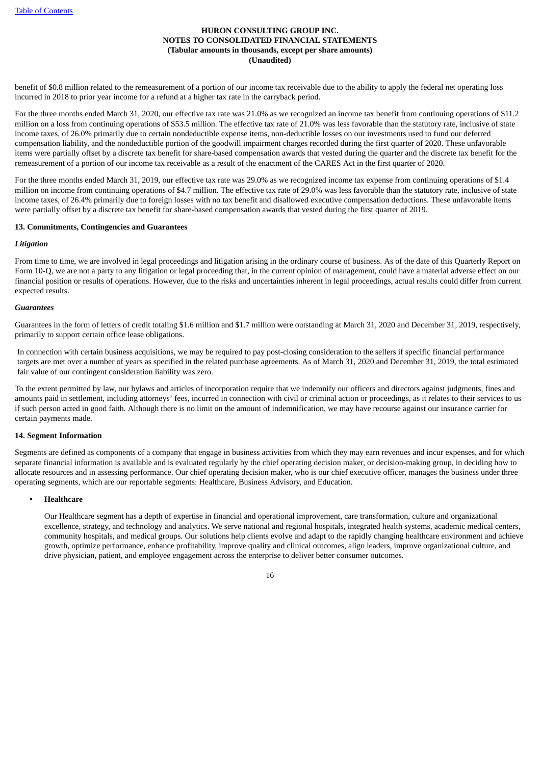benefit of \$0.8 million related to the remeasurement of a portion of our income tax receivable due to the ability to apply the federal net operating loss incurred in 2018 to prior year income for a refund at a higher tax rate in the carryback period.

For the three months ended March 31, 2020, our effective tax rate was 21.0% as we recognized an income tax benefit from continuing operations of \$11.2 million on a loss from continuing operations of \$53.5 million. The effective tax rate of 21.0% was less favorable than the statutory rate, inclusive of state income taxes, of 26.0% primarily due to certain nondeductible expense items, non-deductible losses on our investments used to fund our deferred compensation liability, and the nondeductible portion of the goodwill impairment charges recorded during the first quarter of 2020. These unfavorable items were partially offset by a discrete tax benefit for share-based compensation awards that vested during the quarter and the discrete tax benefit for the remeasurement of a portion of our income tax receivable as a result of the enactment of the CARES Act in the first quarter of 2020.

For the three months ended March 31, 2019, our effective tax rate was 29.0% as we recognized income tax expense from continuing operations of \$1.4 million on income from continuing operations of \$4.7 million. The effective tax rate of 29.0% was less favorable than the statutory rate, inclusive of state income taxes, of 26.4% primarily due to foreign losses with no tax benefit and disallowed executive compensation deductions. These unfavorable items were partially offset by a discrete tax benefit for share-based compensation awards that vested during the first quarter of 2019.

#### **13. Commitments, Contingencies and Guarantees**

#### *Litigation*

From time to time, we are involved in legal proceedings and litigation arising in the ordinary course of business. As of the date of this Quarterly Report on Form 10-Q, we are not a party to any litigation or legal proceeding that, in the current opinion of management, could have a material adverse effect on our financial position or results of operations. However, due to the risks and uncertainties inherent in legal proceedings, actual results could differ from current expected results.

#### *Guarantees*

Guarantees in the form of letters of credit totaling \$1.6 million and \$1.7 million were outstanding at March 31, 2020 and December 31, 2019, respectively, primarily to support certain office lease obligations.

In connection with certain business acquisitions, we may be required to pay post-closing consideration to the sellers if specific financial performance targets are met over a number of years as specified in the related purchase agreements. As of March 31, 2020 and December 31, 2019, the total estimated fair value of our contingent consideration liability was zero.

To the extent permitted by law, our bylaws and articles of incorporation require that we indemnify our officers and directors against judgments, fines and amounts paid in settlement, including attorneys' fees, incurred in connection with civil or criminal action or proceedings, as it relates to their services to us if such person acted in good faith. Although there is no limit on the amount of indemnification, we may have recourse against our insurance carrier for certain payments made.

## **14. Segment Information**

Segments are defined as components of a company that engage in business activities from which they may earn revenues and incur expenses, and for which separate financial information is available and is evaluated regularly by the chief operating decision maker, or decision-making group, in deciding how to allocate resources and in assessing performance. Our chief operating decision maker, who is our chief executive officer, manages the business under three operating segments, which are our reportable segments: Healthcare, Business Advisory, and Education.

## **• Healthcare**

Our Healthcare segment has a depth of expertise in financial and operational improvement, care transformation, culture and organizational excellence, strategy, and technology and analytics. We serve national and regional hospitals, integrated health systems, academic medical centers, community hospitals, and medical groups. Our solutions help clients evolve and adapt to the rapidly changing healthcare environment and achieve growth, optimize performance, enhance profitability, improve quality and clinical outcomes, align leaders, improve organizational culture, and drive physician, patient, and employee engagement across the enterprise to deliver better consumer outcomes.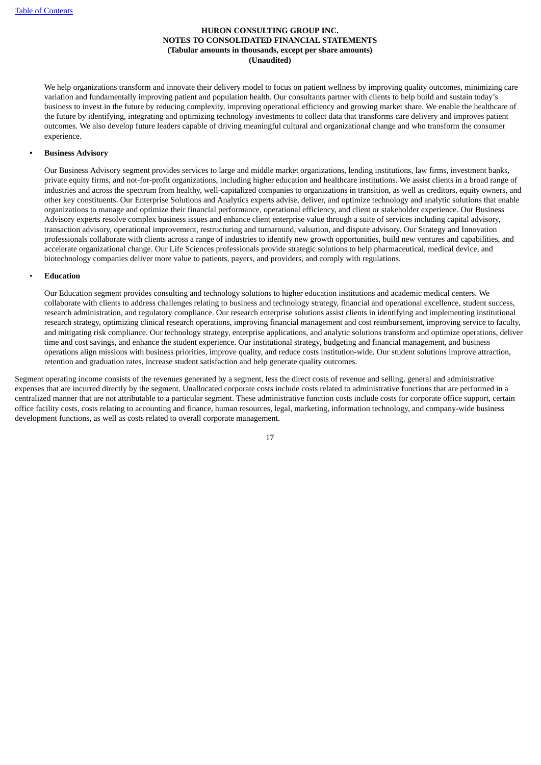We help organizations transform and innovate their delivery model to focus on patient wellness by improving quality outcomes, minimizing care variation and fundamentally improving patient and population health. Our consultants partner with clients to help build and sustain today's business to invest in the future by reducing complexity, improving operational efficiency and growing market share. We enable the healthcare of the future by identifying, integrating and optimizing technology investments to collect data that transforms care delivery and improves patient outcomes. We also develop future leaders capable of driving meaningful cultural and organizational change and who transform the consumer experience.

## **• Business Advisory**

Our Business Advisory segment provides services to large and middle market organizations, lending institutions, law firms, investment banks, private equity firms, and not-for-profit organizations, including higher education and healthcare institutions. We assist clients in a broad range of industries and across the spectrum from healthy, well-capitalized companies to organizations in transition, as well as creditors, equity owners, and other key constituents. Our Enterprise Solutions and Analytics experts advise, deliver, and optimize technology and analytic solutions that enable organizations to manage and optimize their financial performance, operational efficiency, and client or stakeholder experience. Our Business Advisory experts resolve complex business issues and enhance client enterprise value through a suite of services including capital advisory, transaction advisory, operational improvement, restructuring and turnaround, valuation, and dispute advisory. Our Strategy and Innovation professionals collaborate with clients across a range of industries to identify new growth opportunities, build new ventures and capabilities, and accelerate organizational change. Our Life Sciences professionals provide strategic solutions to help pharmaceutical, medical device, and biotechnology companies deliver more value to patients, payers, and providers, and comply with regulations.

#### • **Education**

Our Education segment provides consulting and technology solutions to higher education institutions and academic medical centers. We collaborate with clients to address challenges relating to business and technology strategy, financial and operational excellence, student success, research administration, and regulatory compliance. Our research enterprise solutions assist clients in identifying and implementing institutional research strategy, optimizing clinical research operations, improving financial management and cost reimbursement, improving service to faculty, and mitigating risk compliance. Our technology strategy, enterprise applications, and analytic solutions transform and optimize operations, deliver time and cost savings, and enhance the student experience. Our institutional strategy, budgeting and financial management, and business operations align missions with business priorities, improve quality, and reduce costs institution-wide. Our student solutions improve attraction, retention and graduation rates, increase student satisfaction and help generate quality outcomes.

Segment operating income consists of the revenues generated by a segment, less the direct costs of revenue and selling, general and administrative expenses that are incurred directly by the segment. Unallocated corporate costs include costs related to administrative functions that are performed in a centralized manner that are not attributable to a particular segment. These administrative function costs include costs for corporate office support, certain office facility costs, costs relating to accounting and finance, human resources, legal, marketing, information technology, and company-wide business development functions, as well as costs related to overall corporate management.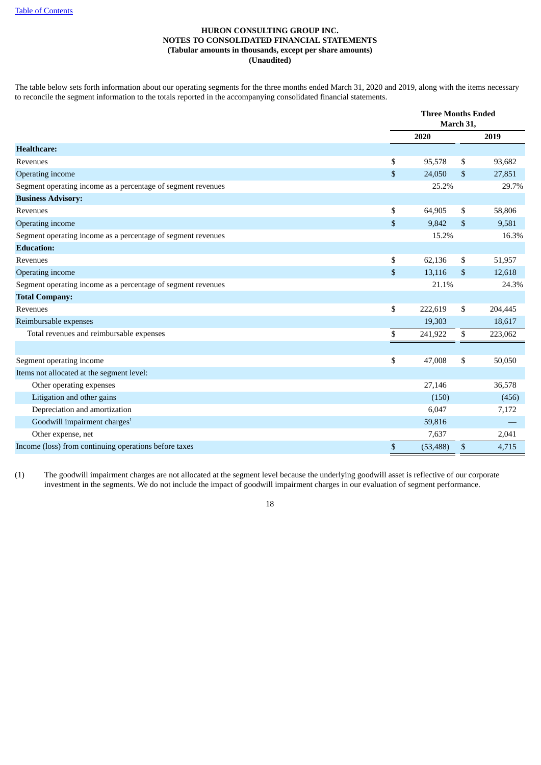The table below sets forth information about our operating segments for the three months ended March 31, 2020 and 2019, along with the items necessary to reconcile the segment information to the totals reported in the accompanying consolidated financial statements.

|                                                              | <b>Three Months Ended</b><br>March 31, |              |         |  |
|--------------------------------------------------------------|----------------------------------------|--------------|---------|--|
|                                                              | 2020                                   |              | 2019    |  |
| <b>Healthcare:</b>                                           |                                        |              |         |  |
| Revenues                                                     | \$<br>95,578                           | \$           | 93,682  |  |
| Operating income                                             | \$<br>24,050                           | \$           | 27,851  |  |
| Segment operating income as a percentage of segment revenues | 25.2%                                  |              | 29.7%   |  |
| <b>Business Advisory:</b>                                    |                                        |              |         |  |
| Revenues                                                     | \$<br>64,905                           | \$           | 58,806  |  |
| Operating income                                             | \$<br>9,842                            | \$           | 9,581   |  |
| Segment operating income as a percentage of segment revenues | 15.2%                                  |              | 16.3%   |  |
| <b>Education:</b>                                            |                                        |              |         |  |
| Revenues                                                     | \$<br>62,136                           | \$           | 51,957  |  |
| <b>Operating income</b>                                      | \$<br>13,116                           | $\mathbb{S}$ | 12,618  |  |
| Segment operating income as a percentage of segment revenues | 21.1%                                  |              | 24.3%   |  |
| <b>Total Company:</b>                                        |                                        |              |         |  |
| Revenues                                                     | \$<br>222,619                          | \$           | 204,445 |  |
| Reimbursable expenses                                        | 19,303                                 |              | 18,617  |  |
| Total revenues and reimbursable expenses                     | \$<br>241,922                          | \$           | 223,062 |  |
|                                                              |                                        |              |         |  |
| Segment operating income                                     | \$<br>47,008                           | \$           | 50,050  |  |
| Items not allocated at the segment level:                    |                                        |              |         |  |
| Other operating expenses                                     | 27,146                                 |              | 36,578  |  |
| Litigation and other gains                                   | (150)                                  |              | (456)   |  |
| Depreciation and amortization                                | 6,047                                  |              | 7,172   |  |
| Goodwill impairment charges <sup>1</sup>                     | 59,816                                 |              |         |  |
| Other expense, net                                           | 7,637                                  |              | 2,041   |  |
| Income (loss) from continuing operations before taxes        | \$<br>(53, 488)                        | \$           | 4,715   |  |

(1) The goodwill impairment charges are not allocated at the segment level because the underlying goodwill asset is reflective of our corporate investment in the segments. We do not include the impact of goodwill impairment charges in our evaluation of segment performance.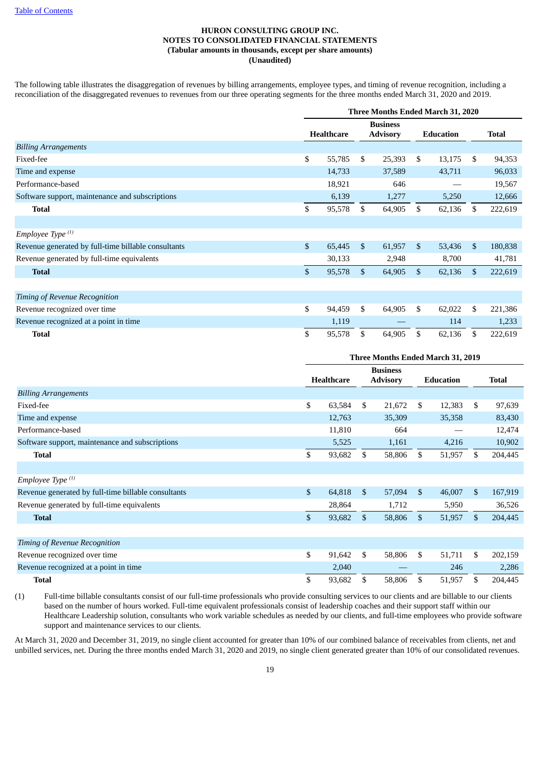The following table illustrates the disaggregation of revenues by billing arrangements, employee types, and timing of revenue recognition, including a reconciliation of the disaggregated revenues to revenues from our three operating segments for the three months ended March 31, 2020 and 2019.

|                                                     |              | Three Months Ended March 31, 2020                       |    |        |                  |        |              |         |  |  |  |
|-----------------------------------------------------|--------------|---------------------------------------------------------|----|--------|------------------|--------|--------------|---------|--|--|--|
|                                                     |              | <b>Business</b><br><b>Healthcare</b><br><b>Advisory</b> |    |        | <b>Education</b> |        | <b>Total</b> |         |  |  |  |
| <b>Billing Arrangements</b>                         |              |                                                         |    |        |                  |        |              |         |  |  |  |
| Fixed-fee                                           | \$           | 55,785                                                  | \$ | 25,393 | \$               | 13,175 | \$           | 94,353  |  |  |  |
| Time and expense                                    |              | 14,733                                                  |    | 37,589 |                  | 43,711 |              | 96,033  |  |  |  |
| Performance-based                                   |              | 18,921                                                  |    | 646    |                  |        |              | 19,567  |  |  |  |
| Software support, maintenance and subscriptions     |              | 6,139                                                   |    | 1,277  |                  | 5,250  |              | 12,666  |  |  |  |
| <b>Total</b>                                        | \$           | 95,578                                                  | \$ | 64,905 | \$               | 62,136 | S.           | 222,619 |  |  |  |
|                                                     |              |                                                         |    |        |                  |        |              |         |  |  |  |
| Employee Type <sup>(1)</sup>                        |              |                                                         |    |        |                  |        |              |         |  |  |  |
| Revenue generated by full-time billable consultants | $\mathbb{S}$ | 65,445                                                  | \$ | 61,957 | \$.              | 53,436 | $\mathbb{S}$ | 180,838 |  |  |  |
| Revenue generated by full-time equivalents          |              | 30,133                                                  |    | 2,948  |                  | 8,700  |              | 41,781  |  |  |  |
| <b>Total</b>                                        | $\mathbb{S}$ | 95,578                                                  | \$ | 64,905 | \$               | 62,136 | \$           | 222,619 |  |  |  |
|                                                     |              |                                                         |    |        |                  |        |              |         |  |  |  |
| Timing of Revenue Recognition                       |              |                                                         |    |        |                  |        |              |         |  |  |  |
| Revenue recognized over time                        | \$           | 94,459                                                  | \$ | 64,905 | \$               | 62,022 | S            | 221,386 |  |  |  |
| Revenue recognized at a point in time               |              | 1,119                                                   |    |        |                  | 114    |              | 1,233   |  |  |  |
| Total                                               | \$           | 95,578                                                  | \$ | 64,905 | \$               | 62,136 | S            | 222,619 |  |  |  |

|                                                     |              | Three Months Ended March 31, 2019 |               |                 |                |                  |               |              |  |
|-----------------------------------------------------|--------------|-----------------------------------|---------------|-----------------|----------------|------------------|---------------|--------------|--|
|                                                     |              | <b>Business</b>                   |               |                 |                |                  |               |              |  |
|                                                     |              | Healthcare                        |               | <b>Advisory</b> |                | <b>Education</b> |               | <b>Total</b> |  |
| <b>Billing Arrangements</b>                         |              |                                   |               |                 |                |                  |               |              |  |
| Fixed-fee                                           | \$           | 63,584                            | \$            | 21,672          | \$             | 12,383           | \$            | 97,639       |  |
| Time and expense                                    |              | 12,763                            |               | 35,309          |                | 35,358           |               | 83,430       |  |
| Performance-based                                   |              | 11,810                            |               | 664             |                |                  |               | 12,474       |  |
| Software support, maintenance and subscriptions     |              | 5,525                             |               | 1,161           |                | 4,216            |               | 10,902       |  |
| <b>Total</b>                                        | \$           | 93,682                            | \$            | 58,806          | \$             | 51,957           | \$            | 204,445      |  |
|                                                     |              |                                   |               |                 |                |                  |               |              |  |
| Employee Type $(1)$                                 |              |                                   |               |                 |                |                  |               |              |  |
| Revenue generated by full-time billable consultants | $\mathbb{S}$ | 64,818                            | <sup>\$</sup> | 57,094          | $\mathbb{S}$   | 46,007           | $\mathcal{S}$ | 167,919      |  |
| Revenue generated by full-time equivalents          |              | 28,864                            |               | 1,712           |                | 5,950            |               | 36,526       |  |
| <b>Total</b>                                        | \$           | 93,682                            | $\mathbb{S}$  | 58,806          | $\mathfrak{S}$ | 51,957           | $\mathcal{S}$ | 204,445      |  |
|                                                     |              |                                   |               |                 |                |                  |               |              |  |
| Timing of Revenue Recognition                       |              |                                   |               |                 |                |                  |               |              |  |
| Revenue recognized over time                        | \$           | 91,642                            | \$            | 58,806          | \$             | 51,711           | \$            | 202,159      |  |
| Revenue recognized at a point in time               |              | 2,040                             |               |                 |                | 246              |               | 2,286        |  |
| <b>Total</b>                                        | \$           | 93,682                            | \$            | 58,806          | \$             | 51,957           | \$            | 204,445      |  |

(1) Full-time billable consultants consist of our full-time professionals who provide consulting services to our clients and are billable to our clients based on the number of hours worked. Full-time equivalent professionals consist of leadership coaches and their support staff within our Healthcare Leadership solution, consultants who work variable schedules as needed by our clients, and full-time employees who provide software support and maintenance services to our clients.

At March 31, 2020 and December 31, 2019, no single client accounted for greater than 10% of our combined balance of receivables from clients, net and unbilled services, net. During the three months ended March 31, 2020 and 2019, no single client generated greater than 10% of our consolidated revenues.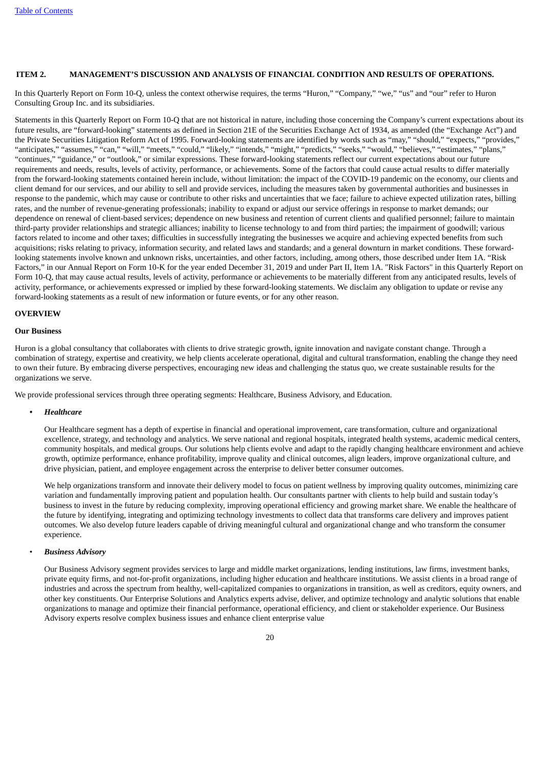## <span id="page-21-0"></span>**ITEM 2. MANAGEMENT'S DISCUSSION AND ANALYSIS OF FINANCIAL CONDITION AND RESULTS OF OPERATIONS.**

In this Quarterly Report on Form 10-Q, unless the context otherwise requires, the terms "Huron," "Company," "we," "us" and "our" refer to Huron Consulting Group Inc. and its subsidiaries.

Statements in this Quarterly Report on Form 10-Q that are not historical in nature, including those concerning the Company's current expectations about its future results, are "forward-looking" statements as defined in Section 21E of the Securities Exchange Act of 1934, as amended (the "Exchange Act") and the Private Securities Litigation Reform Act of 1995. Forward-looking statements are identified by words such as "may," "should," "expects," "provides," "anticipates," "assumes," "can," "will," "meets," "could," "likely," "intends," "might," "predicts," "seeks," "would," "believes," "estimates," "plans," "continues," "guidance," or "outlook," or similar expressions. These forward-looking statements reflect our current expectations about our future requirements and needs, results, levels of activity, performance, or achievements. Some of the factors that could cause actual results to differ materially from the forward-looking statements contained herein include, without limitation: the impact of the COVID-19 pandemic on the economy, our clients and client demand for our services, and our ability to sell and provide services, including the measures taken by governmental authorities and businesses in response to the pandemic, which may cause or contribute to other risks and uncertainties that we face; failure to achieve expected utilization rates, billing rates, and the number of revenue-generating professionals; inability to expand or adjust our service offerings in response to market demands; our dependence on renewal of client-based services; dependence on new business and retention of current clients and qualified personnel; failure to maintain third-party provider relationships and strategic alliances; inability to license technology to and from third parties; the impairment of goodwill; various factors related to income and other taxes; difficulties in successfully integrating the businesses we acquire and achieving expected benefits from such acquisitions; risks relating to privacy, information security, and related laws and standards; and a general downturn in market conditions. These forwardlooking statements involve known and unknown risks, uncertainties, and other factors, including, among others, those described under Item 1A. "Risk Factors," in our Annual Report on Form 10-K for the year ended December 31, 2019 and under Part II, Item 1A. "Risk Factors" in this Quarterly Report on Form 10-Q, that may cause actual results, levels of activity, performance or achievements to be materially different from any anticipated results, levels of activity, performance, or achievements expressed or implied by these forward-looking statements. We disclaim any obligation to update or revise any forward-looking statements as a result of new information or future events, or for any other reason.

## **OVERVIEW**

#### **Our Business**

Huron is a global consultancy that collaborates with clients to drive strategic growth, ignite innovation and navigate constant change. Through a combination of strategy, expertise and creativity, we help clients accelerate operational, digital and cultural transformation, enabling the change they need to own their future. By embracing diverse perspectives, encouraging new ideas and challenging the status quo, we create sustainable results for the organizations we serve.

We provide professional services through three operating segments: Healthcare, Business Advisory, and Education.

#### **•** *Healthcare*

Our Healthcare segment has a depth of expertise in financial and operational improvement, care transformation, culture and organizational excellence, strategy, and technology and analytics. We serve national and regional hospitals, integrated health systems, academic medical centers, community hospitals, and medical groups. Our solutions help clients evolve and adapt to the rapidly changing healthcare environment and achieve growth, optimize performance, enhance profitability, improve quality and clinical outcomes, align leaders, improve organizational culture, and drive physician, patient, and employee engagement across the enterprise to deliver better consumer outcomes.

We help organizations transform and innovate their delivery model to focus on patient wellness by improving quality outcomes, minimizing care variation and fundamentally improving patient and population health. Our consultants partner with clients to help build and sustain today's business to invest in the future by reducing complexity, improving operational efficiency and growing market share. We enable the healthcare of the future by identifying, integrating and optimizing technology investments to collect data that transforms care delivery and improves patient outcomes. We also develop future leaders capable of driving meaningful cultural and organizational change and who transform the consumer experience.

### • *Business Advisory*

Our Business Advisory segment provides services to large and middle market organizations, lending institutions, law firms, investment banks, private equity firms, and not-for-profit organizations, including higher education and healthcare institutions. We assist clients in a broad range of industries and across the spectrum from healthy, well-capitalized companies to organizations in transition, as well as creditors, equity owners, and other key constituents. Our Enterprise Solutions and Analytics experts advise, deliver, and optimize technology and analytic solutions that enable organizations to manage and optimize their financial performance, operational efficiency, and client or stakeholder experience. Our Business Advisory experts resolve complex business issues and enhance client enterprise value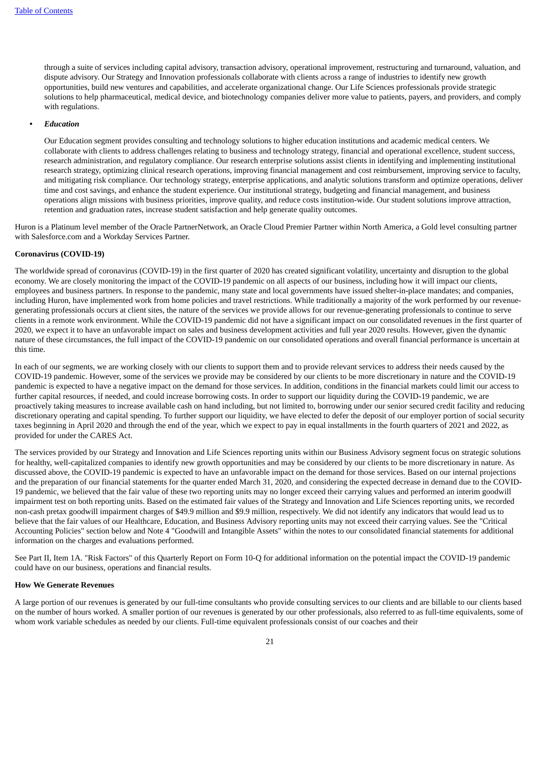through a suite of services including capital advisory, transaction advisory, operational improvement, restructuring and turnaround, valuation, and dispute advisory. Our Strategy and Innovation professionals collaborate with clients across a range of industries to identify new growth opportunities, build new ventures and capabilities, and accelerate organizational change. Our Life Sciences professionals provide strategic solutions to help pharmaceutical, medical device, and biotechnology companies deliver more value to patients, payers, and providers, and comply with regulations.

#### **•** *Education*

Our Education segment provides consulting and technology solutions to higher education institutions and academic medical centers. We collaborate with clients to address challenges relating to business and technology strategy, financial and operational excellence, student success, research administration, and regulatory compliance. Our research enterprise solutions assist clients in identifying and implementing institutional research strategy, optimizing clinical research operations, improving financial management and cost reimbursement, improving service to faculty, and mitigating risk compliance. Our technology strategy, enterprise applications, and analytic solutions transform and optimize operations, deliver time and cost savings, and enhance the student experience. Our institutional strategy, budgeting and financial management, and business operations align missions with business priorities, improve quality, and reduce costs institution-wide. Our student solutions improve attraction, retention and graduation rates, increase student satisfaction and help generate quality outcomes.

Huron is a Platinum level member of the Oracle PartnerNetwork, an Oracle Cloud Premier Partner within North America, a Gold level consulting partner with Salesforce.com and a Workday Services Partner.

### **Coronavirus (COVID-19)**

The worldwide spread of coronavirus (COVID-19) in the first quarter of 2020 has created significant volatility, uncertainty and disruption to the global economy. We are closely monitoring the impact of the COVID-19 pandemic on all aspects of our business, including how it will impact our clients, employees and business partners. In response to the pandemic, many state and local governments have issued shelter-in-place mandates; and companies, including Huron, have implemented work from home policies and travel restrictions. While traditionally a majority of the work performed by our revenuegenerating professionals occurs at client sites, the nature of the services we provide allows for our revenue-generating professionals to continue to serve clients in a remote work environment. While the COVID-19 pandemic did not have a significant impact on our consolidated revenues in the first quarter of 2020, we expect it to have an unfavorable impact on sales and business development activities and full year 2020 results. However, given the dynamic nature of these circumstances, the full impact of the COVID-19 pandemic on our consolidated operations and overall financial performance is uncertain at this time.

In each of our segments, we are working closely with our clients to support them and to provide relevant services to address their needs caused by the COVID-19 pandemic. However, some of the services we provide may be considered by our clients to be more discretionary in nature and the COVID-19 pandemic is expected to have a negative impact on the demand for those services. In addition, conditions in the financial markets could limit our access to further capital resources, if needed, and could increase borrowing costs. In order to support our liquidity during the COVID-19 pandemic, we are proactively taking measures to increase available cash on hand including, but not limited to, borrowing under our senior secured credit facility and reducing discretionary operating and capital spending. To further support our liquidity, we have elected to defer the deposit of our employer portion of social security taxes beginning in April 2020 and through the end of the year, which we expect to pay in equal installments in the fourth quarters of 2021 and 2022, as provided for under the CARES Act.

The services provided by our Strategy and Innovation and Life Sciences reporting units within our Business Advisory segment focus on strategic solutions for healthy, well-capitalized companies to identify new growth opportunities and may be considered by our clients to be more discretionary in nature. As discussed above, the COVID-19 pandemic is expected to have an unfavorable impact on the demand for those services. Based on our internal projections and the preparation of our financial statements for the quarter ended March 31, 2020, and considering the expected decrease in demand due to the COVID-19 pandemic, we believed that the fair value of these two reporting units may no longer exceed their carrying values and performed an interim goodwill impairment test on both reporting units. Based on the estimated fair values of the Strategy and Innovation and Life Sciences reporting units, we recorded non-cash pretax goodwill impairment charges of \$49.9 million and \$9.9 million, respectively. We did not identify any indicators that would lead us to believe that the fair values of our Healthcare, Education, and Business Advisory reporting units may not exceed their carrying values. See the "Critical Accounting Policies" section below and Note 4 "Goodwill and Intangible Assets" within the notes to our consolidated financial statements for additional information on the charges and evaluations performed.

See Part II, Item 1A. "Risk Factors" of this Quarterly Report on Form 10-Q for additional information on the potential impact the COVID-19 pandemic could have on our business, operations and financial results.

#### **How We Generate Revenues**

A large portion of our revenues is generated by our full-time consultants who provide consulting services to our clients and are billable to our clients based on the number of hours worked. A smaller portion of our revenues is generated by our other professionals, also referred to as full-time equivalents, some of whom work variable schedules as needed by our clients. Full-time equivalent professionals consist of our coaches and their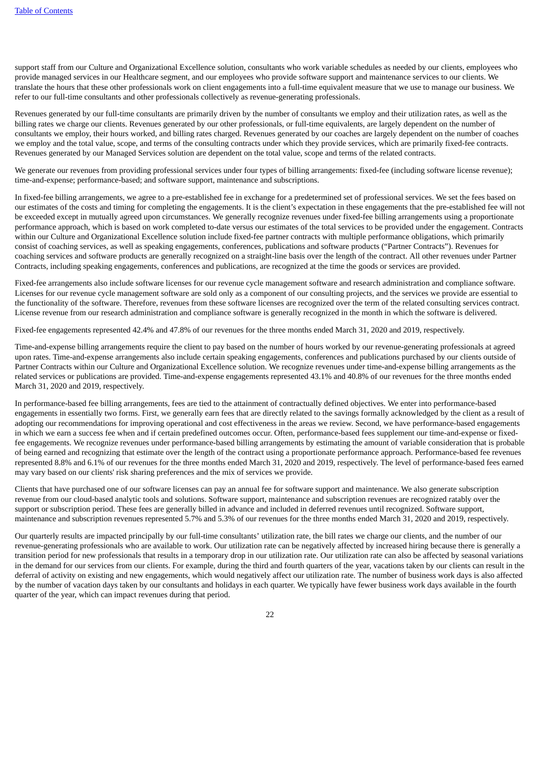support staff from our Culture and Organizational Excellence solution, consultants who work variable schedules as needed by our clients, employees who provide managed services in our Healthcare segment, and our employees who provide software support and maintenance services to our clients. We translate the hours that these other professionals work on client engagements into a full-time equivalent measure that we use to manage our business. We refer to our full-time consultants and other professionals collectively as revenue-generating professionals.

Revenues generated by our full-time consultants are primarily driven by the number of consultants we employ and their utilization rates, as well as the billing rates we charge our clients. Revenues generated by our other professionals, or full-time equivalents, are largely dependent on the number of consultants we employ, their hours worked, and billing rates charged. Revenues generated by our coaches are largely dependent on the number of coaches we employ and the total value, scope, and terms of the consulting contracts under which they provide services, which are primarily fixed-fee contracts. Revenues generated by our Managed Services solution are dependent on the total value, scope and terms of the related contracts.

We generate our revenues from providing professional services under four types of billing arrangements: fixed-fee (including software license revenue); time-and-expense; performance-based; and software support, maintenance and subscriptions.

In fixed-fee billing arrangements, we agree to a pre-established fee in exchange for a predetermined set of professional services. We set the fees based on our estimates of the costs and timing for completing the engagements. It is the client's expectation in these engagements that the pre-established fee will not be exceeded except in mutually agreed upon circumstances. We generally recognize revenues under fixed-fee billing arrangements using a proportionate performance approach, which is based on work completed to-date versus our estimates of the total services to be provided under the engagement. Contracts within our Culture and Organizational Excellence solution include fixed-fee partner contracts with multiple performance obligations, which primarily consist of coaching services, as well as speaking engagements, conferences, publications and software products ("Partner Contracts"). Revenues for coaching services and software products are generally recognized on a straight-line basis over the length of the contract. All other revenues under Partner Contracts, including speaking engagements, conferences and publications, are recognized at the time the goods or services are provided.

Fixed-fee arrangements also include software licenses for our revenue cycle management software and research administration and compliance software. Licenses for our revenue cycle management software are sold only as a component of our consulting projects, and the services we provide are essential to the functionality of the software. Therefore, revenues from these software licenses are recognized over the term of the related consulting services contract. License revenue from our research administration and compliance software is generally recognized in the month in which the software is delivered.

Fixed-fee engagements represented 42.4% and 47.8% of our revenues for the three months ended March 31, 2020 and 2019, respectively.

Time-and-expense billing arrangements require the client to pay based on the number of hours worked by our revenue-generating professionals at agreed upon rates. Time-and-expense arrangements also include certain speaking engagements, conferences and publications purchased by our clients outside of Partner Contracts within our Culture and Organizational Excellence solution. We recognize revenues under time-and-expense billing arrangements as the related services or publications are provided. Time-and-expense engagements represented 43.1% and 40.8% of our revenues for the three months ended March 31, 2020 and 2019, respectively.

In performance-based fee billing arrangements, fees are tied to the attainment of contractually defined objectives. We enter into performance-based engagements in essentially two forms. First, we generally earn fees that are directly related to the savings formally acknowledged by the client as a result of adopting our recommendations for improving operational and cost effectiveness in the areas we review. Second, we have performance-based engagements in which we earn a success fee when and if certain predefined outcomes occur. Often, performance-based fees supplement our time-and-expense or fixedfee engagements. We recognize revenues under performance-based billing arrangements by estimating the amount of variable consideration that is probable of being earned and recognizing that estimate over the length of the contract using a proportionate performance approach. Performance-based fee revenues represented 8.8% and 6.1% of our revenues for the three months ended March 31, 2020 and 2019, respectively. The level of performance-based fees earned may vary based on our clients' risk sharing preferences and the mix of services we provide.

Clients that have purchased one of our software licenses can pay an annual fee for software support and maintenance. We also generate subscription revenue from our cloud-based analytic tools and solutions. Software support, maintenance and subscription revenues are recognized ratably over the support or subscription period. These fees are generally billed in advance and included in deferred revenues until recognized. Software support, maintenance and subscription revenues represented 5.7% and 5.3% of our revenues for the three months ended March 31, 2020 and 2019, respectively.

Our quarterly results are impacted principally by our full-time consultants' utilization rate, the bill rates we charge our clients, and the number of our revenue-generating professionals who are available to work. Our utilization rate can be negatively affected by increased hiring because there is generally a transition period for new professionals that results in a temporary drop in our utilization rate. Our utilization rate can also be affected by seasonal variations in the demand for our services from our clients. For example, during the third and fourth quarters of the year, vacations taken by our clients can result in the deferral of activity on existing and new engagements, which would negatively affect our utilization rate. The number of business work days is also affected by the number of vacation days taken by our consultants and holidays in each quarter. We typically have fewer business work days available in the fourth quarter of the year, which can impact revenues during that period.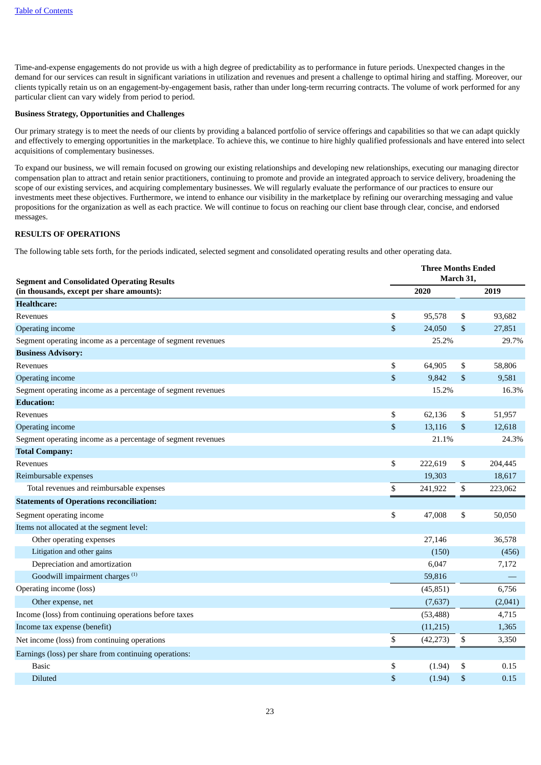Time-and-expense engagements do not provide us with a high degree of predictability as to performance in future periods. Unexpected changes in the demand for our services can result in significant variations in utilization and revenues and present a challenge to optimal hiring and staffing. Moreover, our clients typically retain us on an engagement-by-engagement basis, rather than under long-term recurring contracts. The volume of work performed for any particular client can vary widely from period to period.

## **Business Strategy, Opportunities and Challenges**

Our primary strategy is to meet the needs of our clients by providing a balanced portfolio of service offerings and capabilities so that we can adapt quickly and effectively to emerging opportunities in the marketplace. To achieve this, we continue to hire highly qualified professionals and have entered into select acquisitions of complementary businesses.

To expand our business, we will remain focused on growing our existing relationships and developing new relationships, executing our managing director compensation plan to attract and retain senior practitioners, continuing to promote and provide an integrated approach to service delivery, broadening the scope of our existing services, and acquiring complementary businesses. We will regularly evaluate the performance of our practices to ensure our investments meet these objectives. Furthermore, we intend to enhance our visibility in the marketplace by refining our overarching messaging and value propositions for the organization as well as each practice. We will continue to focus on reaching our client base through clear, concise, and endorsed messages.

# **RESULTS OF OPERATIONS**

The following table sets forth, for the periods indicated, selected segment and consolidated operating results and other operating data.

| <b>Segment and Consolidated Operating Results</b>            | <b>Three Months Ended</b><br>March 31, |           |               |
|--------------------------------------------------------------|----------------------------------------|-----------|---------------|
| (in thousands, except per share amounts):                    |                                        | 2020      | 2019          |
| <b>Healthcare:</b>                                           |                                        |           |               |
| Revenues                                                     | \$                                     | 95,578    | \$<br>93,682  |
| Operating income                                             | \$                                     | 24,050    | \$<br>27,851  |
| Segment operating income as a percentage of segment revenues |                                        | 25.2%     | 29.7%         |
| <b>Business Advisory:</b>                                    |                                        |           |               |
| <b>Revenues</b>                                              | \$                                     | 64,905    | \$<br>58,806  |
| Operating income                                             | \$                                     | 9,842     | \$<br>9,581   |
| Segment operating income as a percentage of segment revenues |                                        | 15.2%     | 16.3%         |
| <b>Education:</b>                                            |                                        |           |               |
| Revenues                                                     | \$                                     | 62,136    | \$<br>51,957  |
| Operating income                                             | \$                                     | 13,116    | \$<br>12,618  |
| Segment operating income as a percentage of segment revenues |                                        | 21.1%     | 24.3%         |
| <b>Total Company:</b>                                        |                                        |           |               |
| Revenues                                                     | \$                                     | 222,619   | \$<br>204,445 |
| Reimbursable expenses                                        |                                        | 19,303    | 18,617        |
| Total revenues and reimbursable expenses                     | \$                                     | 241,922   | \$<br>223,062 |
| <b>Statements of Operations reconciliation:</b>              |                                        |           |               |
| Segment operating income                                     | \$                                     | 47,008    | \$<br>50,050  |
| Items not allocated at the segment level:                    |                                        |           |               |
| Other operating expenses                                     |                                        | 27,146    | 36,578        |
| Litigation and other gains                                   |                                        | (150)     | (456)         |
| Depreciation and amortization                                |                                        | 6,047     | 7,172         |
| Goodwill impairment charges <sup>(1)</sup>                   |                                        | 59,816    |               |
| Operating income (loss)                                      |                                        | (45, 851) | 6,756         |
| Other expense, net                                           |                                        | (7,637)   | (2,041)       |
| Income (loss) from continuing operations before taxes        |                                        | (53, 488) | 4,715         |
| Income tax expense (benefit)                                 |                                        | (11,215)  | 1,365         |
| Net income (loss) from continuing operations                 | \$                                     | (42, 273) | \$<br>3,350   |
| Earnings (loss) per share from continuing operations:        |                                        |           |               |
| <b>Basic</b>                                                 | \$                                     | (1.94)    | \$<br>0.15    |
| <b>Diluted</b>                                               | \$                                     | (1.94)    | \$<br>0.15    |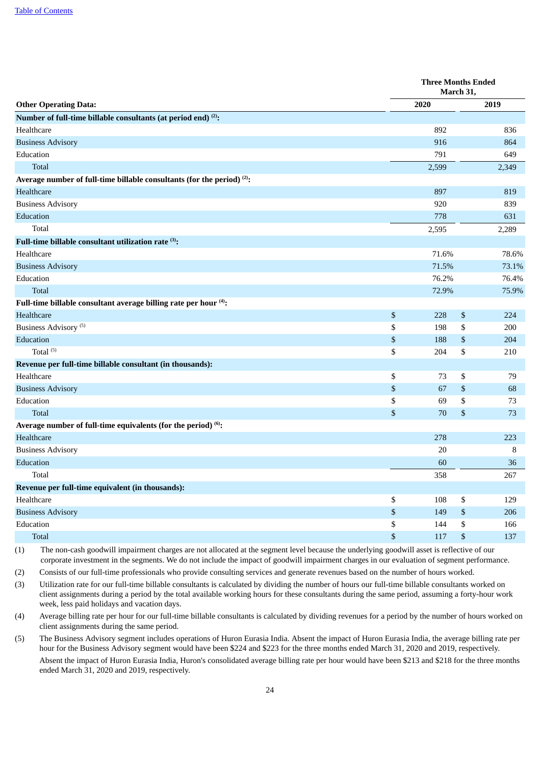|                                                                           | <b>Three Months Ended</b><br>March 31, |                           |       |  |  |  |
|---------------------------------------------------------------------------|----------------------------------------|---------------------------|-------|--|--|--|
| <b>Other Operating Data:</b>                                              | 2020                                   |                           | 2019  |  |  |  |
| Number of full-time billable consultants (at period end) <sup>(2)</sup> : |                                        |                           |       |  |  |  |
| Healthcare                                                                | 892                                    |                           | 836   |  |  |  |
| <b>Business Advisory</b>                                                  | 916                                    |                           | 864   |  |  |  |
| Education                                                                 | 791                                    |                           | 649   |  |  |  |
| <b>Total</b>                                                              | 2,599                                  |                           | 2,349 |  |  |  |
| Average number of full-time billable consultants (for the period) $(2)$ : |                                        |                           |       |  |  |  |
| Healthcare                                                                | 897                                    |                           | 819   |  |  |  |
| <b>Business Advisory</b>                                                  | 920                                    |                           | 839   |  |  |  |
| Education                                                                 | 778                                    |                           | 631   |  |  |  |
| Total                                                                     | 2,595                                  |                           | 2,289 |  |  |  |
| Full-time billable consultant utilization rate (3):                       |                                        |                           |       |  |  |  |
| Healthcare                                                                | 71.6%                                  |                           | 78.6% |  |  |  |
| <b>Business Advisory</b>                                                  | 71.5%                                  |                           | 73.1% |  |  |  |
| Education                                                                 | 76.2%                                  |                           | 76.4% |  |  |  |
| <b>Total</b>                                                              | 72.9%                                  |                           | 75.9% |  |  |  |
| Full-time billable consultant average billing rate per hour (4):          |                                        |                           |       |  |  |  |
| Healthcare                                                                | \$<br>228                              | \$                        | 224   |  |  |  |
| Business Advisory <sup>(5)</sup>                                          | \$<br>198                              | \$                        | 200   |  |  |  |
| Education                                                                 | \$<br>188                              | \$                        | 204   |  |  |  |
| Total $(5)$                                                               | \$<br>204                              | \$                        | 210   |  |  |  |
| Revenue per full-time billable consultant (in thousands):                 |                                        |                           |       |  |  |  |
| Healthcare                                                                | \$<br>73                               | \$                        | 79    |  |  |  |
| <b>Business Advisory</b>                                                  | \$<br>67                               | $\boldsymbol{\mathsf{S}}$ | 68    |  |  |  |
| Education                                                                 | \$<br>69                               | \$                        | 73    |  |  |  |
| <b>Total</b>                                                              | \$<br>70                               | \$                        | 73    |  |  |  |
| Average number of full-time equivalents (for the period) <sup>(6)</sup> : |                                        |                           |       |  |  |  |
| Healthcare                                                                | 278                                    |                           | 223   |  |  |  |
| <b>Business Advisory</b>                                                  | 20                                     |                           | 8     |  |  |  |
| Education                                                                 | 60                                     |                           | 36    |  |  |  |
| Total                                                                     | 358                                    |                           | 267   |  |  |  |
| Revenue per full-time equivalent (in thousands):                          |                                        |                           |       |  |  |  |
| Healthcare                                                                | \$<br>108                              | \$                        | 129   |  |  |  |
| <b>Business Advisory</b>                                                  | \$<br>149                              | $\boldsymbol{\mathsf{S}}$ | 206   |  |  |  |
| Education                                                                 | \$<br>144                              | \$                        | 166   |  |  |  |
| <b>Total</b>                                                              | \$<br>117                              | \$                        | 137   |  |  |  |

(1) The non-cash goodwill impairment charges are not allocated at the segment level because the underlying goodwill asset is reflective of our corporate investment in the segments. We do not include the impact of goodwill impairment charges in our evaluation of segment performance.

(2) Consists of our full-time professionals who provide consulting services and generate revenues based on the number of hours worked.

(3) Utilization rate for our full-time billable consultants is calculated by dividing the number of hours our full-time billable consultants worked on client assignments during a period by the total available working hours for these consultants during the same period, assuming a forty-hour work week, less paid holidays and vacation days.

(4) Average billing rate per hour for our full-time billable consultants is calculated by dividing revenues for a period by the number of hours worked on client assignments during the same period.

(5) The Business Advisory segment includes operations of Huron Eurasia India. Absent the impact of Huron Eurasia India, the average billing rate per hour for the Business Advisory segment would have been \$224 and \$223 for the three months ended March 31, 2020 and 2019, respectively. Absent the impact of Huron Eurasia India, Huron's consolidated average billing rate per hour would have been \$213 and \$218 for the three months ended March 31, 2020 and 2019, respectively.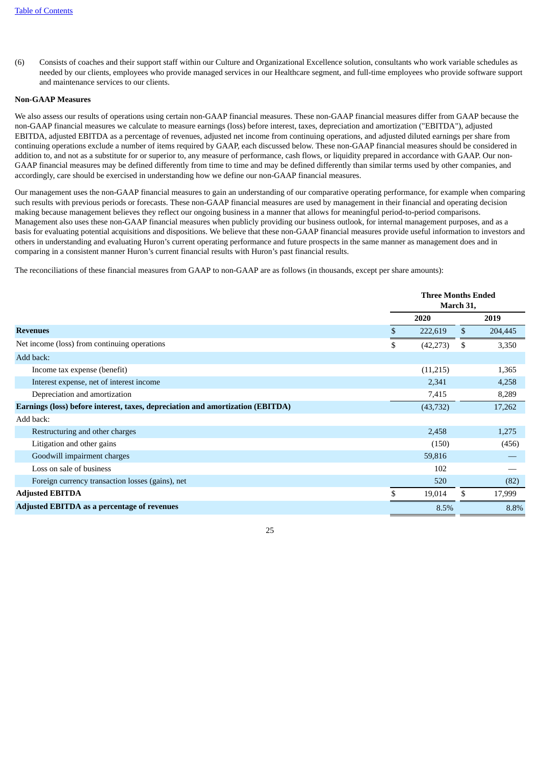(6) Consists of coaches and their support staff within our Culture and Organizational Excellence solution, consultants who work variable schedules as needed by our clients, employees who provide managed services in our Healthcare segment, and full-time employees who provide software support and maintenance services to our clients.

## **Non-GAAP Measures**

We also assess our results of operations using certain non-GAAP financial measures. These non-GAAP financial measures differ from GAAP because the non-GAAP financial measures we calculate to measure earnings (loss) before interest, taxes, depreciation and amortization ("EBITDA"), adjusted EBITDA, adjusted EBITDA as a percentage of revenues, adjusted net income from continuing operations, and adjusted diluted earnings per share from continuing operations exclude a number of items required by GAAP, each discussed below. These non-GAAP financial measures should be considered in addition to, and not as a substitute for or superior to, any measure of performance, cash flows, or liquidity prepared in accordance with GAAP. Our non-GAAP financial measures may be defined differently from time to time and may be defined differently than similar terms used by other companies, and accordingly, care should be exercised in understanding how we define our non-GAAP financial measures.

Our management uses the non-GAAP financial measures to gain an understanding of our comparative operating performance, for example when comparing such results with previous periods or forecasts. These non-GAAP financial measures are used by management in their financial and operating decision making because management believes they reflect our ongoing business in a manner that allows for meaningful period-to-period comparisons. Management also uses these non-GAAP financial measures when publicly providing our business outlook, for internal management purposes, and as a basis for evaluating potential acquisitions and dispositions. We believe that these non-GAAP financial measures provide useful information to investors and others in understanding and evaluating Huron's current operating performance and future prospects in the same manner as management does and in comparing in a consistent manner Huron's current financial results with Huron's past financial results.

The reconciliations of these financial measures from GAAP to non-GAAP are as follows (in thousands, except per share amounts):

|                                                                                | <b>Three Months Ended</b><br>March 31, |           |    |         |
|--------------------------------------------------------------------------------|----------------------------------------|-----------|----|---------|
|                                                                                | 2020                                   |           |    | 2019    |
| <b>Revenues</b>                                                                |                                        | 222,619   | \$ | 204,445 |
| Net income (loss) from continuing operations                                   | \$                                     | (42, 273) | S. | 3,350   |
| Add back:                                                                      |                                        |           |    |         |
| Income tax expense (benefit)                                                   |                                        | (11,215)  |    | 1,365   |
| Interest expense, net of interest income                                       |                                        | 2,341     |    | 4,258   |
| Depreciation and amortization                                                  |                                        | 7,415     |    | 8,289   |
| Earnings (loss) before interest, taxes, depreciation and amortization (EBITDA) |                                        | (43, 732) |    | 17,262  |
| Add back:                                                                      |                                        |           |    |         |
| Restructuring and other charges                                                |                                        | 2,458     |    | 1,275   |
| Litigation and other gains                                                     |                                        | (150)     |    | (456)   |
| Goodwill impairment charges                                                    |                                        | 59,816    |    |         |
| Loss on sale of business                                                       |                                        | 102       |    |         |
| Foreign currency transaction losses (gains), net                               |                                        | 520       |    | (82)    |
| <b>Adjusted EBITDA</b>                                                         | \$                                     | 19,014    | \$ | 17,999  |
| Adjusted EBITDA as a percentage of revenues                                    |                                        | 8.5%      |    | 8.8%    |

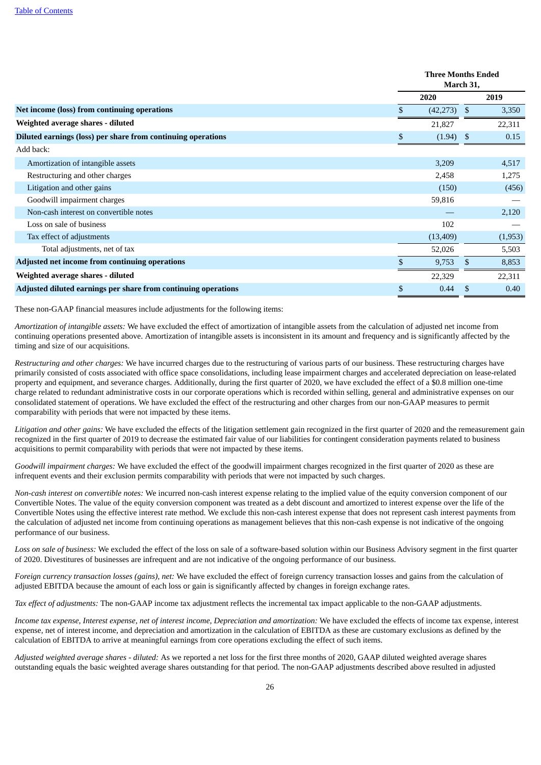|                                                                | <b>Three Months Ended</b><br>March 31, |           |     |         |  |
|----------------------------------------------------------------|----------------------------------------|-----------|-----|---------|--|
|                                                                | 2020                                   |           |     | 2019    |  |
| Net income (loss) from continuing operations                   | \$                                     | (42, 273) | \$  | 3,350   |  |
| Weighted average shares - diluted                              |                                        | 21,827    |     | 22,311  |  |
| Diluted earnings (loss) per share from continuing operations   | \$                                     | (1.94)    | -\$ | 0.15    |  |
| Add back:                                                      |                                        |           |     |         |  |
| Amortization of intangible assets                              |                                        | 3,209     |     | 4,517   |  |
| Restructuring and other charges                                |                                        | 2,458     |     | 1,275   |  |
| Litigation and other gains                                     |                                        | (150)     |     | (456)   |  |
| Goodwill impairment charges                                    |                                        | 59,816    |     |         |  |
| Non-cash interest on convertible notes                         |                                        |           |     | 2,120   |  |
| Loss on sale of business                                       |                                        | 102       |     |         |  |
| Tax effect of adjustments                                      |                                        | (13, 409) |     | (1,953) |  |
| Total adjustments, net of tax                                  |                                        | 52,026    |     | 5,503   |  |
| Adjusted net income from continuing operations                 |                                        | 9,753     | \$  | 8,853   |  |
| Weighted average shares - diluted                              |                                        | 22,329    |     | 22,311  |  |
| Adjusted diluted earnings per share from continuing operations | \$                                     | 0.44      |     | 0.40    |  |

These non-GAAP financial measures include adjustments for the following items:

*Amortization of intangible assets:* We have excluded the effect of amortization of intangible assets from the calculation of adjusted net income from continuing operations presented above. Amortization of intangible assets is inconsistent in its amount and frequency and is significantly affected by the timing and size of our acquisitions.

*Restructuring and other charges:* We have incurred charges due to the restructuring of various parts of our business. These restructuring charges have primarily consisted of costs associated with office space consolidations, including lease impairment charges and accelerated depreciation on lease-related property and equipment, and severance charges. Additionally, during the first quarter of 2020, we have excluded the effect of a \$0.8 million one-time charge related to redundant administrative costs in our corporate operations which is recorded within selling, general and administrative expenses on our consolidated statement of operations. We have excluded the effect of the restructuring and other charges from our non-GAAP measures to permit comparability with periods that were not impacted by these items.

*Litigation and other gains:* We have excluded the effects of the litigation settlement gain recognized in the first quarter of 2020 and the remeasurement gain recognized in the first quarter of 2019 to decrease the estimated fair value of our liabilities for contingent consideration payments related to business acquisitions to permit comparability with periods that were not impacted by these items.

*Goodwill impairment charges:* We have excluded the effect of the goodwill impairment charges recognized in the first quarter of 2020 as these are infrequent events and their exclusion permits comparability with periods that were not impacted by such charges.

*Non-cash interest on convertible notes:* We incurred non-cash interest expense relating to the implied value of the equity conversion component of our Convertible Notes. The value of the equity conversion component was treated as a debt discount and amortized to interest expense over the life of the Convertible Notes using the effective interest rate method. We exclude this non-cash interest expense that does not represent cash interest payments from the calculation of adjusted net income from continuing operations as management believes that this non-cash expense is not indicative of the ongoing performance of our business.

*Loss on sale of business:* We excluded the effect of the loss on sale of a software-based solution within our Business Advisory segment in the first quarter of 2020. Divestitures of businesses are infrequent and are not indicative of the ongoing performance of our business.

*Foreign currency transaction losses (gains), net:* We have excluded the effect of foreign currency transaction losses and gains from the calculation of adjusted EBITDA because the amount of each loss or gain is significantly affected by changes in foreign exchange rates.

*Tax effect of adjustments:* The non-GAAP income tax adjustment reflects the incremental tax impact applicable to the non-GAAP adjustments.

Income tax expense, Interest expense, net of interest income, Depreciation and amortization: We have excluded the effects of income tax expense, interest expense, net of interest income, and depreciation and amortization in the calculation of EBITDA as these are customary exclusions as defined by the calculation of EBITDA to arrive at meaningful earnings from core operations excluding the effect of such items.

*Adjusted weighted average shares - diluted:* As we reported a net loss for the first three months of 2020, GAAP diluted weighted average shares outstanding equals the basic weighted average shares outstanding for that period. The non-GAAP adjustments described above resulted in adjusted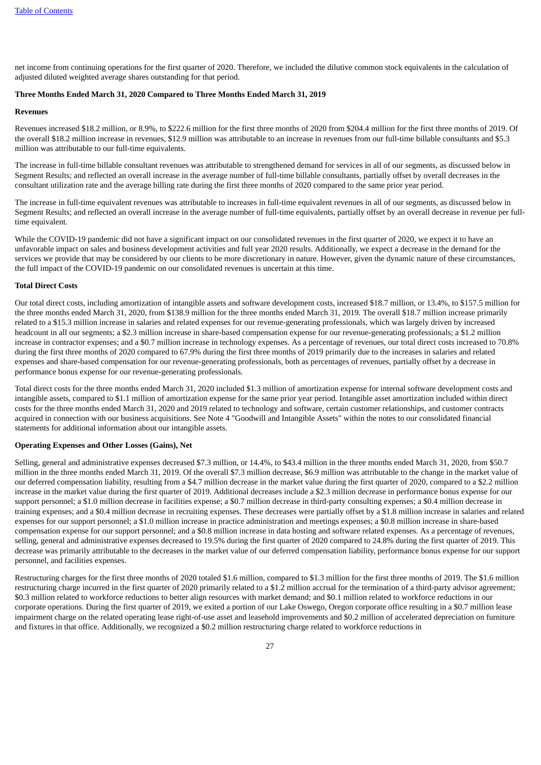net income from continuing operations for the first quarter of 2020. Therefore, we included the dilutive common stock equivalents in the calculation of adjusted diluted weighted average shares outstanding for that period.

#### **Three Months Ended March 31, 2020 Compared to Three Months Ended March 31, 2019**

#### **Revenues**

Revenues increased \$18.2 million, or 8.9%, to \$222.6 million for the first three months of 2020 from \$204.4 million for the first three months of 2019. Of the overall \$18.2 million increase in revenues, \$12.9 million was attributable to an increase in revenues from our full-time billable consultants and \$5.3 million was attributable to our full-time equivalents.

The increase in full-time billable consultant revenues was attributable to strengthened demand for services in all of our segments, as discussed below in Segment Results; and reflected an overall increase in the average number of full-time billable consultants, partially offset by overall decreases in the consultant utilization rate and the average billing rate during the first three months of 2020 compared to the same prior year period.

The increase in full-time equivalent revenues was attributable to increases in full-time equivalent revenues in all of our segments, as discussed below in Segment Results; and reflected an overall increase in the average number of full-time equivalents, partially offset by an overall decrease in revenue per fulltime equivalent.

While the COVID-19 pandemic did not have a significant impact on our consolidated revenues in the first quarter of 2020, we expect it to have an unfavorable impact on sales and business development activities and full year 2020 results. Additionally, we expect a decrease in the demand for the services we provide that may be considered by our clients to be more discretionary in nature. However, given the dynamic nature of these circumstances, the full impact of the COVID-19 pandemic on our consolidated revenues is uncertain at this time.

#### **Total Direct Costs**

Our total direct costs, including amortization of intangible assets and software development costs, increased \$18.7 million, or 13.4%, to \$157.5 million for the three months ended March 31, 2020, from \$138.9 million for the three months ended March 31, 2019. The overall \$18.7 million increase primarily related to a \$15.3 million increase in salaries and related expenses for our revenue-generating professionals, which was largely driven by increased headcount in all our segments; a \$2.3 million increase in share-based compensation expense for our revenue-generating professionals; a \$1.2 million increase in contractor expenses; and a \$0.7 million increase in technology expenses. As a percentage of revenues, our total direct costs increased to 70.8% during the first three months of 2020 compared to 67.9% during the first three months of 2019 primarily due to the increases in salaries and related expenses and share-based compensation for our revenue-generating professionals, both as percentages of revenues, partially offset by a decrease in performance bonus expense for our revenue-generating professionals.

Total direct costs for the three months ended March 31, 2020 included \$1.3 million of amortization expense for internal software development costs and intangible assets, compared to \$1.1 million of amortization expense for the same prior year period. Intangible asset amortization included within direct costs for the three months ended March 31, 2020 and 2019 related to technology and software, certain customer relationships, and customer contracts acquired in connection with our business acquisitions. See Note 4 "Goodwill and Intangible Assets" within the notes to our consolidated financial statements for additional information about our intangible assets.

#### **Operating Expenses and Other Losses (Gains), Net**

Selling, general and administrative expenses decreased \$7.3 million, or 14.4%, to \$43.4 million in the three months ended March 31, 2020, from \$50.7 million in the three months ended March 31, 2019. Of the overall \$7.3 million decrease, \$6.9 million was attributable to the change in the market value of our deferred compensation liability, resulting from a \$4.7 million decrease in the market value during the first quarter of 2020, compared to a \$2.2 million increase in the market value during the first quarter of 2019. Additional decreases include a \$2.3 million decrease in performance bonus expense for our support personnel; a \$1.0 million decrease in facilities expense; a \$0.7 million decrease in third-party consulting expenses; a \$0.4 million decrease in training expenses; and a \$0.4 million decrease in recruiting expenses. These decreases were partially offset by a \$1.8 million increase in salaries and related expenses for our support personnel; a \$1.0 million increase in practice administration and meetings expenses; a \$0.8 million increase in share-based compensation expense for our support personnel; and a \$0.8 million increase in data hosting and software related expenses. As a percentage of revenues, selling, general and administrative expenses decreased to 19.5% during the first quarter of 2020 compared to 24.8% during the first quarter of 2019. This decrease was primarily attributable to the decreases in the market value of our deferred compensation liability, performance bonus expense for our support personnel, and facilities expenses.

Restructuring charges for the first three months of 2020 totaled \$1.6 million, compared to \$1.3 million for the first three months of 2019. The \$1.6 million restructuring charge incurred in the first quarter of 2020 primarily related to a \$1.2 million accrual for the termination of a third-party advisor agreement; \$0.3 million related to workforce reductions to better align resources with market demand; and \$0.1 million related to workforce reductions in our corporate operations. During the first quarter of 2019, we exited a portion of our Lake Oswego, Oregon corporate office resulting in a \$0.7 million lease impairment charge on the related operating lease right-of-use asset and leasehold improvements and \$0.2 million of accelerated depreciation on furniture and fixtures in that office. Additionally, we recognized a \$0.2 million restructuring charge related to workforce reductions in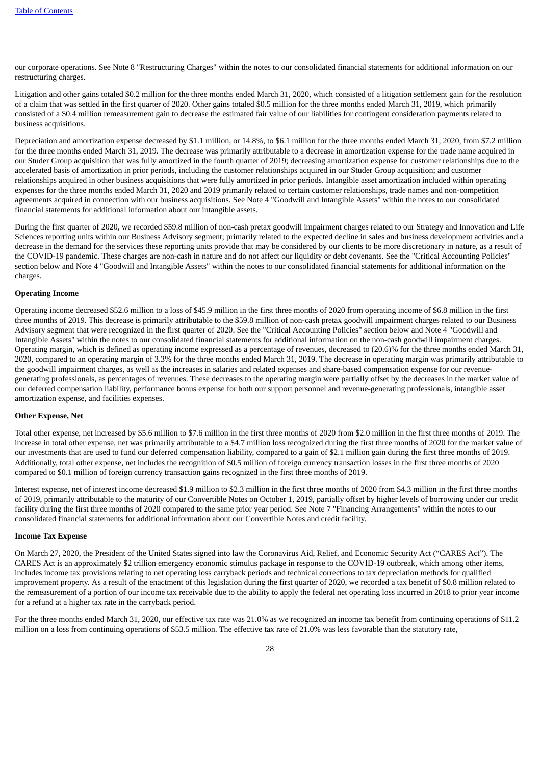our corporate operations. See Note 8 "Restructuring Charges" within the notes to our consolidated financial statements for additional information on our restructuring charges.

Litigation and other gains totaled \$0.2 million for the three months ended March 31, 2020, which consisted of a litigation settlement gain for the resolution of a claim that was settled in the first quarter of 2020. Other gains totaled \$0.5 million for the three months ended March 31, 2019, which primarily consisted of a \$0.4 million remeasurement gain to decrease the estimated fair value of our liabilities for contingent consideration payments related to business acquisitions.

Depreciation and amortization expense decreased by \$1.1 million, or 14.8%, to \$6.1 million for the three months ended March 31, 2020, from \$7.2 million for the three months ended March 31, 2019. The decrease was primarily attributable to a decrease in amortization expense for the trade name acquired in our Studer Group acquisition that was fully amortized in the fourth quarter of 2019; decreasing amortization expense for customer relationships due to the accelerated basis of amortization in prior periods, including the customer relationships acquired in our Studer Group acquisition; and customer relationships acquired in other business acquisitions that were fully amortized in prior periods. Intangible asset amortization included within operating expenses for the three months ended March 31, 2020 and 2019 primarily related to certain customer relationships, trade names and non-competition agreements acquired in connection with our business acquisitions. See Note 4 "Goodwill and Intangible Assets" within the notes to our consolidated financial statements for additional information about our intangible assets.

During the first quarter of 2020, we recorded \$59.8 million of non-cash pretax goodwill impairment charges related to our Strategy and Innovation and Life Sciences reporting units within our Business Advisory segment; primarily related to the expected decline in sales and business development activities and a decrease in the demand for the services these reporting units provide that may be considered by our clients to be more discretionary in nature, as a result of the COVID-19 pandemic. These charges are non-cash in nature and do not affect our liquidity or debt covenants. See the "Critical Accounting Policies" section below and Note 4 "Goodwill and Intangible Assets" within the notes to our consolidated financial statements for additional information on the charges.

#### **Operating Income**

Operating income decreased \$52.6 million to a loss of \$45.9 million in the first three months of 2020 from operating income of \$6.8 million in the first three months of 2019. This decrease is primarily attributable to the \$59.8 million of non-cash pretax goodwill impairment charges related to our Business Advisory segment that were recognized in the first quarter of 2020. See the "Critical Accounting Policies" section below and Note 4 "Goodwill and Intangible Assets" within the notes to our consolidated financial statements for additional information on the non-cash goodwill impairment charges. Operating margin, which is defined as operating income expressed as a percentage of revenues, decreased to (20.6)% for the three months ended March 31, 2020, compared to an operating margin of 3.3% for the three months ended March 31, 2019. The decrease in operating margin was primarily attributable to the goodwill impairment charges, as well as the increases in salaries and related expenses and share-based compensation expense for our revenuegenerating professionals, as percentages of revenues. These decreases to the operating margin were partially offset by the decreases in the market value of our deferred compensation liability, performance bonus expense for both our support personnel and revenue-generating professionals, intangible asset amortization expense, and facilities expenses.

### **Other Expense, Net**

Total other expense, net increased by \$5.6 million to \$7.6 million in the first three months of 2020 from \$2.0 million in the first three months of 2019. The increase in total other expense, net was primarily attributable to a \$4.7 million loss recognized during the first three months of 2020 for the market value of our investments that are used to fund our deferred compensation liability, compared to a gain of \$2.1 million gain during the first three months of 2019. Additionally, total other expense, net includes the recognition of \$0.5 million of foreign currency transaction losses in the first three months of 2020 compared to \$0.1 million of foreign currency transaction gains recognized in the first three months of 2019.

Interest expense, net of interest income decreased \$1.9 million to \$2.3 million in the first three months of 2020 from \$4.3 million in the first three months of 2019, primarily attributable to the maturity of our Convertible Notes on October 1, 2019, partially offset by higher levels of borrowing under our credit facility during the first three months of 2020 compared to the same prior year period. See Note 7 "Financing Arrangements" within the notes to our consolidated financial statements for additional information about our Convertible Notes and credit facility.

### **Income Tax Expense**

On March 27, 2020, the President of the United States signed into law the Coronavirus Aid, Relief, and Economic Security Act ("CARES Act"). The CARES Act is an approximately \$2 trillion emergency economic stimulus package in response to the COVID-19 outbreak, which among other items, includes income tax provisions relating to net operating loss carryback periods and technical corrections to tax depreciation methods for qualified improvement property. As a result of the enactment of this legislation during the first quarter of 2020, we recorded a tax benefit of \$0.8 million related to the remeasurement of a portion of our income tax receivable due to the ability to apply the federal net operating loss incurred in 2018 to prior year income for a refund at a higher tax rate in the carryback period.

For the three months ended March 31, 2020, our effective tax rate was 21.0% as we recognized an income tax benefit from continuing operations of \$11.2 million on a loss from continuing operations of \$53.5 million. The effective tax rate of 21.0% was less favorable than the statutory rate,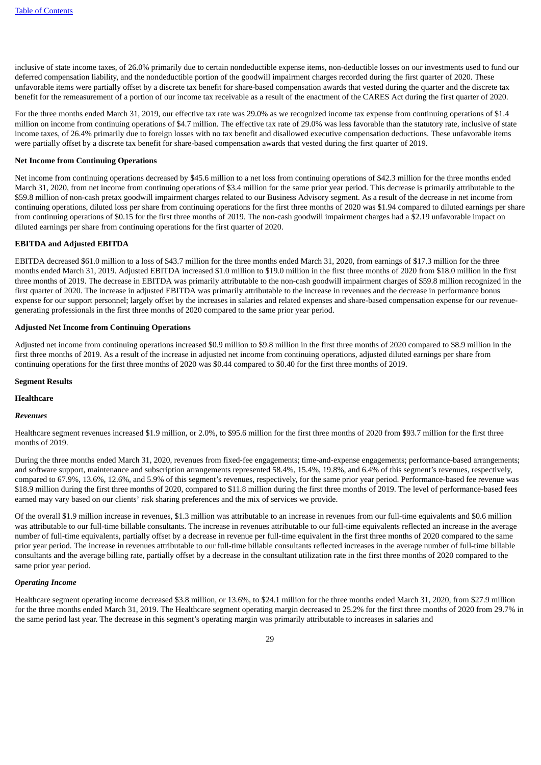inclusive of state income taxes, of 26.0% primarily due to certain nondeductible expense items, non-deductible losses on our investments used to fund our deferred compensation liability, and the nondeductible portion of the goodwill impairment charges recorded during the first quarter of 2020. These unfavorable items were partially offset by a discrete tax benefit for share-based compensation awards that vested during the quarter and the discrete tax benefit for the remeasurement of a portion of our income tax receivable as a result of the enactment of the CARES Act during the first quarter of 2020.

For the three months ended March 31, 2019, our effective tax rate was 29.0% as we recognized income tax expense from continuing operations of \$1.4 million on income from continuing operations of \$4.7 million. The effective tax rate of 29.0% was less favorable than the statutory rate, inclusive of state income taxes, of 26.4% primarily due to foreign losses with no tax benefit and disallowed executive compensation deductions. These unfavorable items were partially offset by a discrete tax benefit for share-based compensation awards that vested during the first quarter of 2019.

#### **Net Income from Continuing Operations**

Net income from continuing operations decreased by \$45.6 million to a net loss from continuing operations of \$42.3 million for the three months ended March 31, 2020, from net income from continuing operations of \$3.4 million for the same prior year period. This decrease is primarily attributable to the \$59.8 million of non-cash pretax goodwill impairment charges related to our Business Advisory segment. As a result of the decrease in net income from continuing operations, diluted loss per share from continuing operations for the first three months of 2020 was \$1.94 compared to diluted earnings per share from continuing operations of \$0.15 for the first three months of 2019. The non-cash goodwill impairment charges had a \$2.19 unfavorable impact on diluted earnings per share from continuing operations for the first quarter of 2020.

#### **EBITDA and Adjusted EBITDA**

EBITDA decreased \$61.0 million to a loss of \$43.7 million for the three months ended March 31, 2020, from earnings of \$17.3 million for the three months ended March 31, 2019. Adjusted EBITDA increased \$1.0 million to \$19.0 million in the first three months of 2020 from \$18.0 million in the first three months of 2019. The decrease in EBITDA was primarily attributable to the non-cash goodwill impairment charges of \$59.8 million recognized in the first quarter of 2020. The increase in adjusted EBITDA was primarily attributable to the increase in revenues and the decrease in performance bonus expense for our support personnel; largely offset by the increases in salaries and related expenses and share-based compensation expense for our revenuegenerating professionals in the first three months of 2020 compared to the same prior year period.

#### **Adjusted Net Income from Continuing Operations**

Adjusted net income from continuing operations increased \$0.9 million to \$9.8 million in the first three months of 2020 compared to \$8.9 million in the first three months of 2019. As a result of the increase in adjusted net income from continuing operations, adjusted diluted earnings per share from continuing operations for the first three months of 2020 was \$0.44 compared to \$0.40 for the first three months of 2019.

#### **Segment Results**

## **Healthcare**

## *Revenues*

Healthcare segment revenues increased \$1.9 million, or 2.0%, to \$95.6 million for the first three months of 2020 from \$93.7 million for the first three months of 2019.

During the three months ended March 31, 2020, revenues from fixed-fee engagements; time-and-expense engagements; performance-based arrangements; and software support, maintenance and subscription arrangements represented 58.4%, 15.4%, 19.8%, and 6.4% of this segment's revenues, respectively, compared to 67.9%, 13.6%, 12.6%, and 5.9% of this segment's revenues, respectively, for the same prior year period. Performance-based fee revenue was \$18.9 million during the first three months of 2020, compared to \$11.8 million during the first three months of 2019. The level of performance-based fees earned may vary based on our clients' risk sharing preferences and the mix of services we provide.

Of the overall \$1.9 million increase in revenues, \$1.3 million was attributable to an increase in revenues from our full-time equivalents and \$0.6 million was attributable to our full-time billable consultants. The increase in revenues attributable to our full-time equivalents reflected an increase in the average number of full-time equivalents, partially offset by a decrease in revenue per full-time equivalent in the first three months of 2020 compared to the same prior year period. The increase in revenues attributable to our full-time billable consultants reflected increases in the average number of full-time billable consultants and the average billing rate, partially offset by a decrease in the consultant utilization rate in the first three months of 2020 compared to the same prior year period.

#### *Operating Income*

Healthcare segment operating income decreased \$3.8 million, or 13.6%, to \$24.1 million for the three months ended March 31, 2020, from \$27.9 million for the three months ended March 31, 2019. The Healthcare segment operating margin decreased to 25.2% for the first three months of 2020 from 29.7% in the same period last year. The decrease in this segment's operating margin was primarily attributable to increases in salaries and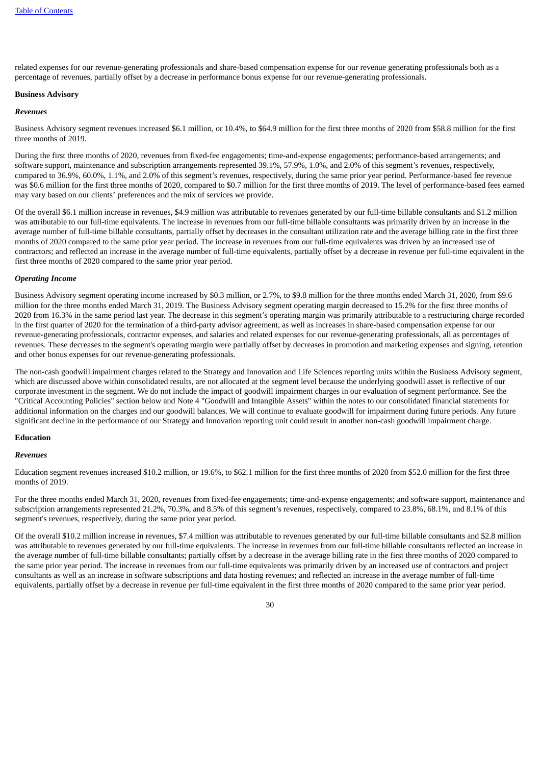related expenses for our revenue-generating professionals and share-based compensation expense for our revenue generating professionals both as a percentage of revenues, partially offset by a decrease in performance bonus expense for our revenue-generating professionals.

#### **Business Advisory**

#### *Revenues*

Business Advisory segment revenues increased \$6.1 million, or 10.4%, to \$64.9 million for the first three months of 2020 from \$58.8 million for the first three months of 2019.

During the first three months of 2020, revenues from fixed-fee engagements; time-and-expense engagements; performance-based arrangements; and software support, maintenance and subscription arrangements represented 39.1%, 57.9%, 1.0%, and 2.0% of this segment's revenues, respectively, compared to 36.9%, 60.0%, 1.1%, and 2.0% of this segment's revenues, respectively, during the same prior year period. Performance-based fee revenue was \$0.6 million for the first three months of 2020, compared to \$0.7 million for the first three months of 2019. The level of performance-based fees earned may vary based on our clients' preferences and the mix of services we provide.

Of the overall \$6.1 million increase in revenues, \$4.9 million was attributable to revenues generated by our full-time billable consultants and \$1.2 million was attributable to our full-time equivalents. The increase in revenues from our full-time billable consultants was primarily driven by an increase in the average number of full-time billable consultants, partially offset by decreases in the consultant utilization rate and the average billing rate in the first three months of 2020 compared to the same prior year period. The increase in revenues from our full-time equivalents was driven by an increased use of contractors; and reflected an increase in the average number of full-time equivalents, partially offset by a decrease in revenue per full-time equivalent in the first three months of 2020 compared to the same prior year period.

#### *Operating Income*

Business Advisory segment operating income increased by \$0.3 million, or 2.7%, to \$9.8 million for the three months ended March 31, 2020, from \$9.6 million for the three months ended March 31, 2019. The Business Advisory segment operating margin decreased to 15.2% for the first three months of 2020 from 16.3% in the same period last year. The decrease in this segment's operating margin was primarily attributable to a restructuring charge recorded in the first quarter of 2020 for the termination of a third-party advisor agreement, as well as increases in share-based compensation expense for our revenue-generating professionals, contractor expenses, and salaries and related expenses for our revenue-generating professionals, all as percentages of revenues. These decreases to the segment's operating margin were partially offset by decreases in promotion and marketing expenses and signing, retention and other bonus expenses for our revenue-generating professionals.

The non-cash goodwill impairment charges related to the Strategy and Innovation and Life Sciences reporting units within the Business Advisory segment, which are discussed above within consolidated results, are not allocated at the segment level because the underlying goodwill asset is reflective of our corporate investment in the segment. We do not include the impact of goodwill impairment charges in our evaluation of segment performance. See the "Critical Accounting Policies" section below and Note 4 "Goodwill and Intangible Assets" within the notes to our consolidated financial statements for additional information on the charges and our goodwill balances. We will continue to evaluate goodwill for impairment during future periods. Any future significant decline in the performance of our Strategy and Innovation reporting unit could result in another non-cash goodwill impairment charge.

#### **Education**

#### *Revenues*

Education segment revenues increased \$10.2 million, or 19.6%, to \$62.1 million for the first three months of 2020 from \$52.0 million for the first three months of 2019.

For the three months ended March 31, 2020, revenues from fixed-fee engagements; time-and-expense engagements; and software support, maintenance and subscription arrangements represented 21.2%, 70.3%, and 8.5% of this segment's revenues, respectively, compared to 23.8%, 68.1%, and 8.1% of this segment's revenues, respectively, during the same prior year period.

Of the overall \$10.2 million increase in revenues, \$7.4 million was attributable to revenues generated by our full-time billable consultants and \$2.8 million was attributable to revenues generated by our full-time equivalents. The increase in revenues from our full-time billable consultants reflected an increase in the average number of full-time billable consultants; partially offset by a decrease in the average billing rate in the first three months of 2020 compared to the same prior year period. The increase in revenues from our full-time equivalents was primarily driven by an increased use of contractors and project consultants as well as an increase in software subscriptions and data hosting revenues; and reflected an increase in the average number of full-time equivalents, partially offset by a decrease in revenue per full-time equivalent in the first three months of 2020 compared to the same prior year period.

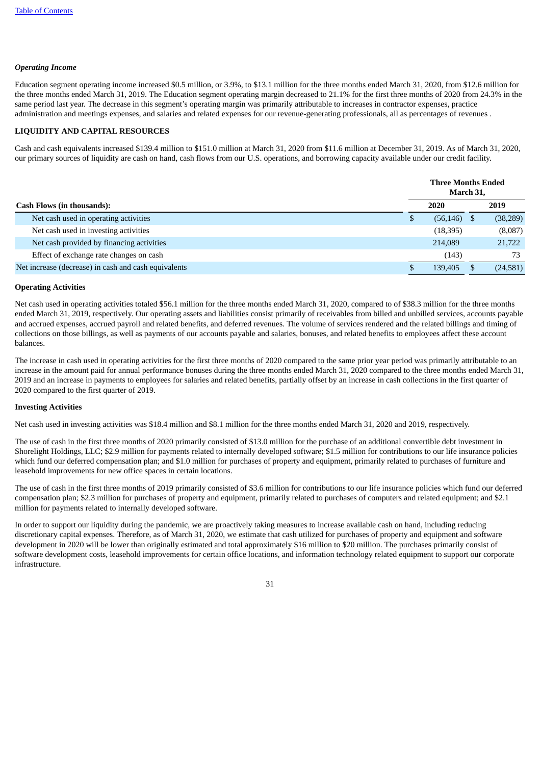## *Operating Income*

Education segment operating income increased \$0.5 million, or 3.9%, to \$13.1 million for the three months ended March 31, 2020, from \$12.6 million for the three months ended March 31, 2019. The Education segment operating margin decreased to 21.1% for the first three months of 2020 from 24.3% in the same period last year. The decrease in this segment's operating margin was primarily attributable to increases in contractor expenses, practice administration and meetings expenses, and salaries and related expenses for our revenue-generating professionals, all as percentages of revenues .

## **LIQUIDITY AND CAPITAL RESOURCES**

Cash and cash equivalents increased \$139.4 million to \$151.0 million at March 31, 2020 from \$11.6 million at December 31, 2019. As of March 31, 2020, our primary sources of liquidity are cash on hand, cash flows from our U.S. operations, and borrowing capacity available under our credit facility.

|                                                      | <b>Three Months Ended</b><br>March 31, |                |  |           |
|------------------------------------------------------|----------------------------------------|----------------|--|-----------|
| <b>Cash Flows (in thousands):</b>                    |                                        | 2020           |  | 2019      |
| Net cash used in operating activities                |                                        | $(56, 146)$ \$ |  | (38, 289) |
| Net cash used in investing activities                |                                        | (18, 395)      |  | (8,087)   |
| Net cash provided by financing activities            |                                        | 214,089        |  | 21,722    |
| Effect of exchange rate changes on cash              |                                        | (143)          |  | 73        |
| Net increase (decrease) in cash and cash equivalents |                                        | 139,405        |  | (24, 581) |

### **Operating Activities**

Net cash used in operating activities totaled \$56.1 million for the three months ended March 31, 2020, compared to of \$38.3 million for the three months ended March 31, 2019, respectively. Our operating assets and liabilities consist primarily of receivables from billed and unbilled services, accounts payable and accrued expenses, accrued payroll and related benefits, and deferred revenues. The volume of services rendered and the related billings and timing of collections on those billings, as well as payments of our accounts payable and salaries, bonuses, and related benefits to employees affect these account balances.

The increase in cash used in operating activities for the first three months of 2020 compared to the same prior year period was primarily attributable to an increase in the amount paid for annual performance bonuses during the three months ended March 31, 2020 compared to the three months ended March 31, 2019 and an increase in payments to employees for salaries and related benefits, partially offset by an increase in cash collections in the first quarter of 2020 compared to the first quarter of 2019.

#### **Investing Activities**

Net cash used in investing activities was \$18.4 million and \$8.1 million for the three months ended March 31, 2020 and 2019, respectively.

The use of cash in the first three months of 2020 primarily consisted of \$13.0 million for the purchase of an additional convertible debt investment in Shorelight Holdings, LLC; \$2.9 million for payments related to internally developed software; \$1.5 million for contributions to our life insurance policies which fund our deferred compensation plan; and \$1.0 million for purchases of property and equipment, primarily related to purchases of furniture and leasehold improvements for new office spaces in certain locations.

The use of cash in the first three months of 2019 primarily consisted of \$3.6 million for contributions to our life insurance policies which fund our deferred compensation plan; \$2.3 million for purchases of property and equipment, primarily related to purchases of computers and related equipment; and \$2.1 million for payments related to internally developed software.

In order to support our liquidity during the pandemic, we are proactively taking measures to increase available cash on hand, including reducing discretionary capital expenses. Therefore, as of March 31, 2020, we estimate that cash utilized for purchases of property and equipment and software development in 2020 will be lower than originally estimated and total approximately \$16 million to \$20 million. The purchases primarily consist of software development costs, leasehold improvements for certain office locations, and information technology related equipment to support our corporate infrastructure.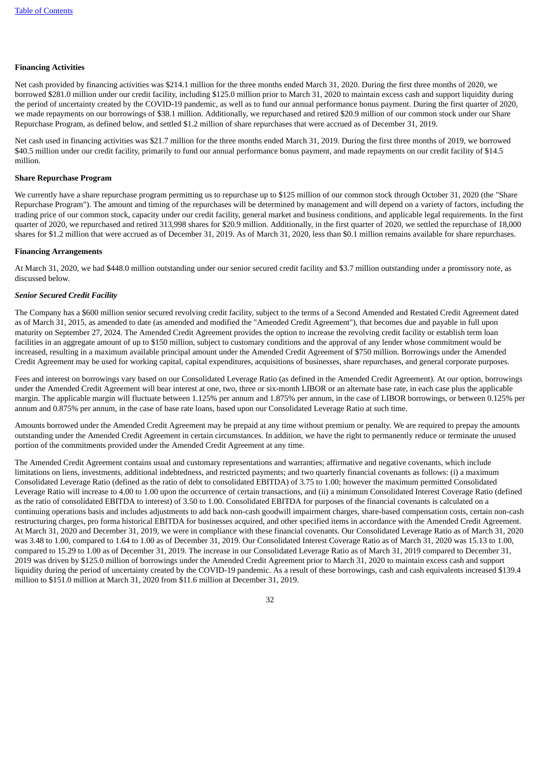## **Financing Activities**

Net cash provided by financing activities was \$214.1 million for the three months ended March 31, 2020. During the first three months of 2020, we borrowed \$281.0 million under our credit facility, including \$125.0 million prior to March 31, 2020 to maintain excess cash and support liquidity during the period of uncertainty created by the COVID-19 pandemic, as well as to fund our annual performance bonus payment. During the first quarter of 2020, we made repayments on our borrowings of \$38.1 million. Additionally, we repurchased and retired \$20.9 million of our common stock under our Share Repurchase Program, as defined below, and settled \$1.2 million of share repurchases that were accrued as of December 31, 2019.

Net cash used in financing activities was \$21.7 million for the three months ended March 31, 2019. During the first three months of 2019, we borrowed \$40.5 million under our credit facility, primarily to fund our annual performance bonus payment, and made repayments on our credit facility of \$14.5 million.

#### **Share Repurchase Program**

We currently have a share repurchase program permitting us to repurchase up to \$125 million of our common stock through October 31, 2020 (the "Share Repurchase Program"). The amount and timing of the repurchases will be determined by management and will depend on a variety of factors, including the trading price of our common stock, capacity under our credit facility, general market and business conditions, and applicable legal requirements. In the first quarter of 2020, we repurchased and retired 313,998 shares for \$20.9 million. Additionally, in the first quarter of 2020, we settled the repurchase of 18,000 shares for \$1.2 million that were accrued as of December 31, 2019. As of March 31, 2020, less than \$0.1 million remains available for share repurchases.

#### **Financing Arrangements**

At March 31, 2020, we had \$448.0 million outstanding under our senior secured credit facility and \$3.7 million outstanding under a promissory note, as discussed below.

### *Senior Secured Credit Facility*

The Company has a \$600 million senior secured revolving credit facility, subject to the terms of a Second Amended and Restated Credit Agreement dated as of March 31, 2015, as amended to date (as amended and modified the "Amended Credit Agreement"), that becomes due and payable in full upon maturity on September 27, 2024. The Amended Credit Agreement provides the option to increase the revolving credit facility or establish term loan facilities in an aggregate amount of up to \$150 million, subject to customary conditions and the approval of any lender whose commitment would be increased, resulting in a maximum available principal amount under the Amended Credit Agreement of \$750 million. Borrowings under the Amended Credit Agreement may be used for working capital, capital expenditures, acquisitions of businesses, share repurchases, and general corporate purposes.

Fees and interest on borrowings vary based on our Consolidated Leverage Ratio (as defined in the Amended Credit Agreement). At our option, borrowings under the Amended Credit Agreement will bear interest at one, two, three or six-month LIBOR or an alternate base rate, in each case plus the applicable margin. The applicable margin will fluctuate between 1.125% per annum and 1.875% per annum, in the case of LIBOR borrowings, or between 0.125% per annum and 0.875% per annum, in the case of base rate loans, based upon our Consolidated Leverage Ratio at such time.

Amounts borrowed under the Amended Credit Agreement may be prepaid at any time without premium or penalty. We are required to prepay the amounts outstanding under the Amended Credit Agreement in certain circumstances. In addition, we have the right to permanently reduce or terminate the unused portion of the commitments provided under the Amended Credit Agreement at any time.

The Amended Credit Agreement contains usual and customary representations and warranties; affirmative and negative covenants, which include limitations on liens, investments, additional indebtedness, and restricted payments; and two quarterly financial covenants as follows: (i) a maximum Consolidated Leverage Ratio (defined as the ratio of debt to consolidated EBITDA) of 3.75 to 1.00; however the maximum permitted Consolidated Leverage Ratio will increase to 4.00 to 1.00 upon the occurrence of certain transactions, and (ii) a minimum Consolidated Interest Coverage Ratio (defined as the ratio of consolidated EBITDA to interest) of 3.50 to 1.00. Consolidated EBITDA for purposes of the financial covenants is calculated on a continuing operations basis and includes adjustments to add back non-cash goodwill impairment charges, share-based compensation costs, certain non-cash restructuring charges, pro forma historical EBITDA for businesses acquired, and other specified items in accordance with the Amended Credit Agreement. At March 31, 2020 and December 31, 2019, we were in compliance with these financial covenants. Our Consolidated Leverage Ratio as of March 31, 2020 was 3.48 to 1.00, compared to 1.64 to 1.00 as of December 31, 2019. Our Consolidated Interest Coverage Ratio as of March 31, 2020 was 15.13 to 1.00, compared to 15.29 to 1.00 as of December 31, 2019. The increase in our Consolidated Leverage Ratio as of March 31, 2019 compared to December 31, 2019 was driven by \$125.0 million of borrowings under the Amended Credit Agreement prior to March 31, 2020 to maintain excess cash and support liquidity during the period of uncertainty created by the COVID-19 pandemic. As a result of these borrowings, cash and cash equivalents increased \$139.4 million to \$151.0 million at March 31, 2020 from \$11.6 million at December 31, 2019.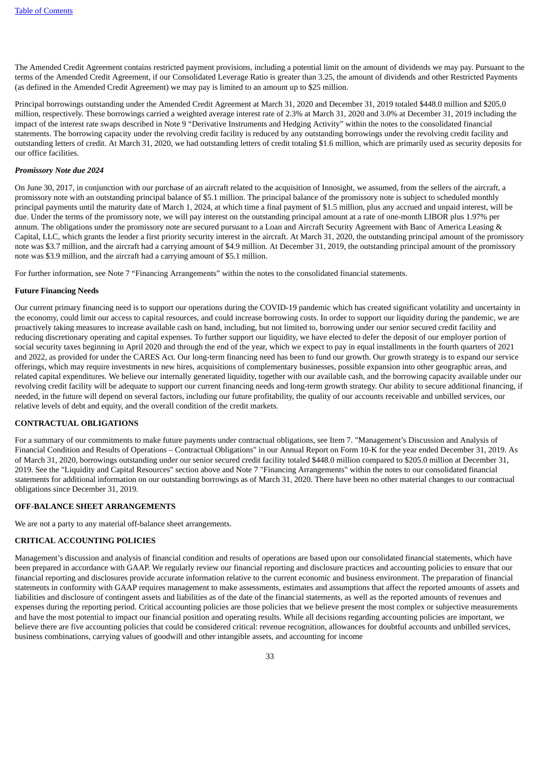The Amended Credit Agreement contains restricted payment provisions, including a potential limit on the amount of dividends we may pay. Pursuant to the terms of the Amended Credit Agreement, if our Consolidated Leverage Ratio is greater than 3.25, the amount of dividends and other Restricted Payments (as defined in the Amended Credit Agreement) we may pay is limited to an amount up to \$25 million.

Principal borrowings outstanding under the Amended Credit Agreement at March 31, 2020 and December 31, 2019 totaled \$448.0 million and \$205.0 million, respectively. These borrowings carried a weighted average interest rate of 2.3% at March 31, 2020 and 3.0% at December 31, 2019 including the impact of the interest rate swaps described in Note 9 "Derivative Instruments and Hedging Activity" within the notes to the consolidated financial statements. The borrowing capacity under the revolving credit facility is reduced by any outstanding borrowings under the revolving credit facility and outstanding letters of credit. At March 31, 2020, we had outstanding letters of credit totaling \$1.6 million, which are primarily used as security deposits for our office facilities.

#### *Promissory Note due 2024*

On June 30, 2017, in conjunction with our purchase of an aircraft related to the acquisition of Innosight, we assumed, from the sellers of the aircraft, a promissory note with an outstanding principal balance of \$5.1 million. The principal balance of the promissory note is subject to scheduled monthly principal payments until the maturity date of March 1, 2024, at which time a final payment of \$1.5 million, plus any accrued and unpaid interest, will be due. Under the terms of the promissory note, we will pay interest on the outstanding principal amount at a rate of one-month LIBOR plus 1.97% per annum. The obligations under the promissory note are secured pursuant to a Loan and Aircraft Security Agreement with Banc of America Leasing & Capital, LLC, which grants the lender a first priority security interest in the aircraft. At March 31, 2020, the outstanding principal amount of the promissory note was \$3.7 million, and the aircraft had a carrying amount of \$4.9 million. At December 31, 2019, the outstanding principal amount of the promissory note was \$3.9 million, and the aircraft had a carrying amount of \$5.1 million.

For further information, see Note 7 "Financing Arrangements" within the notes to the consolidated financial statements.

#### **Future Financing Needs**

Our current primary financing need is to support our operations during the COVID-19 pandemic which has created significant volatility and uncertainty in the economy, could limit our access to capital resources, and could increase borrowing costs. In order to support our liquidity during the pandemic, we are proactively taking measures to increase available cash on hand, including, but not limited to, borrowing under our senior secured credit facility and reducing discretionary operating and capital expenses. To further support our liquidity, we have elected to defer the deposit of our employer portion of social security taxes beginning in April 2020 and through the end of the year, which we expect to pay in equal installments in the fourth quarters of 2021 and 2022, as provided for under the CARES Act. Our long-term financing need has been to fund our growth. Our growth strategy is to expand our service offerings, which may require investments in new hires, acquisitions of complementary businesses, possible expansion into other geographic areas, and related capital expenditures. We believe our internally generated liquidity, together with our available cash, and the borrowing capacity available under our revolving credit facility will be adequate to support our current financing needs and long-term growth strategy. Our ability to secure additional financing, if needed, in the future will depend on several factors, including our future profitability, the quality of our accounts receivable and unbilled services, our relative levels of debt and equity, and the overall condition of the credit markets.

### **CONTRACTUAL OBLIGATIONS**

For a summary of our commitments to make future payments under contractual obligations, see Item 7. "Management's Discussion and Analysis of Financial Condition and Results of Operations – Contractual Obligations" in our Annual Report on Form 10-K for the year ended December 31, 2019. As of March 31, 2020, borrowings outstanding under our senior secured credit facility totaled \$448.0 million compared to \$205.0 million at December 31, 2019. See the "Liquidity and Capital Resources" section above and Note 7 "Financing Arrangements" within the notes to our consolidated financial statements for additional information on our outstanding borrowings as of March 31, 2020. There have been no other material changes to our contractual obligations since December 31, 2019.

## **OFF-BALANCE SHEET ARRANGEMENTS**

We are not a party to any material off-balance sheet arrangements.

## **CRITICAL ACCOUNTING POLICIES**

Management's discussion and analysis of financial condition and results of operations are based upon our consolidated financial statements, which have been prepared in accordance with GAAP. We regularly review our financial reporting and disclosure practices and accounting policies to ensure that our financial reporting and disclosures provide accurate information relative to the current economic and business environment. The preparation of financial statements in conformity with GAAP requires management to make assessments, estimates and assumptions that affect the reported amounts of assets and liabilities and disclosure of contingent assets and liabilities as of the date of the financial statements, as well as the reported amounts of revenues and expenses during the reporting period. Critical accounting policies are those policies that we believe present the most complex or subjective measurements and have the most potential to impact our financial position and operating results. While all decisions regarding accounting policies are important, we believe there are five accounting policies that could be considered critical: revenue recognition, allowances for doubtful accounts and unbilled services, business combinations, carrying values of goodwill and other intangible assets, and accounting for income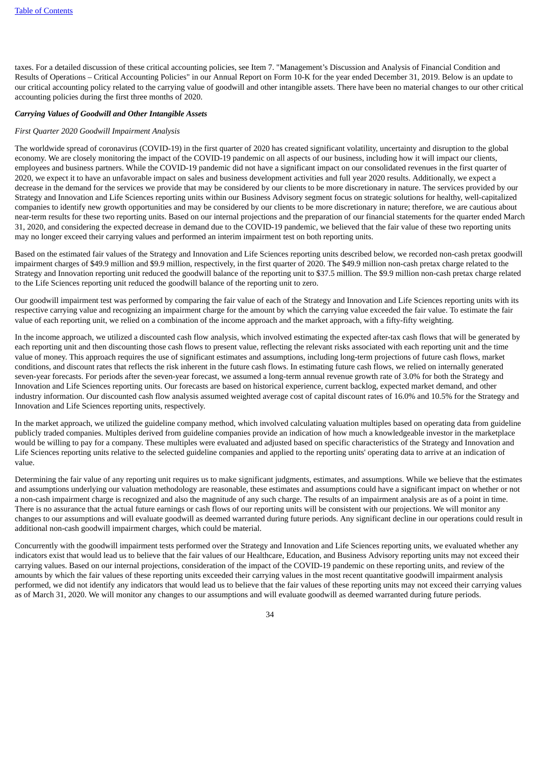taxes. For a detailed discussion of these critical accounting policies, see Item 7. "Management's Discussion and Analysis of Financial Condition and Results of Operations – Critical Accounting Policies" in our Annual Report on Form 10-K for the year ended December 31, 2019. Below is an update to our critical accounting policy related to the carrying value of goodwill and other intangible assets. There have been no material changes to our other critical accounting policies during the first three months of 2020.

#### *Carrying Values of Goodwill and Other Intangible Assets*

#### *First Quarter 2020 Goodwill Impairment Analysis*

The worldwide spread of coronavirus (COVID-19) in the first quarter of 2020 has created significant volatility, uncertainty and disruption to the global economy. We are closely monitoring the impact of the COVID-19 pandemic on all aspects of our business, including how it will impact our clients, employees and business partners. While the COVID-19 pandemic did not have a significant impact on our consolidated revenues in the first quarter of 2020, we expect it to have an unfavorable impact on sales and business development activities and full year 2020 results. Additionally, we expect a decrease in the demand for the services we provide that may be considered by our clients to be more discretionary in nature. The services provided by our Strategy and Innovation and Life Sciences reporting units within our Business Advisory segment focus on strategic solutions for healthy, well-capitalized companies to identify new growth opportunities and may be considered by our clients to be more discretionary in nature; therefore, we are cautious about near-term results for these two reporting units. Based on our internal projections and the preparation of our financial statements for the quarter ended March 31, 2020, and considering the expected decrease in demand due to the COVID-19 pandemic, we believed that the fair value of these two reporting units may no longer exceed their carrying values and performed an interim impairment test on both reporting units.

Based on the estimated fair values of the Strategy and Innovation and Life Sciences reporting units described below, we recorded non-cash pretax goodwill impairment charges of \$49.9 million and \$9.9 million, respectively, in the first quarter of 2020. The \$49.9 million non-cash pretax charge related to the Strategy and Innovation reporting unit reduced the goodwill balance of the reporting unit to \$37.5 million. The \$9.9 million non-cash pretax charge related to the Life Sciences reporting unit reduced the goodwill balance of the reporting unit to zero.

Our goodwill impairment test was performed by comparing the fair value of each of the Strategy and Innovation and Life Sciences reporting units with its respective carrying value and recognizing an impairment charge for the amount by which the carrying value exceeded the fair value. To estimate the fair value of each reporting unit, we relied on a combination of the income approach and the market approach, with a fifty-fifty weighting.

In the income approach, we utilized a discounted cash flow analysis, which involved estimating the expected after-tax cash flows that will be generated by each reporting unit and then discounting those cash flows to present value, reflecting the relevant risks associated with each reporting unit and the time value of money. This approach requires the use of significant estimates and assumptions, including long-term projections of future cash flows, market conditions, and discount rates that reflects the risk inherent in the future cash flows. In estimating future cash flows, we relied on internally generated seven-year forecasts. For periods after the seven-year forecast, we assumed a long-term annual revenue growth rate of 3.0% for both the Strategy and Innovation and Life Sciences reporting units. Our forecasts are based on historical experience, current backlog, expected market demand, and other industry information. Our discounted cash flow analysis assumed weighted average cost of capital discount rates of 16.0% and 10.5% for the Strategy and Innovation and Life Sciences reporting units, respectively.

In the market approach, we utilized the guideline company method, which involved calculating valuation multiples based on operating data from guideline publicly traded companies. Multiples derived from guideline companies provide an indication of how much a knowledgeable investor in the marketplace would be willing to pay for a company. These multiples were evaluated and adjusted based on specific characteristics of the Strategy and Innovation and Life Sciences reporting units relative to the selected guideline companies and applied to the reporting units' operating data to arrive at an indication of value.

Determining the fair value of any reporting unit requires us to make significant judgments, estimates, and assumptions. While we believe that the estimates and assumptions underlying our valuation methodology are reasonable, these estimates and assumptions could have a significant impact on whether or not a non-cash impairment charge is recognized and also the magnitude of any such charge. The results of an impairment analysis are as of a point in time. There is no assurance that the actual future earnings or cash flows of our reporting units will be consistent with our projections. We will monitor any changes to our assumptions and will evaluate goodwill as deemed warranted during future periods. Any significant decline in our operations could result in additional non-cash goodwill impairment charges, which could be material.

Concurrently with the goodwill impairment tests performed over the Strategy and Innovation and Life Sciences reporting units, we evaluated whether any indicators exist that would lead us to believe that the fair values of our Healthcare, Education, and Business Advisory reporting units may not exceed their carrying values. Based on our internal projections, consideration of the impact of the COVID-19 pandemic on these reporting units, and review of the amounts by which the fair values of these reporting units exceeded their carrying values in the most recent quantitative goodwill impairment analysis performed, we did not identify any indicators that would lead us to believe that the fair values of these reporting units may not exceed their carrying values as of March 31, 2020. We will monitor any changes to our assumptions and will evaluate goodwill as deemed warranted during future periods.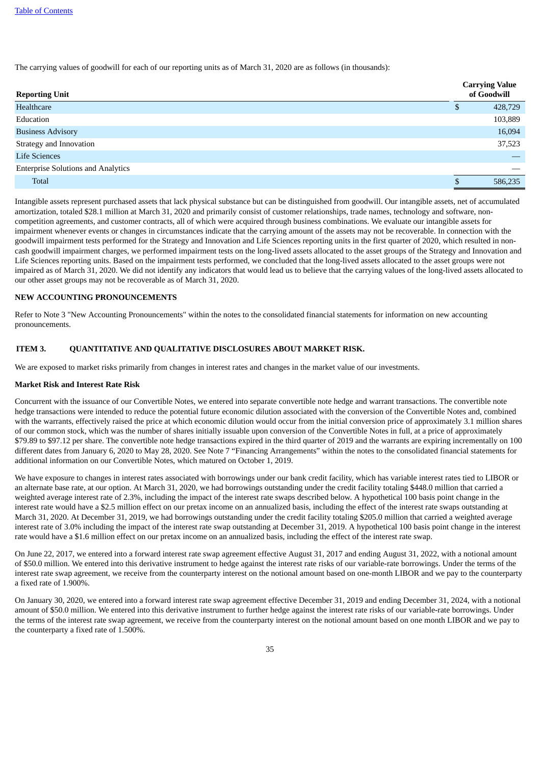The carrying values of goodwill for each of our reporting units as of March 31, 2020 are as follows (in thousands):

| <b>Reporting Unit</b>                     |   | <b>Carrying Value</b><br>of Goodwill |  |  |
|-------------------------------------------|---|--------------------------------------|--|--|
| Healthcare                                | D | 428,729                              |  |  |
| Education                                 |   | 103,889                              |  |  |
| <b>Business Advisory</b>                  |   | 16,094                               |  |  |
| Strategy and Innovation                   |   | 37,523                               |  |  |
| <b>Life Sciences</b>                      |   |                                      |  |  |
| <b>Enterprise Solutions and Analytics</b> |   |                                      |  |  |
| Total                                     |   | 586,235                              |  |  |

Intangible assets represent purchased assets that lack physical substance but can be distinguished from goodwill. Our intangible assets, net of accumulated amortization, totaled \$28.1 million at March 31, 2020 and primarily consist of customer relationships, trade names, technology and software, noncompetition agreements, and customer contracts, all of which were acquired through business combinations. We evaluate our intangible assets for impairment whenever events or changes in circumstances indicate that the carrying amount of the assets may not be recoverable. In connection with the goodwill impairment tests performed for the Strategy and Innovation and Life Sciences reporting units in the first quarter of 2020, which resulted in noncash goodwill impairment charges, we performed impairment tests on the long-lived assets allocated to the asset groups of the Strategy and Innovation and Life Sciences reporting units. Based on the impairment tests performed, we concluded that the long-lived assets allocated to the asset groups were not impaired as of March 31, 2020. We did not identify any indicators that would lead us to believe that the carrying values of the long-lived assets allocated to our other asset groups may not be recoverable as of March 31, 2020.

## **NEW ACCOUNTING PRONOUNCEMENTS**

Refer to Note 3 "New Accounting Pronouncements" within the notes to the consolidated financial statements for information on new accounting pronouncements.

### <span id="page-36-0"></span>**ITEM 3. QUANTITATIVE AND QUALITATIVE DISCLOSURES ABOUT MARKET RISK.**

We are exposed to market risks primarily from changes in interest rates and changes in the market value of our investments.

#### **Market Risk and Interest Rate Risk**

Concurrent with the issuance of our Convertible Notes, we entered into separate convertible note hedge and warrant transactions. The convertible note hedge transactions were intended to reduce the potential future economic dilution associated with the conversion of the Convertible Notes and, combined with the warrants, effectively raised the price at which economic dilution would occur from the initial conversion price of approximately 3.1 million shares of our common stock, which was the number of shares initially issuable upon conversion of the Convertible Notes in full, at a price of approximately \$79.89 to \$97.12 per share. The convertible note hedge transactions expired in the third quarter of 2019 and the warrants are expiring incrementally on 100 different dates from January 6, 2020 to May 28, 2020. See Note 7 "Financing Arrangements" within the notes to the consolidated financial statements for additional information on our Convertible Notes, which matured on October 1, 2019.

We have exposure to changes in interest rates associated with borrowings under our bank credit facility, which has variable interest rates tied to LIBOR or an alternate base rate, at our option. At March 31, 2020, we had borrowings outstanding under the credit facility totaling \$448.0 million that carried a weighted average interest rate of 2.3%, including the impact of the interest rate swaps described below. A hypothetical 100 basis point change in the interest rate would have a \$2.5 million effect on our pretax income on an annualized basis, including the effect of the interest rate swaps outstanding at March 31, 2020. At December 31, 2019, we had borrowings outstanding under the credit facility totaling \$205.0 million that carried a weighted average interest rate of 3.0% including the impact of the interest rate swap outstanding at December 31, 2019. A hypothetical 100 basis point change in the interest rate would have a \$1.6 million effect on our pretax income on an annualized basis, including the effect of the interest rate swap.

On June 22, 2017, we entered into a forward interest rate swap agreement effective August 31, 2017 and ending August 31, 2022, with a notional amount of \$50.0 million. We entered into this derivative instrument to hedge against the interest rate risks of our variable-rate borrowings. Under the terms of the interest rate swap agreement, we receive from the counterparty interest on the notional amount based on one-month LIBOR and we pay to the counterparty a fixed rate of 1.900%.

On January 30, 2020, we entered into a forward interest rate swap agreement effective December 31, 2019 and ending December 31, 2024, with a notional amount of \$50.0 million. We entered into this derivative instrument to further hedge against the interest rate risks of our variable-rate borrowings. Under the terms of the interest rate swap agreement, we receive from the counterparty interest on the notional amount based on one month LIBOR and we pay to the counterparty a fixed rate of 1.500%.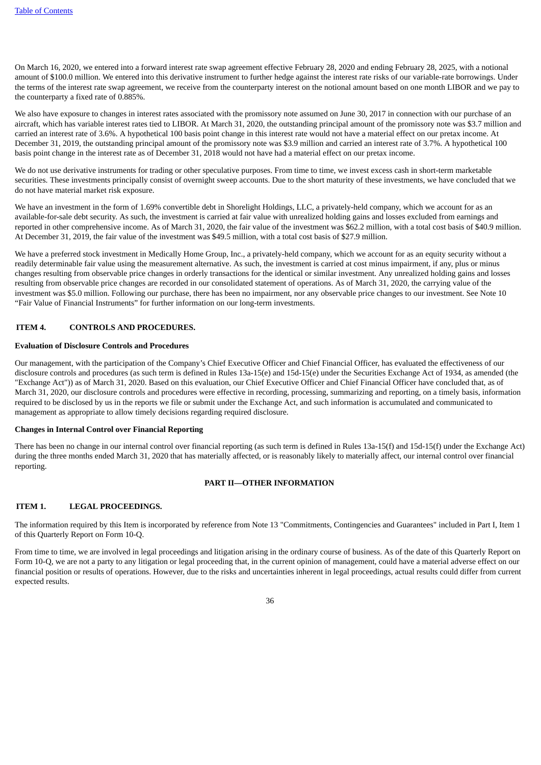On March 16, 2020, we entered into a forward interest rate swap agreement effective February 28, 2020 and ending February 28, 2025, with a notional amount of \$100.0 million. We entered into this derivative instrument to further hedge against the interest rate risks of our variable-rate borrowings. Under the terms of the interest rate swap agreement, we receive from the counterparty interest on the notional amount based on one month LIBOR and we pay to the counterparty a fixed rate of 0.885%.

We also have exposure to changes in interest rates associated with the promissory note assumed on June 30, 2017 in connection with our purchase of an aircraft, which has variable interest rates tied to LIBOR. At March 31, 2020, the outstanding principal amount of the promissory note was \$3.7 million and carried an interest rate of 3.6%. A hypothetical 100 basis point change in this interest rate would not have a material effect on our pretax income. At December 31, 2019, the outstanding principal amount of the promissory note was \$3.9 million and carried an interest rate of 3.7%. A hypothetical 100 basis point change in the interest rate as of December 31, 2018 would not have had a material effect on our pretax income.

We do not use derivative instruments for trading or other speculative purposes. From time to time, we invest excess cash in short-term marketable securities. These investments principally consist of overnight sweep accounts. Due to the short maturity of these investments, we have concluded that we do not have material market risk exposure.

We have an investment in the form of 1.69% convertible debt in Shorelight Holdings, LLC, a privately-held company, which we account for as an available-for-sale debt security. As such, the investment is carried at fair value with unrealized holding gains and losses excluded from earnings and reported in other comprehensive income. As of March 31, 2020, the fair value of the investment was \$62.2 million, with a total cost basis of \$40.9 million. At December 31, 2019, the fair value of the investment was \$49.5 million, with a total cost basis of \$27.9 million.

We have a preferred stock investment in Medically Home Group, Inc., a privately-held company, which we account for as an equity security without a readily determinable fair value using the measurement alternative. As such, the investment is carried at cost minus impairment, if any, plus or minus changes resulting from observable price changes in orderly transactions for the identical or similar investment. Any unrealized holding gains and losses resulting from observable price changes are recorded in our consolidated statement of operations. As of March 31, 2020, the carrying value of the investment was \$5.0 million. Following our purchase, there has been no impairment, nor any observable price changes to our investment. See Note 10 "Fair Value of Financial Instruments" for further information on our long-term investments.

## <span id="page-37-0"></span>**ITEM 4. CONTROLS AND PROCEDURES.**

#### **Evaluation of Disclosure Controls and Procedures**

Our management, with the participation of the Company's Chief Executive Officer and Chief Financial Officer, has evaluated the effectiveness of our disclosure controls and procedures (as such term is defined in Rules 13a-15(e) and 15d-15(e) under the Securities Exchange Act of 1934, as amended (the "Exchange Act")) as of March 31, 2020. Based on this evaluation, our Chief Executive Officer and Chief Financial Officer have concluded that, as of March 31, 2020, our disclosure controls and procedures were effective in recording, processing, summarizing and reporting, on a timely basis, information required to be disclosed by us in the reports we file or submit under the Exchange Act, and such information is accumulated and communicated to management as appropriate to allow timely decisions regarding required disclosure.

## **Changes in Internal Control over Financial Reporting**

<span id="page-37-1"></span>There has been no change in our internal control over financial reporting (as such term is defined in Rules 13a-15(f) and 15d-15(f) under the Exchange Act) during the three months ended March 31, 2020 that has materially affected, or is reasonably likely to materially affect, our internal control over financial reporting.

# **PART II—OTHER INFORMATION**

## <span id="page-37-2"></span>**ITEM 1. LEGAL PROCEEDINGS.**

The information required by this Item is incorporated by reference from Note 13 "Commitments, Contingencies and Guarantees" included in Part I, Item 1 of this Quarterly Report on Form 10-Q.

From time to time, we are involved in legal proceedings and litigation arising in the ordinary course of business. As of the date of this Quarterly Report on Form 10-Q, we are not a party to any litigation or legal proceeding that, in the current opinion of management, could have a material adverse effect on our financial position or results of operations. However, due to the risks and uncertainties inherent in legal proceedings, actual results could differ from current expected results.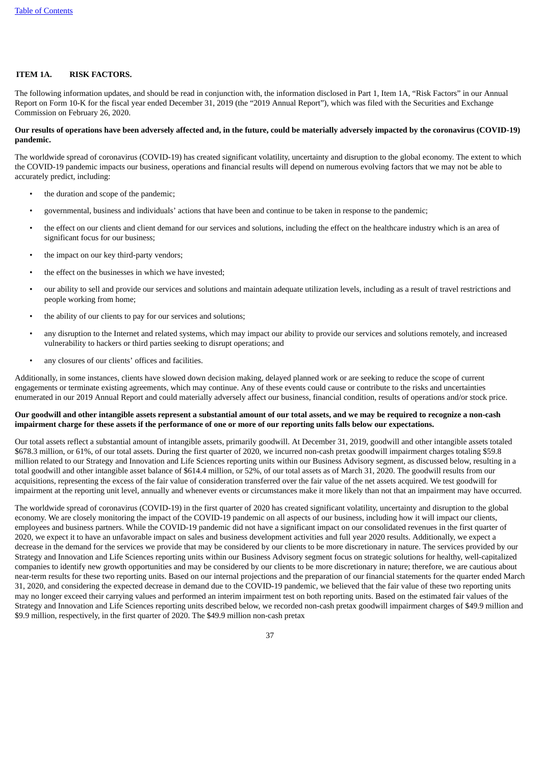## <span id="page-38-0"></span>**ITEM 1A. RISK FACTORS.**

The following information updates, and should be read in conjunction with, the information disclosed in Part 1, Item 1A, "Risk Factors" in our Annual Report on Form 10-K for the fiscal year ended December 31, 2019 (the "2019 Annual Report"), which was filed with the Securities and Exchange Commission on February 26, 2020.

#### Our results of operations have been adversely affected and, in the future, could be materially adversely impacted by the coronavirus (COVID-19) **pandemic.**

The worldwide spread of coronavirus (COVID-19) has created significant volatility, uncertainty and disruption to the global economy. The extent to which the COVID-19 pandemic impacts our business, operations and financial results will depend on numerous evolving factors that we may not be able to accurately predict, including:

- the duration and scope of the pandemic;
- governmental, business and individuals' actions that have been and continue to be taken in response to the pandemic;
- the effect on our clients and client demand for our services and solutions, including the effect on the healthcare industry which is an area of significant focus for our business;
- the impact on our key third-party vendors:
- the effect on the businesses in which we have invested;
- our ability to sell and provide our services and solutions and maintain adequate utilization levels, including as a result of travel restrictions and people working from home;
- the ability of our clients to pay for our services and solutions;
- any disruption to the Internet and related systems, which may impact our ability to provide our services and solutions remotely, and increased vulnerability to hackers or third parties seeking to disrupt operations; and
- any closures of our clients' offices and facilities.

Additionally, in some instances, clients have slowed down decision making, delayed planned work or are seeking to reduce the scope of current engagements or terminate existing agreements, which may continue. Any of these events could cause or contribute to the risks and uncertainties enumerated in our 2019 Annual Report and could materially adversely affect our business, financial condition, results of operations and/or stock price.

### Our goodwill and other intangible assets represent a substantial amount of our total assets, and we may be required to recognize a non-cash impairment charge for these assets if the performance of one or more of our reporting units falls below our expectations.

Our total assets reflect a substantial amount of intangible assets, primarily goodwill. At December 31, 2019, goodwill and other intangible assets totaled \$678.3 million, or 61%, of our total assets. During the first quarter of 2020, we incurred non-cash pretax goodwill impairment charges totaling \$59.8 million related to our Strategy and Innovation and Life Sciences reporting units within our Business Advisory segment, as discussed below, resulting in a total goodwill and other intangible asset balance of \$614.4 million, or 52%, of our total assets as of March 31, 2020. The goodwill results from our acquisitions, representing the excess of the fair value of consideration transferred over the fair value of the net assets acquired. We test goodwill for impairment at the reporting unit level, annually and whenever events or circumstances make it more likely than not that an impairment may have occurred.

The worldwide spread of coronavirus (COVID-19) in the first quarter of 2020 has created significant volatility, uncertainty and disruption to the global economy. We are closely monitoring the impact of the COVID-19 pandemic on all aspects of our business, including how it will impact our clients, employees and business partners. While the COVID-19 pandemic did not have a significant impact on our consolidated revenues in the first quarter of 2020, we expect it to have an unfavorable impact on sales and business development activities and full year 2020 results. Additionally, we expect a decrease in the demand for the services we provide that may be considered by our clients to be more discretionary in nature. The services provided by our Strategy and Innovation and Life Sciences reporting units within our Business Advisory segment focus on strategic solutions for healthy, well-capitalized companies to identify new growth opportunities and may be considered by our clients to be more discretionary in nature; therefore, we are cautious about near-term results for these two reporting units. Based on our internal projections and the preparation of our financial statements for the quarter ended March 31, 2020, and considering the expected decrease in demand due to the COVID-19 pandemic, we believed that the fair value of these two reporting units may no longer exceed their carrying values and performed an interim impairment test on both reporting units. Based on the estimated fair values of the Strategy and Innovation and Life Sciences reporting units described below, we recorded non-cash pretax goodwill impairment charges of \$49.9 million and \$9.9 million, respectively, in the first quarter of 2020. The \$49.9 million non-cash pretax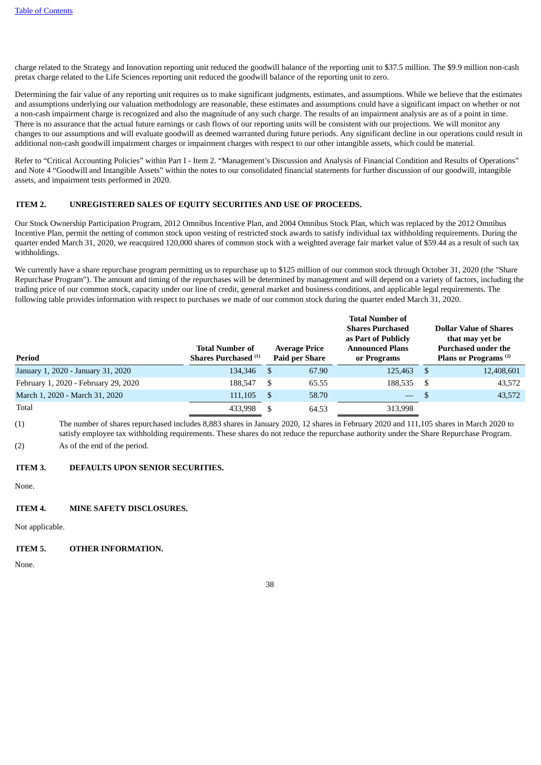charge related to the Strategy and Innovation reporting unit reduced the goodwill balance of the reporting unit to \$37.5 million. The \$9.9 million non-cash pretax charge related to the Life Sciences reporting unit reduced the goodwill balance of the reporting unit to zero.

Determining the fair value of any reporting unit requires us to make significant judgments, estimates, and assumptions. While we believe that the estimates and assumptions underlying our valuation methodology are reasonable, these estimates and assumptions could have a significant impact on whether or not a non-cash impairment charge is recognized and also the magnitude of any such charge. The results of an impairment analysis are as of a point in time. There is no assurance that the actual future earnings or cash flows of our reporting units will be consistent with our projections. We will monitor any changes to our assumptions and will evaluate goodwill as deemed warranted during future periods. Any significant decline in our operations could result in additional non-cash goodwill impairment charges or impairment charges with respect to our other intangible assets, which could be material.

Refer to "Critical Accounting Policies" within Part I - Item 2. "Management's Discussion and Analysis of Financial Condition and Results of Operations" and Note 4 "Goodwill and Intangible Assets" within the notes to our consolidated financial statements for further discussion of our goodwill, intangible assets, and impairment tests performed in 2020.

## <span id="page-39-0"></span>**ITEM 2. UNREGISTERED SALES OF EQUITY SECURITIES AND USE OF PROCEEDS.**

Our Stock Ownership Participation Program, 2012 Omnibus Incentive Plan, and 2004 Omnibus Stock Plan, which was replaced by the 2012 Omnibus Incentive Plan, permit the netting of common stock upon vesting of restricted stock awards to satisfy individual tax withholding requirements. During the quarter ended March 31, 2020, we reacquired 120,000 shares of common stock with a weighted average fair market value of \$59.44 as a result of such tax withholdings.

We currently have a share repurchase program permitting us to repurchase up to \$125 million of our common stock through October 31, 2020 (the "Share Repurchase Program"). The amount and timing of the repurchases will be determined by management and will depend on a variety of factors, including the trading price of our common stock, capacity under our line of credit, general market and business conditions, and applicable legal requirements. The following table provides information with respect to purchases we made of our common stock during the quarter ended March 31, 2020.

| Period                               | <b>Total Number of</b><br><b>Shares Purchased</b> <sup>(1)</sup> |      | <b>Average Price</b><br>Paid per Share | <b>Total Number of</b><br><b>Shares Purchased</b><br>as Part of Publicly<br><b>Announced Plans</b><br>or Programs |    | <b>Dollar Value of Shares</b><br>that may yet be<br><b>Purchased under the</b><br>Plans or Programs <sup>(2)</sup> |
|--------------------------------------|------------------------------------------------------------------|------|----------------------------------------|-------------------------------------------------------------------------------------------------------------------|----|--------------------------------------------------------------------------------------------------------------------|
| January 1, 2020 - January 31, 2020   | 134,346                                                          | -S   | 67.90                                  | 125,463                                                                                                           | S. | 12,408,601                                                                                                         |
| February 1, 2020 - February 29, 2020 | 188,547                                                          | S    | 65.55                                  | 188,535                                                                                                           | -S | 43,572                                                                                                             |
| March 1, 2020 - March 31, 2020       | 111,105                                                          | - \$ | 58.70                                  | — \$                                                                                                              |    | 43,572                                                                                                             |
| Total                                | 433,998                                                          |      | 64.53                                  | 313,998                                                                                                           |    |                                                                                                                    |

(1) The number of shares repurchased includes 8,883 shares in January 2020, 12 shares in February 2020 and 111,105 shares in March 2020 to satisfy employee tax withholding requirements. These shares do not reduce the repurchase authority under the Share Repurchase Program. (2) As of the end of the period.

## <span id="page-39-1"></span>**ITEM 3. DEFAULTS UPON SENIOR SECURITIES.**

<span id="page-39-2"></span>None.

### **ITEM 4. MINE SAFETY DISCLOSURES.**

<span id="page-39-3"></span>Not applicable.

# **ITEM 5. OTHER INFORMATION.**

None.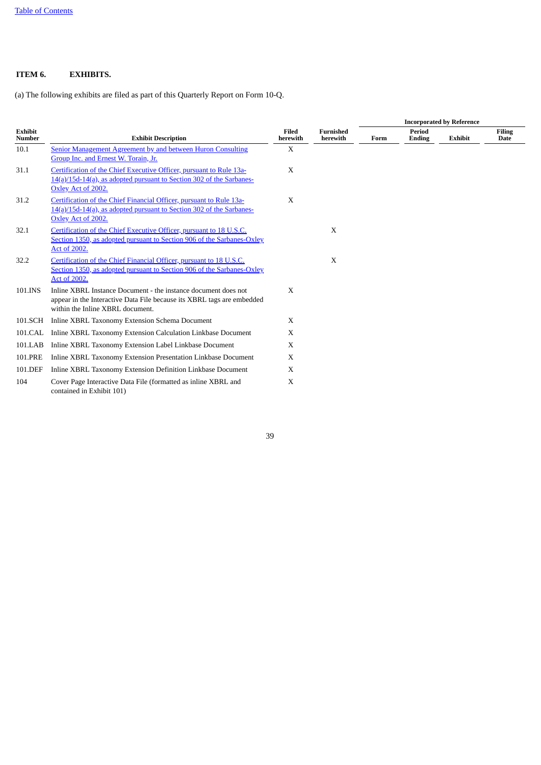# <span id="page-40-0"></span>**ITEM 6. EXHIBITS.**

(a) The following exhibits are filed as part of this Quarterly Report on Form 10-Q.

|                                 |                                                                                                                                                                              |                          |                              | <b>Incorporated by Reference</b> |                         |         |                              |  |  |  |  |
|---------------------------------|------------------------------------------------------------------------------------------------------------------------------------------------------------------------------|--------------------------|------------------------------|----------------------------------|-------------------------|---------|------------------------------|--|--|--|--|
| <b>Exhibit</b><br><b>Number</b> | <b>Exhibit Description</b>                                                                                                                                                   | <b>Filed</b><br>herewith | <b>Furnished</b><br>herewith | Form                             | Period<br><b>Ending</b> | Exhibit | <b>Filing</b><br><b>Date</b> |  |  |  |  |
| 10.1                            | Senior Management Agreement by and between Huron Consulting<br>Group Inc. and Ernest W. Torain, Jr.                                                                          | $\mathbf X$              |                              |                                  |                         |         |                              |  |  |  |  |
| 31.1                            | Certification of the Chief Executive Officer, pursuant to Rule 13a-<br>14(a)/15d-14(a), as adopted pursuant to Section 302 of the Sarbanes-<br>Oxley Act of 2002.            | X                        |                              |                                  |                         |         |                              |  |  |  |  |
| 31.2                            | Certification of the Chief Financial Officer, pursuant to Rule 13a-<br>14(a)/15d-14(a), as adopted pursuant to Section 302 of the Sarbanes-<br>Oxley Act of 2002.            | X                        |                              |                                  |                         |         |                              |  |  |  |  |
| 32.1                            | Certification of the Chief Executive Officer, pursuant to 18 U.S.C.<br>Section 1350, as adopted pursuant to Section 906 of the Sarbanes-Oxley<br>Act of 2002.                |                          | X                            |                                  |                         |         |                              |  |  |  |  |
| 32.2                            | Certification of the Chief Financial Officer, pursuant to 18 U.S.C.<br>Section 1350, as adopted pursuant to Section 906 of the Sarbanes-Oxley<br>Act of 2002.                |                          | X                            |                                  |                         |         |                              |  |  |  |  |
| 101.INS                         | Inline XBRL Instance Document - the instance document does not<br>appear in the Interactive Data File because its XBRL tags are embedded<br>within the Inline XBRL document. | X                        |                              |                                  |                         |         |                              |  |  |  |  |
| 101.SCH                         | Inline XBRL Taxonomy Extension Schema Document                                                                                                                               | X                        |                              |                                  |                         |         |                              |  |  |  |  |
| 101.CAL                         | Inline XBRL Taxonomy Extension Calculation Linkbase Document                                                                                                                 | X                        |                              |                                  |                         |         |                              |  |  |  |  |
| 101.LAB                         | Inline XBRL Taxonomy Extension Label Linkbase Document                                                                                                                       | X                        |                              |                                  |                         |         |                              |  |  |  |  |
| 101.PRE                         | Inline XBRL Taxonomy Extension Presentation Linkbase Document                                                                                                                | X                        |                              |                                  |                         |         |                              |  |  |  |  |
| 101.DEF                         | Inline XBRL Taxonomy Extension Definition Linkbase Document                                                                                                                  | X                        |                              |                                  |                         |         |                              |  |  |  |  |
| 104                             | Cover Page Interactive Data File (formatted as inline XBRL and<br>contained in Exhibit 101)                                                                                  | X                        |                              |                                  |                         |         |                              |  |  |  |  |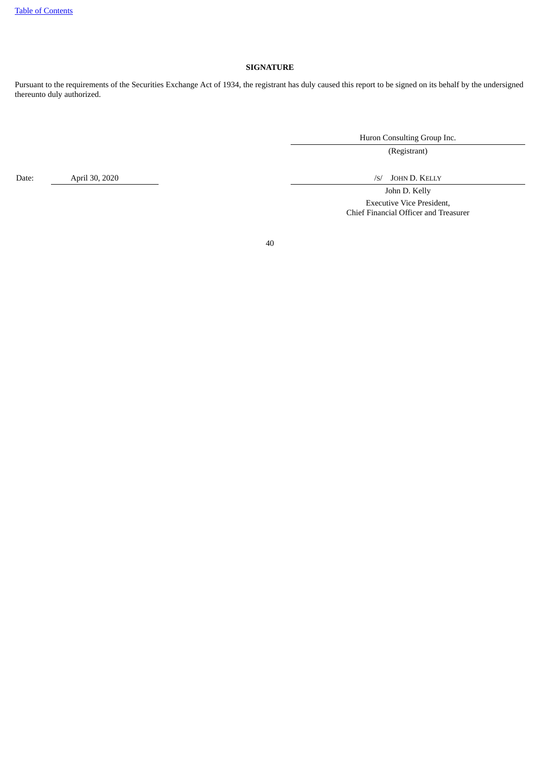# **SIGNATURE**

<span id="page-41-0"></span>Pursuant to the requirements of the Securities Exchange Act of 1934, the registrant has duly caused this report to be signed on its behalf by the undersigned thereunto duly authorized.

Huron Consulting Group Inc.

(Registrant)

Date: April 30, 2020 /S/ JOHN D. KELLY

John D. Kelly Executive Vice President, Chief Financial Officer and Treasurer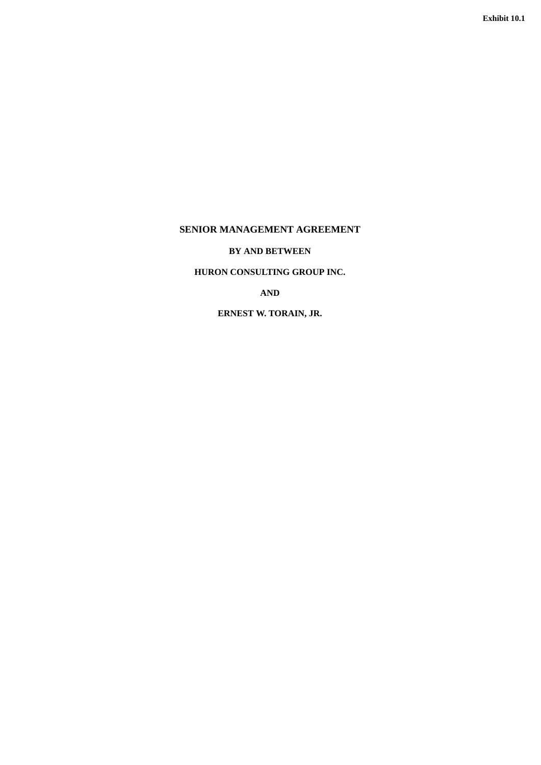# <span id="page-42-0"></span>**SENIOR MANAGEMENT AGREEMENT**

# **BY AND BETWEEN**

# **HURON CONSULTING GROUP INC.**

**AND**

**ERNEST W. TORAIN, JR.**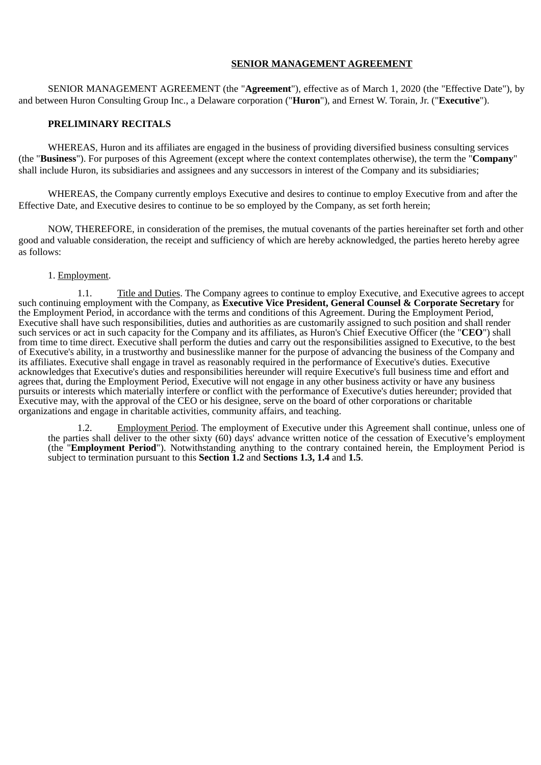# **SENIOR MANAGEMENT AGREEMENT**

SENIOR MANAGEMENT AGREEMENT (the "**Agreement**"), effective as of March 1, 2020 (the "Effective Date"), by and between Huron Consulting Group Inc., a Delaware corporation ("**Huron**"), and Ernest W. Torain, Jr. ("**Executive**").

# **PRELIMINARY RECITALS**

WHEREAS, Huron and its affiliates are engaged in the business of providing diversified business consulting services (the "**Business**"). For purposes of this Agreement (except where the context contemplates otherwise), the term the "**Company**" shall include Huron, its subsidiaries and assignees and any successors in interest of the Company and its subsidiaries;

WHEREAS, the Company currently employs Executive and desires to continue to employ Executive from and after the Effective Date, and Executive desires to continue to be so employed by the Company, as set forth herein;

NOW, THEREFORE, in consideration of the premises, the mutual covenants of the parties hereinafter set forth and other good and valuable consideration, the receipt and sufficiency of which are hereby acknowledged, the parties hereto hereby agree as follows:

# 1. Employment.

1.1. Title and Duties. The Company agrees to continue to employ Executive, and Executive agrees to accept such continuing employment with the Company, as **Executive Vice President, General Counsel & Corporate Secretary** for the Employment Period, in accordance with the terms and conditions of this Agreement. During the Employment Period, Executive shall have such responsibilities, duties and authorities as are customarily assigned to such position and shall render such services or act in such capacity for the Company and its affiliates, as Huron's Chief Executive Officer (the "**CEO**") shall from time to time direct. Executive shall perform the duties and carry out the responsibilities assigned to Executive, to the best of Executive's ability, in a trustworthy and businesslike manner for the purpose of advancing the business of the Company and its affiliates. Executive shall engage in travel as reasonably required in the performance of Executive's duties. Executive acknowledges that Executive's duties and responsibilities hereunder will require Executive's full business time and effort and agrees that, during the Employment Period, Executive will not engage in any other business activity or have any business pursuits or interests which materially interfere or conflict with the performance of Executive's duties hereunder; provided that Executive may, with the approval of the CEO or his designee, serve on the board of other corporations or charitable organizations and engage in charitable activities, community affairs, and teaching.

1.2. Employment Period. The employment of Executive under this Agreement shall continue, unless one of the parties shall deliver to the other sixty (60) days' advance written notice of the cessation of Executive's employment (the "**Employment Period**"). Notwithstanding anything to the contrary contained herein, the Employment Period is subject to termination pursuant to this **Section 1.2** and **Sections 1.3, 1.4** and **1.5**.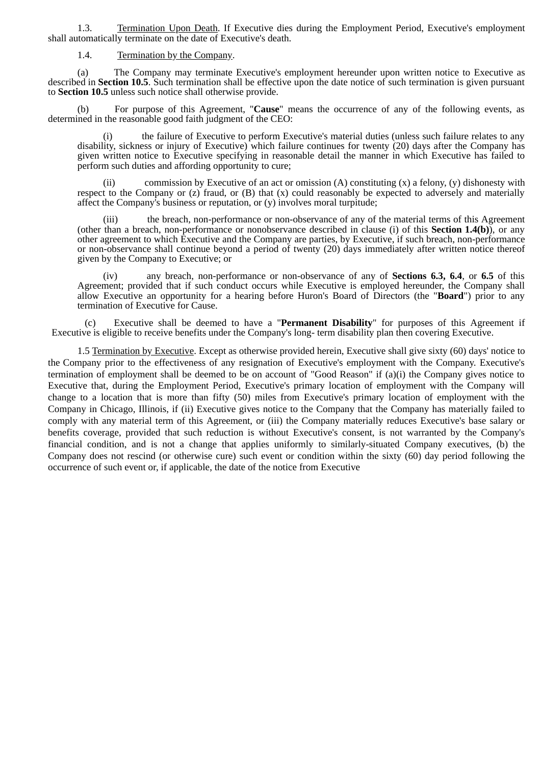1.3. Termination Upon Death. If Executive dies during the Employment Period, Executive's employment shall automatically terminate on the date of Executive's death.

1.4. Termination by the Company.

(a) The Company may terminate Executive's employment hereunder upon written notice to Executive as described in **Section 10.5**. Such termination shall be effective upon the date notice of such termination is given pursuant to **Section 10.5** unless such notice shall otherwise provide.

(b) For purpose of this Agreement, "**Cause**" means the occurrence of any of the following events, as determined in the reasonable good faith judgment of the CEO:

the failure of Executive to perform Executive's material duties (unless such failure relates to any disability, sickness or injury of Executive) which failure continues for twenty (20) days after the Company has given written notice to Executive specifying in reasonable detail the manner in which Executive has failed to perform such duties and affording opportunity to cure;

commission by Executive of an act or omission (A) constituting  $(x)$  a felony,  $(y)$  dishonesty with respect to the Company or (z) fraud, or (B) that (x) could reasonably be expected to adversely and materially affect the Company's business or reputation, or (y) involves moral turpitude;

(iii) the breach, non-performance or non-observance of any of the material terms of this Agreement (other than a breach, non-performance or nonobservance described in clause (i) of this **Section 1.4(b)**), or any other agreement to which Executive and the Company are parties, by Executive, if such breach, non-performance or non-observance shall continue beyond a period of twenty (20) days immediately after written notice thereof given by the Company to Executive; or

(iv) any breach, non-performance or non-observance of any of **Sections 6.3, 6.4**, or **6.5** of this Agreement; provided that if such conduct occurs while Executive is employed hereunder, the Company shall allow Executive an opportunity for a hearing before Huron's Board of Directors (the "**Board**") prior to any termination of Executive for Cause.

(c) Executive shall be deemed to have a "**Permanent Disability**" for purposes of this Agreement if Executive is eligible to receive benefits under the Company's long- term disability plan then covering Executive.

1.5 Termination by Executive. Except as otherwise provided herein, Executive shall give sixty (60) days' notice to the Company prior to the effectiveness of any resignation of Executive's employment with the Company. Executive's termination of employment shall be deemed to be on account of "Good Reason" if (a)(i) the Company gives notice to Executive that, during the Employment Period, Executive's primary location of employment with the Company will change to a location that is more than fifty (50) miles from Executive's primary location of employment with the Company in Chicago, Illinois, if (ii) Executive gives notice to the Company that the Company has materially failed to comply with any material term of this Agreement, or (iii) the Company materially reduces Executive's base salary or benefits coverage, provided that such reduction is without Executive's consent, is not warranted by the Company's financial condition, and is not a change that applies uniformly to similarly-situated Company executives, (b) the Company does not rescind (or otherwise cure) such event or condition within the sixty (60) day period following the occurrence of such event or, if applicable, the date of the notice from Executive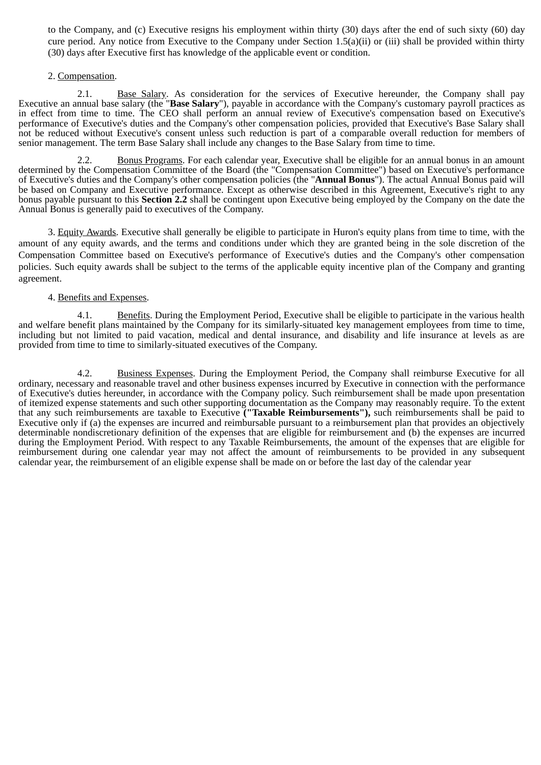to the Company, and (c) Executive resigns his employment within thirty (30) days after the end of such sixty (60) day cure period. Any notice from Executive to the Company under Section 1.5(a)(ii) or (iii) shall be provided within thirty (30) days after Executive first has knowledge of the applicable event or condition.

# 2. Compensation.

2.1. Base Salary. As consideration for the services of Executive hereunder, the Company shall pay Executive an annual base salary (the "**Base Salary**"), payable in accordance with the Company's customary payroll practices as in effect from time to time. The CEO shall perform an annual review of Executive's compensation based on Executive's performance of Executive's duties and the Company's other compensation policies, provided that Executive's Base Salary shall not be reduced without Executive's consent unless such reduction is part of a comparable overall reduction for members of senior management. The term Base Salary shall include any changes to the Base Salary from time to time.

Bonus Programs. For each calendar year, Executive shall be eligible for an annual bonus in an amount determined by the Compensation Committee of the Board (the "Compensation Committee") based on Executive's performance of Executive's duties and the Company's other compensation policies (the "**Annual Bonus**"). The actual Annual Bonus paid will be based on Company and Executive performance. Except as otherwise described in this Agreement, Executive's right to any bonus payable pursuant to this **Section 2.2** shall be contingent upon Executive being employed by the Company on the date the Annual Bonus is generally paid to executives of the Company.

3. Equity Awards. Executive shall generally be eligible to participate in Huron's equity plans from time to time, with the amount of any equity awards, and the terms and conditions under which they are granted being in the sole discretion of the Compensation Committee based on Executive's performance of Executive's duties and the Company's other compensation policies. Such equity awards shall be subject to the terms of the applicable equity incentive plan of the Company and granting agreement.

# 4. Benefits and Expenses.

4.1. Benefits. During the Employment Period, Executive shall be eligible to participate in the various health and welfare benefit plans maintained by the Company for its similarly-situated key management employees from time to time, including but not limited to paid vacation, medical and dental insurance, and disability and life insurance at levels as are provided from time to time to similarly-situated executives of the Company.

4.2. Business Expenses. During the Employment Period, the Company shall reimburse Executive for all ordinary, necessary and reasonable travel and other business expenses incurred by Executive in connection with the performance of Executive's duties hereunder, in accordance with the Company policy. Such reimbursement shall be made upon presentation of itemized expense statements and such other supporting documentation as the Company may reasonably require. To the extent that any such reimbursements are taxable to Executive **("Taxable Reimbursements"),** such reimbursements shall be paid to Executive only if (a) the expenses are incurred and reimbursable pursuant to a reimbursement plan that provides an objectively determinable nondiscretionary definition of the expenses that are eligible for reimbursement and (b) the expenses are incurred during the Employment Period. With respect to any Taxable Reimbursements, the amount of the expenses that are eligible for reimbursement during one calendar year may not affect the amount of reimbursements to be provided in any subsequent calendar year, the reimbursement of an eligible expense shall be made on or before the last day of the calendar year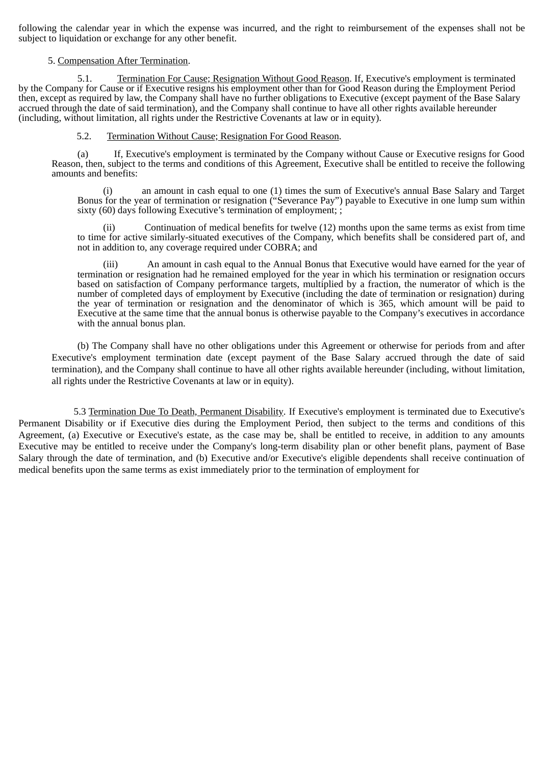following the calendar year in which the expense was incurred, and the right to reimbursement of the expenses shall not be subject to liquidation or exchange for any other benefit.

# 5. Compensation After Termination.

5.1. Termination For Cause; Resignation Without Good Reason. If, Executive's employment is terminated by the Company for Cause or if Executive resigns his employment other than for Good Reason during the Employment Period then, except as required by law, the Company shall have no further obligations to Executive (except payment of the Base Salary accrued through the date of said termination), and the Company shall continue to have all other rights available hereunder (including, without limitation, all rights under the Restrictive Covenants at law or in equity).

# 5.2. Termination Without Cause; Resignation For Good Reason.

(a) If, Executive's employment is terminated by the Company without Cause or Executive resigns for Good Reason, then, subject to the terms and conditions of this Agreement, Executive shall be entitled to receive the following amounts and benefits:

(i) an amount in cash equal to one (1) times the sum of Executive's annual Base Salary and Target Bonus for the year of termination or resignation ("Severance Pay") payable to Executive in one lump sum within sixty (60) days following Executive's termination of employment; ;

(ii) Continuation of medical benefits for twelve (12) months upon the same terms as exist from time to time for active similarly-situated executives of the Company, which benefits shall be considered part of, and not in addition to, any coverage required under COBRA; and

(iii) An amount in cash equal to the Annual Bonus that Executive would have earned for the year of termination or resignation had he remained employed for the year in which his termination or resignation occurs based on satisfaction of Company performance targets, multiplied by a fraction, the numerator of which is the number of completed days of employment by Executive (including the date of termination or resignation) during the year of termination or resignation and the denominator of which is 365, which amount will be paid to Executive at the same time that the annual bonus is otherwise payable to the Company's executives in accordance with the annual bonus plan.

(b) The Company shall have no other obligations under this Agreement or otherwise for periods from and after Executive's employment termination date (except payment of the Base Salary accrued through the date of said termination), and the Company shall continue to have all other rights available hereunder (including, without limitation, all rights under the Restrictive Covenants at law or in equity).

5.3 Termination Due To Death, Permanent Disability. If Executive's employment is terminated due to Executive's Permanent Disability or if Executive dies during the Employment Period, then subject to the terms and conditions of this Agreement, (a) Executive or Executive's estate, as the case may be, shall be entitled to receive, in addition to any amounts Executive may be entitled to receive under the Company's long-term disability plan or other benefit plans, payment of Base Salary through the date of termination, and (b) Executive and/or Executive's eligible dependents shall receive continuation of medical benefits upon the same terms as exist immediately prior to the termination of employment for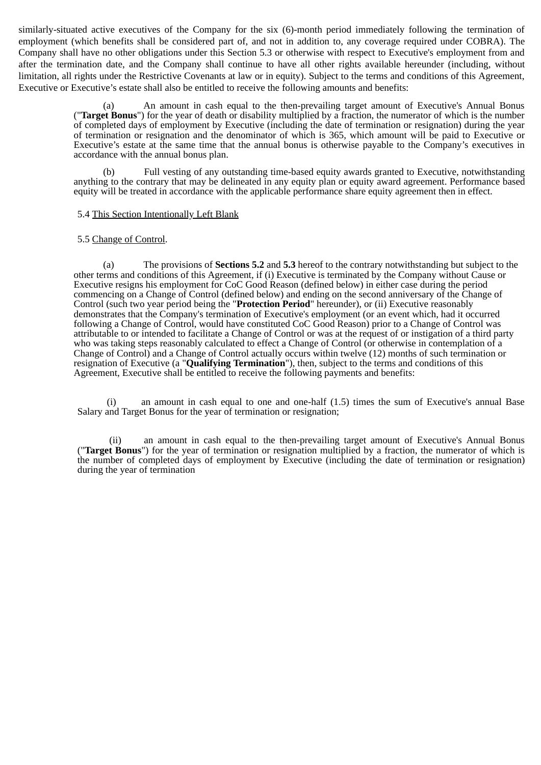similarly-situated active executives of the Company for the six (6)-month period immediately following the termination of employment (which benefits shall be considered part of, and not in addition to, any coverage required under COBRA). The Company shall have no other obligations under this Section 5.3 or otherwise with respect to Executive's employment from and after the termination date, and the Company shall continue to have all other rights available hereunder (including, without limitation, all rights under the Restrictive Covenants at law or in equity). Subject to the terms and conditions of this Agreement, Executive or Executive's estate shall also be entitled to receive the following amounts and benefits:

> An amount in cash equal to the then-prevailing target amount of Executive's Annual Bonus ("**Target Bonus**") for the year of death or disability multiplied by a fraction, the numerator of which is the number of completed days of employment by Executive (including the date of termination or resignation) during the year of termination or resignation and the denominator of which is 365, which amount will be paid to Executive or Executive's estate at the same time that the annual bonus is otherwise payable to the Company's executives in accordance with the annual bonus plan.

> (b) Full vesting of any outstanding time-based equity awards granted to Executive, notwithstanding anything to the contrary that may be delineated in any equity plan or equity award agreement. Performance based equity will be treated in accordance with the applicable performance share equity agreement then in effect.

## 5.4 This Section Intentionally Left Blank

## 5.5 Change of Control.

(a) The provisions of **Sections 5.2** and **5.3** hereof to the contrary notwithstanding but subject to the other terms and conditions of this Agreement, if (i) Executive is terminated by the Company without Cause or Executive resigns his employment for CoC Good Reason (defined below) in either case during the period commencing on a Change of Control (defined below) and ending on the second anniversary of the Change of Control (such two year period being the "**Protection Period**" hereunder), or (ii) Executive reasonably demonstrates that the Company's termination of Executive's employment (or an event which, had it occurred following a Change of Control, would have constituted CoC Good Reason) prior to a Change of Control was attributable to or intended to facilitate a Change of Control or was at the request of or instigation of a third party who was taking steps reasonably calculated to effect a Change of Control (or otherwise in contemplation of a Change of Control) and a Change of Control actually occurs within twelve (12) months of such termination or resignation of Executive (a "**Qualifying Termination**"), then, subject to the terms and conditions of this Agreement, Executive shall be entitled to receive the following payments and benefits:

an amount in cash equal to one and one-half  $(1.5)$  times the sum of Executive's annual Base Salary and Target Bonus for the year of termination or resignation;

(ii) an amount in cash equal to the then-prevailing target amount of Executive's Annual Bonus ("**Target Bonus**") for the year of termination or resignation multiplied by a fraction, the numerator of which is the number of completed days of employment by Executive (including the date of termination or resignation) during the year of termination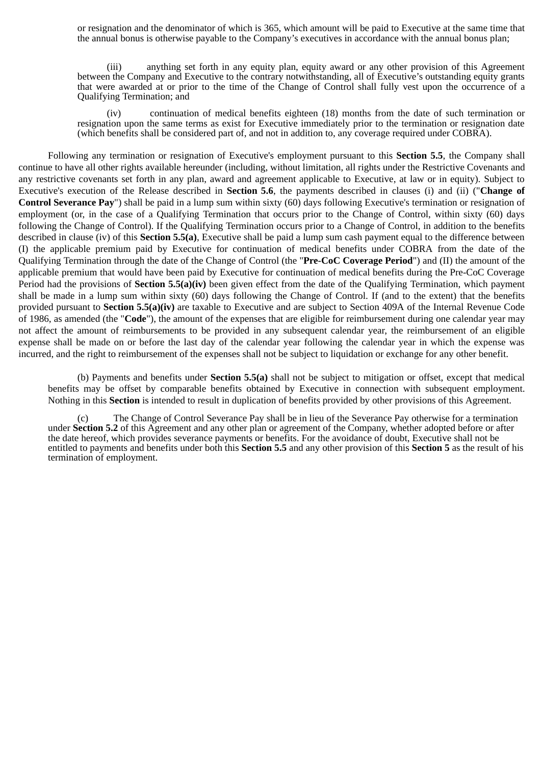or resignation and the denominator of which is 365, which amount will be paid to Executive at the same time that the annual bonus is otherwise payable to the Company's executives in accordance with the annual bonus plan;

(iii) anything set forth in any equity plan, equity award or any other provision of this Agreement between the Company and Executive to the contrary notwithstanding, all of Executive's outstanding equity grants that were awarded at or prior to the time of the Change of Control shall fully vest upon the occurrence of a Qualifying Termination; and

(iv) continuation of medical benefits eighteen (18) months from the date of such termination or resignation upon the same terms as exist for Executive immediately prior to the termination or resignation date (which benefits shall be considered part of, and not in addition to, any coverage required under COBRA).

Following any termination or resignation of Executive's employment pursuant to this **Section 5.5**, the Company shall continue to have all other rights available hereunder (including, without limitation, all rights under the Restrictive Covenants and any restrictive covenants set forth in any plan, award and agreement applicable to Executive, at law or in equity). Subject to Executive's execution of the Release described in **Section 5.6**, the payments described in clauses (i) and (ii) ("**Change of Control Severance Pay**") shall be paid in a lump sum within sixty (60) days following Executive's termination or resignation of employment (or, in the case of a Qualifying Termination that occurs prior to the Change of Control, within sixty (60) days following the Change of Control). If the Qualifying Termination occurs prior to a Change of Control, in addition to the benefits described in clause (iv) of this **Section 5.5(a)**, Executive shall be paid a lump sum cash payment equal to the difference between (I) the applicable premium paid by Executive for continuation of medical benefits under COBRA from the date of the Qualifying Termination through the date of the Change of Control (the "**Pre-CoC Coverage Period**") and (II) the amount of the applicable premium that would have been paid by Executive for continuation of medical benefits during the Pre-CoC Coverage Period had the provisions of **Section 5.5(a)(iv)** been given effect from the date of the Qualifying Termination, which payment shall be made in a lump sum within sixty (60) days following the Change of Control. If (and to the extent) that the benefits provided pursuant to **Section 5.5(a)(iv)** are taxable to Executive and are subject to Section 409A of the Internal Revenue Code of 1986, as amended (the "**Code**"), the amount of the expenses that are eligible for reimbursement during one calendar year may not affect the amount of reimbursements to be provided in any subsequent calendar year, the reimbursement of an eligible expense shall be made on or before the last day of the calendar year following the calendar year in which the expense was incurred, and the right to reimbursement of the expenses shall not be subject to liquidation or exchange for any other benefit.

(b) Payments and benefits under **Section 5.5(a)** shall not be subject to mitigation or offset, except that medical benefits may be offset by comparable benefits obtained by Executive in connection with subsequent employment. Nothing in this **Section** is intended to result in duplication of benefits provided by other provisions of this Agreement.

(c) The Change of Control Severance Pay shall be in lieu of the Severance Pay otherwise for a termination under **Section 5.2** of this Agreement and any other plan or agreement of the Company, whether adopted before or after the date hereof, which provides severance payments or benefits. For the avoidance of doubt, Executive shall not be entitled to payments and benefits under both this **Section 5.5** and any other provision of this **Section 5** as the result of his termination of employment.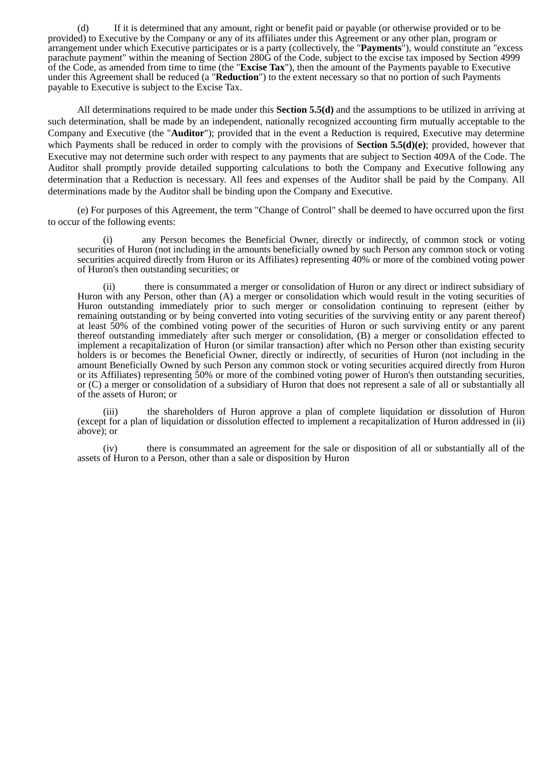(d) If it is determined that any amount, right or benefit paid or payable (or otherwise provided or to be provided) to Executive by the Company or any of its affiliates under this Agreement or any other plan, program or arrangement under which Executive participates or is a party (collectively, the "**Payments**"), would constitute an "excess parachute payment" within the meaning of Section 280G of the Code, subject to the excise tax imposed by Section 4999 of the Code, as amended from time to time (the "**Excise Tax**"), then the amount of the Payments payable to Executive under this Agreement shall be reduced (a "**Reduction**") to the extent necessary so that no portion of such Payments payable to Executive is subject to the Excise Tax.

All determinations required to be made under this **Section 5.5(d)** and the assumptions to be utilized in arriving at such determination, shall be made by an independent, nationally recognized accounting firm mutually acceptable to the Company and Executive (the "**Auditor**"); provided that in the event a Reduction is required, Executive may determine which Payments shall be reduced in order to comply with the provisions of **Section 5.5(d)(e)**; provided, however that Executive may not determine such order with respect to any payments that are subject to Section 409A of the Code. The Auditor shall promptly provide detailed supporting calculations to both the Company and Executive following any determination that a Reduction is necessary. All fees and expenses of the Auditor shall be paid by the Company. All determinations made by the Auditor shall be binding upon the Company and Executive.

(e) For purposes of this Agreement, the term "Change of Control" shall be deemed to have occurred upon the first to occur of the following events:

any Person becomes the Beneficial Owner, directly or indirectly, of common stock or voting securities of Huron (not including in the amounts beneficially owned by such Person any common stock or voting securities acquired directly from Huron or its Affiliates) representing 40% or more of the combined voting power of Huron's then outstanding securities; or

(ii) there is consummated a merger or consolidation of Huron or any direct or indirect subsidiary of Huron with any Person, other than (A) a merger or consolidation which would result in the voting securities of Huron outstanding immediately prior to such merger or consolidation continuing to represent (either by remaining outstanding or by being converted into voting securities of the surviving entity or any parent thereof) at least 50% of the combined voting power of the securities of Huron or such surviving entity or any parent thereof outstanding immediately after such merger or consolidation, (B) a merger or consolidation effected to implement a recapitalization of Huron (or similar transaction) after which no Person other than existing security holders is or becomes the Beneficial Owner, directly or indirectly, of securities of Huron (not including in the amount Beneficially Owned by such Person any common stock or voting securities acquired directly from Huron or its Affiliates) representing 50% or more of the combined voting power of Huron's then outstanding securities, or (C) a merger or consolidation of a subsidiary of Huron that does not represent a sale of all or substantially all of the assets of Huron; or

(iii) the shareholders of Huron approve a plan of complete liquidation or dissolution of Huron (except for a plan of liquidation or dissolution effected to implement a recapitalization of Huron addressed in (ii) above); or

(iv) there is consummated an agreement for the sale or disposition of all or substantially all of the assets of Huron to a Person, other than a sale or disposition by Huron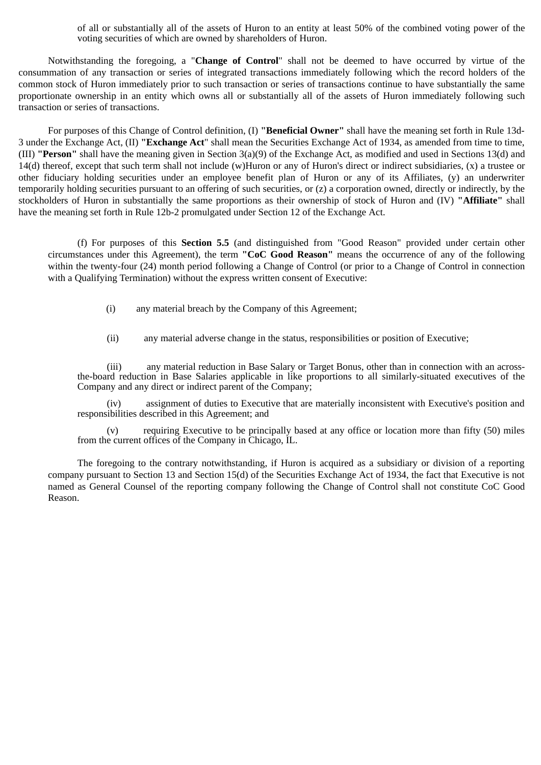of all or substantially all of the assets of Huron to an entity at least 50% of the combined voting power of the voting securities of which are owned by shareholders of Huron.

Notwithstanding the foregoing, a "**Change of Control**" shall not be deemed to have occurred by virtue of the consummation of any transaction or series of integrated transactions immediately following which the record holders of the common stock of Huron immediately prior to such transaction or series of transactions continue to have substantially the same proportionate ownership in an entity which owns all or substantially all of the assets of Huron immediately following such transaction or series of transactions.

For purposes of this Change of Control definition, (I) **"Beneficial Owner"** shall have the meaning set forth in Rule 13d-3 under the Exchange Act, (II) **"Exchange Act**" shall mean the Securities Exchange Act of 1934, as amended from time to time, (III) **"Person"** shall have the meaning given in Section 3(a)(9) of the Exchange Act, as modified and used in Sections 13(d) and  $14(d)$  thereof, except that such term shall not include (w)Huron or any of Huron's direct or indirect subsidiaries,  $(x)$  a trustee or other fiduciary holding securities under an employee benefit plan of Huron or any of its Affiliates, (y) an underwriter temporarily holding securities pursuant to an offering of such securities, or (z) a corporation owned, directly or indirectly, by the stockholders of Huron in substantially the same proportions as their ownership of stock of Huron and (IV) **"Affiliate"** shall have the meaning set forth in Rule 12b-2 promulgated under Section 12 of the Exchange Act.

(f) For purposes of this **Section 5.5** (and distinguished from "Good Reason" provided under certain other circumstances under this Agreement), the term **"CoC Good Reason"** means the occurrence of any of the following within the twenty-four (24) month period following a Change of Control (or prior to a Change of Control in connection with a Qualifying Termination) without the express written consent of Executive:

- (i) any material breach by the Company of this Agreement;
- (ii) any material adverse change in the status, responsibilities or position of Executive;

(iii) any material reduction in Base Salary or Target Bonus, other than in connection with an acrossthe-board reduction in Base Salaries applicable in like proportions to all similarly-situated executives of the Company and any direct or indirect parent of the Company;

(iv) assignment of duties to Executive that are materially inconsistent with Executive's position and responsibilities described in this Agreement; and

requiring Executive to be principally based at any office or location more than fifty (50) miles from the current offices of the Company in Chicago, IL.

The foregoing to the contrary notwithstanding, if Huron is acquired as a subsidiary or division of a reporting company pursuant to Section 13 and Section 15(d) of the Securities Exchange Act of 1934, the fact that Executive is not named as General Counsel of the reporting company following the Change of Control shall not constitute CoC Good Reason.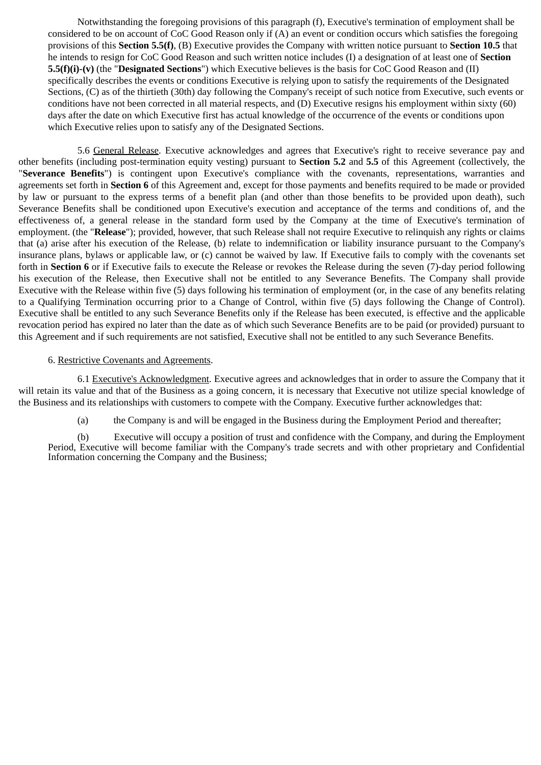Notwithstanding the foregoing provisions of this paragraph (f), Executive's termination of employment shall be considered to be on account of CoC Good Reason only if (A) an event or condition occurs which satisfies the foregoing provisions of this **Section 5.5(f)**, (B) Executive provides the Company with written notice pursuant to **Section 10.5** that he intends to resign for CoC Good Reason and such written notice includes (I) a designation of at least one of **Section 5.5(f)(i)-(v)** (the "**Designated Sections**") which Executive believes is the basis for CoC Good Reason and (II) specifically describes the events or conditions Executive is relying upon to satisfy the requirements of the Designated Sections, (C) as of the thirtieth (30th) day following the Company's receipt of such notice from Executive, such events or conditions have not been corrected in all material respects, and (D) Executive resigns his employment within sixty (60) days after the date on which Executive first has actual knowledge of the occurrence of the events or conditions upon which Executive relies upon to satisfy any of the Designated Sections.

5.6 General Release. Executive acknowledges and agrees that Executive's right to receive severance pay and other benefits (including post-termination equity vesting) pursuant to **Section 5.2** and **5.5** of this Agreement (collectively, the "**Severance Benefits**") is contingent upon Executive's compliance with the covenants, representations, warranties and agreements set forth in **Section 6** of this Agreement and, except for those payments and benefits required to be made or provided by law or pursuant to the express terms of a benefit plan (and other than those benefits to be provided upon death), such Severance Benefits shall be conditioned upon Executive's execution and acceptance of the terms and conditions of, and the effectiveness of, a general release in the standard form used by the Company at the time of Executive's termination of employment. (the "**Release**"); provided, however, that such Release shall not require Executive to relinquish any rights or claims that (a) arise after his execution of the Release, (b) relate to indemnification or liability insurance pursuant to the Company's insurance plans, bylaws or applicable law, or (c) cannot be waived by law. If Executive fails to comply with the covenants set forth in **Section 6** or if Executive fails to execute the Release or revokes the Release during the seven (7)-day period following his execution of the Release, then Executive shall not be entitled to any Severance Benefits. The Company shall provide Executive with the Release within five (5) days following his termination of employment (or, in the case of any benefits relating to a Qualifying Termination occurring prior to a Change of Control, within five (5) days following the Change of Control). Executive shall be entitled to any such Severance Benefits only if the Release has been executed, is effective and the applicable revocation period has expired no later than the date as of which such Severance Benefits are to be paid (or provided) pursuant to this Agreement and if such requirements are not satisfied, Executive shall not be entitled to any such Severance Benefits.

# 6. Restrictive Covenants and Agreements.

6.1 Executive's Acknowledgment. Executive agrees and acknowledges that in order to assure the Company that it will retain its value and that of the Business as a going concern, it is necessary that Executive not utilize special knowledge of the Business and its relationships with customers to compete with the Company. Executive further acknowledges that:

(a) the Company is and will be engaged in the Business during the Employment Period and thereafter;

(b) Executive will occupy a position of trust and confidence with the Company, and during the Employment Period, Executive will become familiar with the Company's trade secrets and with other proprietary and Confidential Information concerning the Company and the Business;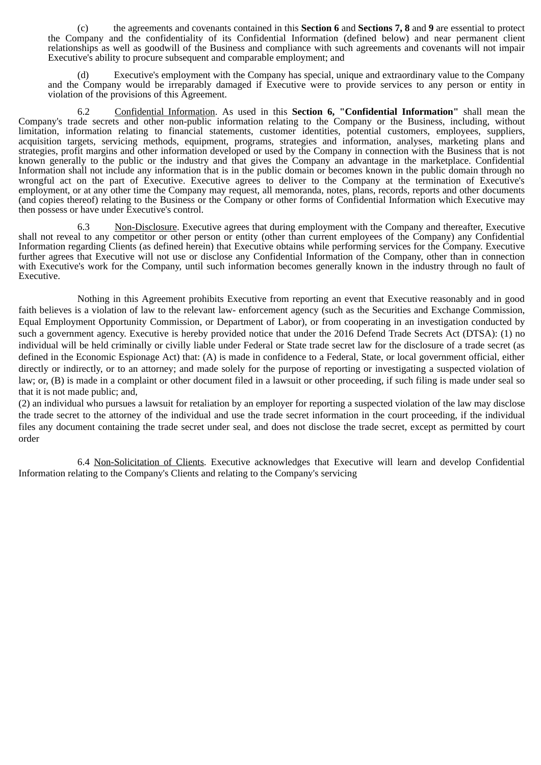(c) the agreements and covenants contained in this **Section 6** and **Sections 7, 8** and **9** are essential to protect the Company and the confidentiality of its Confidential Information (defined below) and near permanent client relationships as well as goodwill of the Business and compliance with such agreements and covenants will not impair Executive's ability to procure subsequent and comparable employment; and

Executive's employment with the Company has special, unique and extraordinary value to the Company and the Company would be irreparably damaged if Executive were to provide services to any person or entity in violation of the provisions of this Agreement.

6.2 Confidential Information. As used in this **Section 6, "Confidential Information"** shall mean the Company's trade secrets and other non-public information relating to the Company or the Business, including, without limitation, information relating to financial statements, customer identities, potential customers, employees, suppliers, acquisition targets, servicing methods, equipment, programs, strategies and information, analyses, marketing plans and strategies, profit margins and other information developed or used by the Company in connection with the Business that is not known generally to the public or the industry and that gives the Company an advantage in the marketplace. Confidential Information shall not include any information that is in the public domain or becomes known in the public domain through no wrongful act on the part of Executive. Executive agrees to deliver to the Company at the termination of Executive's employment, or at any other time the Company may request, all memoranda, notes, plans, records, reports and other documents (and copies thereof) relating to the Business or the Company or other forms of Confidential Information which Executive may then possess or have under Executive's control.

6.3 Non-Disclosure. Executive agrees that during employment with the Company and thereafter, Executive shall not reveal to any competitor or other person or entity (other than current employees of the Company) any Confidential Information regarding Clients (as defined herein) that Executive obtains while performing services for the Company. Executive further agrees that Executive will not use or disclose any Confidential Information of the Company, other than in connection with Executive's work for the Company, until such information becomes generally known in the industry through no fault of Executive.

Nothing in this Agreement prohibits Executive from reporting an event that Executive reasonably and in good faith believes is a violation of law to the relevant law- enforcement agency (such as the Securities and Exchange Commission, Equal Employment Opportunity Commission, or Department of Labor), or from cooperating in an investigation conducted by such a government agency. Executive is hereby provided notice that under the 2016 Defend Trade Secrets Act (DTSA): (1) no individual will be held criminally or civilly liable under Federal or State trade secret law for the disclosure of a trade secret (as defined in the Economic Espionage Act) that: (A) is made in confidence to a Federal, State, or local government official, either directly or indirectly, or to an attorney; and made solely for the purpose of reporting or investigating a suspected violation of law; or, (B) is made in a complaint or other document filed in a lawsuit or other proceeding, if such filing is made under seal so that it is not made public; and,

(2) an individual who pursues a lawsuit for retaliation by an employer for reporting a suspected violation of the law may disclose the trade secret to the attorney of the individual and use the trade secret information in the court proceeding, if the individual files any document containing the trade secret under seal, and does not disclose the trade secret, except as permitted by court order

6.4 Non-Solicitation of Clients. Executive acknowledges that Executive will learn and develop Confidential Information relating to the Company's Clients and relating to the Company's servicing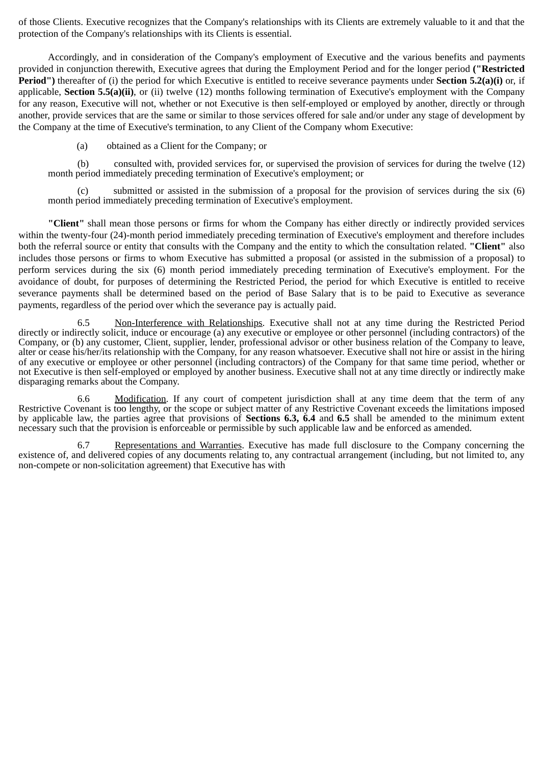of those Clients. Executive recognizes that the Company's relationships with its Clients are extremely valuable to it and that the protection of the Company's relationships with its Clients is essential.

Accordingly, and in consideration of the Company's employment of Executive and the various benefits and payments provided in conjunction therewith, Executive agrees that during the Employment Period and for the longer period **("Restricted Period")** thereafter of (i) the period for which Executive is entitled to receive severance payments under **Section 5.2(a)(i)** or, if applicable, **Section 5.5(a)(ii)**, or (ii) twelve (12) months following termination of Executive's employment with the Company for any reason, Executive will not, whether or not Executive is then self-employed or employed by another, directly or through another, provide services that are the same or similar to those services offered for sale and/or under any stage of development by the Company at the time of Executive's termination, to any Client of the Company whom Executive:

(a) obtained as a Client for the Company; or

(b) consulted with, provided services for, or supervised the provision of services for during the twelve (12) month period immediately preceding termination of Executive's employment; or

(c) submitted or assisted in the submission of a proposal for the provision of services during the six (6) month period immediately preceding termination of Executive's employment.

**"Client"** shall mean those persons or firms for whom the Company has either directly or indirectly provided services within the twenty-four (24)-month period immediately preceding termination of Executive's employment and therefore includes both the referral source or entity that consults with the Company and the entity to which the consultation related. **"Client"** also includes those persons or firms to whom Executive has submitted a proposal (or assisted in the submission of a proposal) to perform services during the six (6) month period immediately preceding termination of Executive's employment. For the avoidance of doubt, for purposes of determining the Restricted Period, the period for which Executive is entitled to receive severance payments shall be determined based on the period of Base Salary that is to be paid to Executive as severance payments, regardless of the period over which the severance pay is actually paid.

6.5 Mon-Interference with Relationships. Executive shall not at any time during the Restricted Period directly or indirectly solicit, induce or encourage (a) any executive or employee or other personnel (including contractors) of the Company, or (b) any customer, Client, supplier, lender, professional advisor or other business relation of the Company to leave, alter or cease his/her/its relationship with the Company, for any reason whatsoever. Executive shall not hire or assist in the hiring of any executive or employee or other personnel (including contractors) of the Company for that same time period, whether or not Executive is then self-employed or employed by another business. Executive shall not at any time directly or indirectly make disparaging remarks about the Company.

6.6 Modification. If any court of competent jurisdiction shall at any time deem that the term of any Restrictive Covenant is too lengthy, or the scope or subject matter of any Restrictive Covenant exceeds the limitations imposed by applicable law, the parties agree that provisions of **Sections 6.3, 6.4** and **6.5** shall be amended to the minimum extent necessary such that the provision is enforceable or permissible by such applicable law and be enforced as amended.

6.7 Representations and Warranties. Executive has made full disclosure to the Company concerning the existence of, and delivered copies of any documents relating to, any contractual arrangement (including, but not limited to, any non-compete or non-solicitation agreement) that Executive has with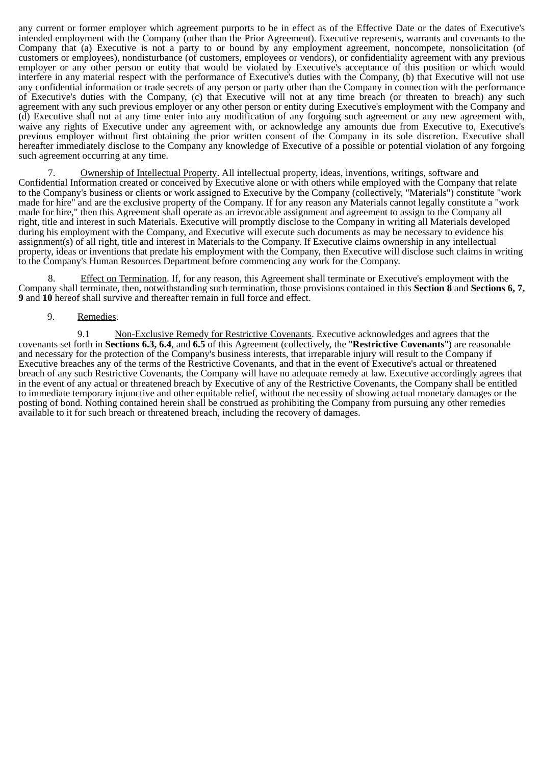any current or former employer which agreement purports to be in effect as of the Effective Date or the dates of Executive's intended employment with the Company (other than the Prior Agreement). Executive represents, warrants and covenants to the Company that (a) Executive is not a party to or bound by any employment agreement, noncompete, nonsolicitation (of customers or employees), nondisturbance (of customers, employees or vendors), or confidentiality agreement with any previous employer or any other person or entity that would be violated by Executive's acceptance of this position or which would interfere in any material respect with the performance of Executive's duties with the Company, (b) that Executive will not use any confidential information or trade secrets of any person or party other than the Company in connection with the performance of Executive's duties with the Company, (c) that Executive will not at any time breach (or threaten to breach) any such agreement with any such previous employer or any other person or entity during Executive's employment with the Company and (d) Executive shall not at any time enter into any modification of any forgoing such agreement or any new agreement with, waive any rights of Executive under any agreement with, or acknowledge any amounts due from Executive to, Executive's previous employer without first obtaining the prior written consent of the Company in its sole discretion. Executive shall hereafter immediately disclose to the Company any knowledge of Executive of a possible or potential violation of any forgoing such agreement occurring at any time.

Ownership of Intellectual Property. All intellectual property, ideas, inventions, writings, software and Confidential Information created or conceived by Executive alone or with others while employed with the Company that relate to the Company's business or clients or work assigned to Executive by the Company (collectively, "Materials") constitute "work made for hire" and are the exclusive property of the Company. If for any reason any Materials cannot legally constitute a "work made for hire," then this Agreement shall operate as an irrevocable assignment and agreement to assign to the Company all right, title and interest in such Materials. Executive will promptly disclose to the Company in writing all Materials developed during his employment with the Company, and Executive will execute such documents as may be necessary to evidence his assignment(s) of all right, title and interest in Materials to the Company. If Executive claims ownership in any intellectual property, ideas or inventions that predate his employment with the Company, then Executive will disclose such claims in writing to the Company's Human Resources Department before commencing any work for the Company.

Effect on Termination. If, for any reason, this Agreement shall terminate or Executive's employment with the Company shall terminate, then, notwithstanding such termination, those provisions contained in this **Section 8** and **Sections 6, 7, 9** and **10** hereof shall survive and thereafter remain in full force and effect.

# 9. Remedies.

9.1 Non-Exclusive Remedy for Restrictive Covenants. Executive acknowledges and agrees that the covenants set forth in **Sections 6.3, 6.4**, and **6.5** of this Agreement (collectively, the "**Restrictive Covenants**") are reasonable and necessary for the protection of the Company's business interests, that irreparable injury will result to the Company if Executive breaches any of the terms of the Restrictive Covenants, and that in the event of Executive's actual or threatened breach of any such Restrictive Covenants, the Company will have no adequate remedy at law. Executive accordingly agrees that in the event of any actual or threatened breach by Executive of any of the Restrictive Covenants, the Company shall be entitled to immediate temporary injunctive and other equitable relief, without the necessity of showing actual monetary damages or the posting of bond. Nothing contained herein shall be construed as prohibiting the Company from pursuing any other remedies available to it for such breach or threatened breach, including the recovery of damages.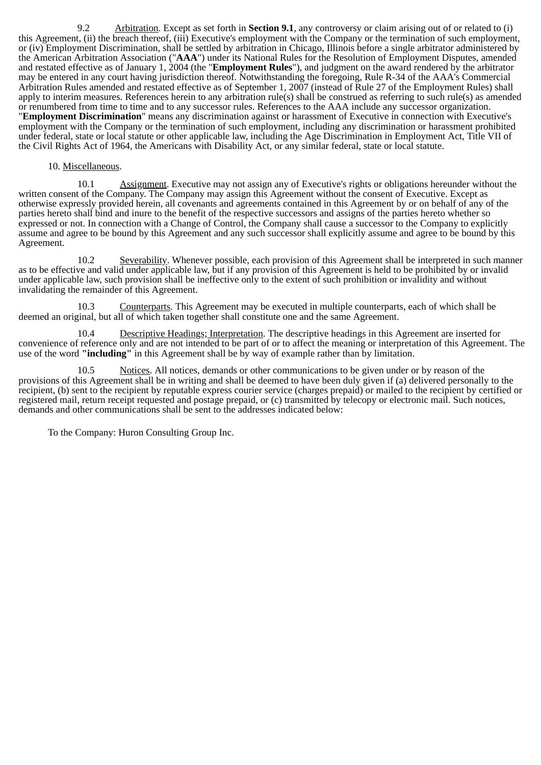9.2 Arbitration. Except as set forth in **Section 9.1**, any controversy or claim arising out of or related to (i) this Agreement, (ii) the breach thereof, (iii) Executive's employment with the Company or the termination of such employment, or (iv) Employment Discrimination, shall be settled by arbitration in Chicago, Illinois before a single arbitrator administered by the American Arbitration Association ("**AAA**") under its National Rules for the Resolution of Employment Disputes, amended and restated effective as of January 1, 2004 (the "**Employment Rules**"), and judgment on the award rendered by the arbitrator may be entered in any court having jurisdiction thereof. Notwithstanding the foregoing, Rule R-34 of the AAA's Commercial Arbitration Rules amended and restated effective as of September 1, 2007 (instead of Rule 27 of the Employment Rules) shall apply to interim measures. References herein to any arbitration rule(s) shall be construed as referring to such rule(s) as amended or renumbered from time to time and to any successor rules. References to the AAA include any successor organization. "**Employment Discrimination**" means any discrimination against or harassment of Executive in connection with Executive's employment with the Company or the termination of such employment, including any discrimination or harassment prohibited under federal, state or local statute or other applicable law, including the Age Discrimination in Employment Act, Title VII of the Civil Rights Act of 1964, the Americans with Disability Act, or any similar federal, state or local statute.

## 10. Miscellaneous.

10.1 Assignment. Executive may not assign any of Executive's rights or obligations hereunder without the written consent of the Company. The Company may assign this Agreement without the consent of Executive. Except as otherwise expressly provided herein, all covenants and agreements contained in this Agreement by or on behalf of any of the parties hereto shall bind and inure to the benefit of the respective successors and assigns of the parties hereto whether so expressed or not. In connection with a Change of Control, the Company shall cause a successor to the Company to explicitly assume and agree to be bound by this Agreement and any such successor shall explicitly assume and agree to be bound by this Agreement.

10.2 Severability. Whenever possible, each provision of this Agreement shall be interpreted in such manner as to be effective and valid under applicable law, but if any provision of this Agreement is held to be prohibited by or invalid under applicable law, such provision shall be ineffective only to the extent of such prohibition or invalidity and without invalidating the remainder of this Agreement.

10.3 Counterparts. This Agreement may be executed in multiple counterparts, each of which shall be deemed an original, but all of which taken together shall constitute one and the same Agreement.

10.4 Descriptive Headings; Interpretation. The descriptive headings in this Agreement are inserted for convenience of reference only and are not intended to be part of or to affect the meaning or interpretation of this Agreement. The use of the word "**including**" in this Agreement shall be by way of example rather than by limitation.

10.5 Notices. All notices, demands or other communications to be given under or by reason of the provisions of this Agreement shall be in writing and shall be deemed to have been duly given if (a) delivered personally to the recipient, (b) sent to the recipient by reputable express courier service (charges prepaid) or mailed to the recipient by certified or registered mail, return receipt requested and postage prepaid, or (c) transmitted by telecopy or electronic mail. Such notices, demands and other communications shall be sent to the addresses indicated below:

To the Company: Huron Consulting Group Inc.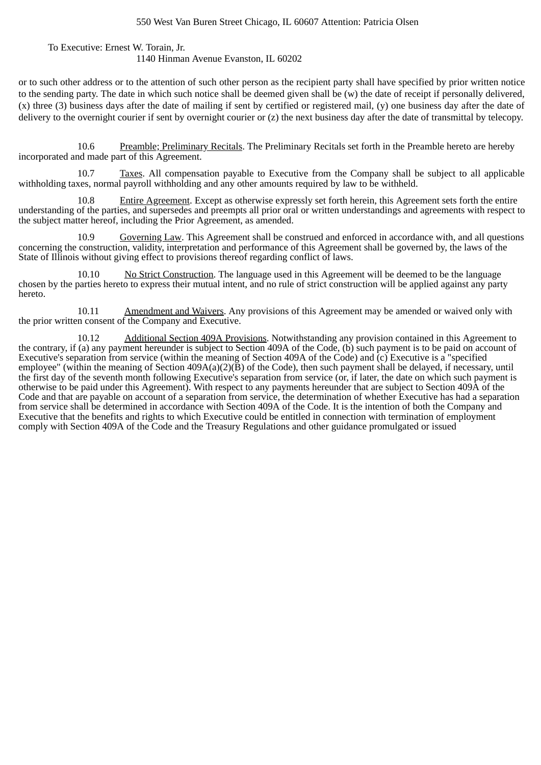To Executive: Ernest W. Torain, Jr.

1140 Hinman Avenue Evanston, IL 60202

or to such other address or to the attention of such other person as the recipient party shall have specified by prior written notice to the sending party. The date in which such notice shall be deemed given shall be  $(w)$  the date of receipt if personally delivered, (x) three (3) business days after the date of mailing if sent by certified or registered mail, (y) one business day after the date of delivery to the overnight courier if sent by overnight courier or (z) the next business day after the date of transmittal by telecopy.

10.6 Preamble; Preliminary Recitals. The Preliminary Recitals set forth in the Preamble hereto are hereby incorporated and made part of this Agreement.

10.7 Taxes. All compensation payable to Executive from the Company shall be subject to all applicable withholding taxes, normal payroll withholding and any other amounts required by law to be withheld.

10.8 Entire Agreement. Except as otherwise expressly set forth herein, this Agreement sets forth the entire understanding of the parties, and supersedes and preempts all prior oral or written understandings and agreements with respect to the subject matter hereof, including the Prior Agreement, as amended.

10.9 Governing Law. This Agreement shall be construed and enforced in accordance with, and all questions concerning the construction, validity, interpretation and performance of this Agreement shall be governed by, the laws of the State of Illinois without giving effect to provisions thereof regarding conflict of laws.

10.10 No Strict Construction. The language used in this Agreement will be deemed to be the language chosen by the parties hereto to express their mutual intent, and no rule of strict construction will be applied against any party hereto.

10.11 Amendment and Waivers. Any provisions of this Agreement may be amended or waived only with the prior written consent of the Company and Executive.

10.12 Additional Section 409A Provisions. Notwithstanding any provision contained in this Agreement to the contrary, if (a) any payment hereunder is subject to Section 409A of the Code, (b) such payment is to be paid on account of Executive's separation from service (within the meaning of Section 409A of the Code) and (c) Executive is a "specified employee" (within the meaning of Section 409A(a)(2)(B) of the Code), then such payment shall be delayed, if necessary, until the first day of the seventh month following Executive's separation from service (or, if later, the date on which such payment is otherwise to be paid under this Agreement). With respect to any payments hereunder that are subject to Section 409A of the Code and that are payable on account of a separation from service, the determination of whether Executive has had a separation from service shall be determined in accordance with Section 409A of the Code. It is the intention of both the Company and Executive that the benefits and rights to which Executive could be entitled in connection with termination of employment comply with Section 409A of the Code and the Treasury Regulations and other guidance promulgated or issued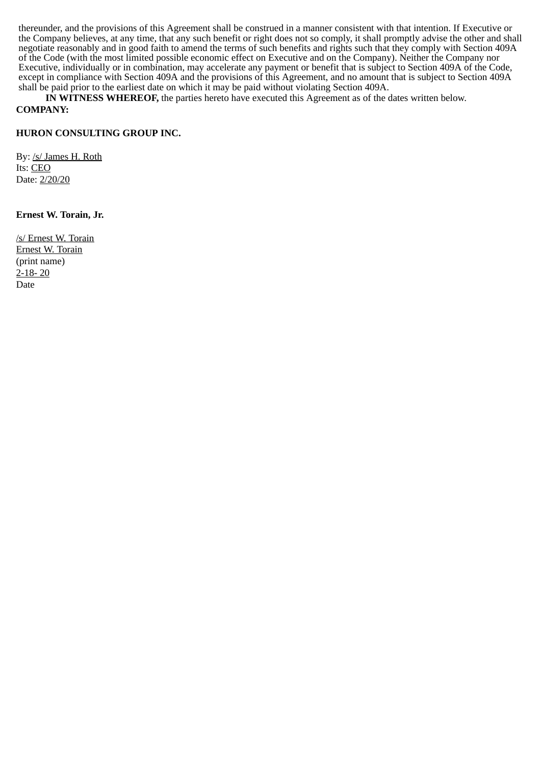thereunder, and the provisions of this Agreement shall be construed in a manner consistent with that intention. If Executive or the Company believes, at any time, that any such benefit or right does not so comply, it shall promptly advise the other and shall negotiate reasonably and in good faith to amend the terms of such benefits and rights such that they comply with Section 409A of the Code (with the most limited possible economic effect on Executive and on the Company). Neither the Company nor Executive, individually or in combination, may accelerate any payment or benefit that is subject to Section 409A of the Code, except in compliance with Section 409A and the provisions of this Agreement, and no amount that is subject to Section 409A shall be paid prior to the earliest date on which it may be paid without violating Section 409A.

**IN WITNESS WHEREOF,** the parties hereto have executed this Agreement as of the dates written below. **COMPANY:**

# **HURON CONSULTING GROUP INC.**

By: /s/ James H. Roth Its: CEO Date: 2/20/20

# **Ernest W. Torain, Jr.**

/s/ Ernest W. Torain Ernest W. Torain (print name) 2-18- 20 Date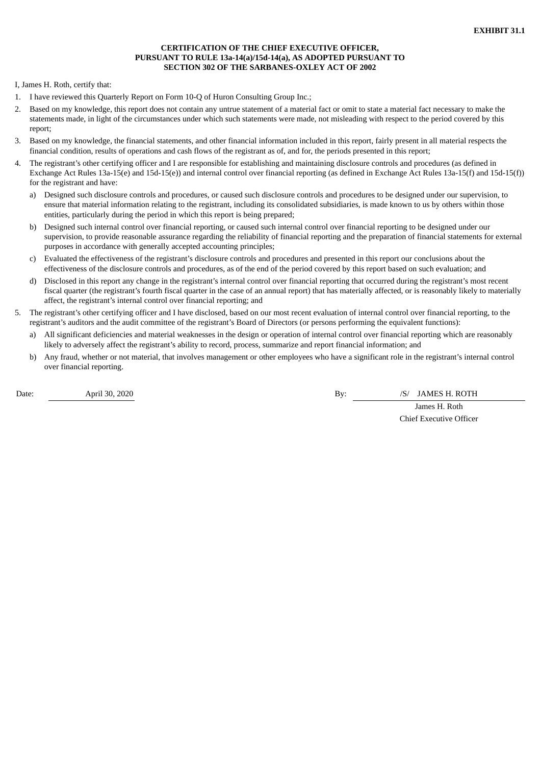## **CERTIFICATION OF THE CHIEF EXECUTIVE OFFICER, PURSUANT TO RULE 13a-14(a)/15d-14(a), AS ADOPTED PURSUANT TO SECTION 302 OF THE SARBANES-OXLEY ACT OF 2002**

<span id="page-58-0"></span>I, James H. Roth, certify that:

- 1. I have reviewed this Quarterly Report on Form 10-Q of Huron Consulting Group Inc.;
- 2. Based on my knowledge, this report does not contain any untrue statement of a material fact or omit to state a material fact necessary to make the statements made, in light of the circumstances under which such statements were made, not misleading with respect to the period covered by this report;
- 3. Based on my knowledge, the financial statements, and other financial information included in this report, fairly present in all material respects the financial condition, results of operations and cash flows of the registrant as of, and for, the periods presented in this report;
- 4. The registrant's other certifying officer and I are responsible for establishing and maintaining disclosure controls and procedures (as defined in Exchange Act Rules 13a-15(e) and 15d-15(e)) and internal control over financial reporting (as defined in Exchange Act Rules 13a-15(f) and 15d-15(f)) for the registrant and have:
	- a) Designed such disclosure controls and procedures, or caused such disclosure controls and procedures to be designed under our supervision, to ensure that material information relating to the registrant, including its consolidated subsidiaries, is made known to us by others within those entities, particularly during the period in which this report is being prepared;
	- b) Designed such internal control over financial reporting, or caused such internal control over financial reporting to be designed under our supervision, to provide reasonable assurance regarding the reliability of financial reporting and the preparation of financial statements for external purposes in accordance with generally accepted accounting principles;
	- c) Evaluated the effectiveness of the registrant's disclosure controls and procedures and presented in this report our conclusions about the effectiveness of the disclosure controls and procedures, as of the end of the period covered by this report based on such evaluation; and
	- d) Disclosed in this report any change in the registrant's internal control over financial reporting that occurred during the registrant's most recent fiscal quarter (the registrant's fourth fiscal quarter in the case of an annual report) that has materially affected, or is reasonably likely to materially affect, the registrant's internal control over financial reporting; and
- 5. The registrant's other certifying officer and I have disclosed, based on our most recent evaluation of internal control over financial reporting, to the registrant's auditors and the audit committee of the registrant's Board of Directors (or persons performing the equivalent functions):
	- a) All significant deficiencies and material weaknesses in the design or operation of internal control over financial reporting which are reasonably likely to adversely affect the registrant's ability to record, process, summarize and report financial information; and
	- b) Any fraud, whether or not material, that involves management or other employees who have a significant role in the registrant's internal control over financial reporting.

Date: April 30, 2020 April 30, 2020 By: /S/ JAMES H. ROTH

James H. Roth Chief Executive Officer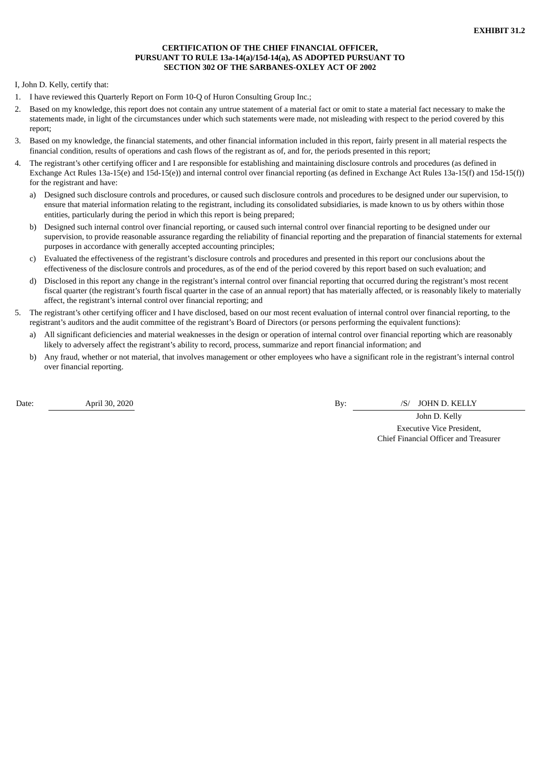## **CERTIFICATION OF THE CHIEF FINANCIAL OFFICER, PURSUANT TO RULE 13a-14(a)/15d-14(a), AS ADOPTED PURSUANT TO SECTION 302 OF THE SARBANES-OXLEY ACT OF 2002**

<span id="page-59-0"></span>I, John D. Kelly, certify that:

- 1. I have reviewed this Quarterly Report on Form 10-Q of Huron Consulting Group Inc.;
- 2. Based on my knowledge, this report does not contain any untrue statement of a material fact or omit to state a material fact necessary to make the statements made, in light of the circumstances under which such statements were made, not misleading with respect to the period covered by this report;
- 3. Based on my knowledge, the financial statements, and other financial information included in this report, fairly present in all material respects the financial condition, results of operations and cash flows of the registrant as of, and for, the periods presented in this report;
- 4. The registrant's other certifying officer and I are responsible for establishing and maintaining disclosure controls and procedures (as defined in Exchange Act Rules 13a-15(e) and 15d-15(e)) and internal control over financial reporting (as defined in Exchange Act Rules 13a-15(f) and 15d-15(f)) for the registrant and have:
	- a) Designed such disclosure controls and procedures, or caused such disclosure controls and procedures to be designed under our supervision, to ensure that material information relating to the registrant, including its consolidated subsidiaries, is made known to us by others within those entities, particularly during the period in which this report is being prepared;
	- b) Designed such internal control over financial reporting, or caused such internal control over financial reporting to be designed under our supervision, to provide reasonable assurance regarding the reliability of financial reporting and the preparation of financial statements for external purposes in accordance with generally accepted accounting principles;
	- c) Evaluated the effectiveness of the registrant's disclosure controls and procedures and presented in this report our conclusions about the effectiveness of the disclosure controls and procedures, as of the end of the period covered by this report based on such evaluation; and
	- d) Disclosed in this report any change in the registrant's internal control over financial reporting that occurred during the registrant's most recent fiscal quarter (the registrant's fourth fiscal quarter in the case of an annual report) that has materially affected, or is reasonably likely to materially affect, the registrant's internal control over financial reporting; and
- 5. The registrant's other certifying officer and I have disclosed, based on our most recent evaluation of internal control over financial reporting, to the registrant's auditors and the audit committee of the registrant's Board of Directors (or persons performing the equivalent functions):
	- a) All significant deficiencies and material weaknesses in the design or operation of internal control over financial reporting which are reasonably likely to adversely affect the registrant's ability to record, process, summarize and report financial information; and
	- b) Any fraud, whether or not material, that involves management or other employees who have a significant role in the registrant's internal control over financial reporting.

Date: April 30, 2020 April 30, 2020 By: /S/ JOHN D. KELLY

John D. Kelly Executive Vice President, Chief Financial Officer and Treasurer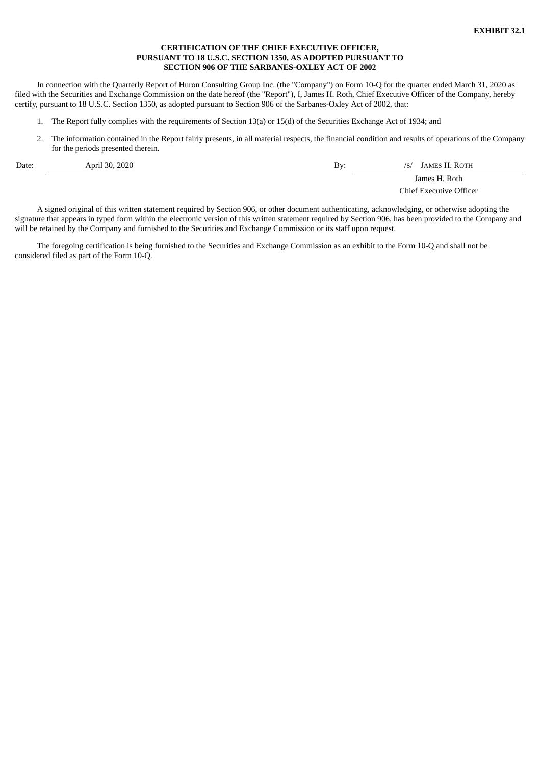## **CERTIFICATION OF THE CHIEF EXECUTIVE OFFICER, PURSUANT TO 18 U.S.C. SECTION 1350, AS ADOPTED PURSUANT TO SECTION 906 OF THE SARBANES-OXLEY ACT OF 2002**

<span id="page-60-0"></span>In connection with the Quarterly Report of Huron Consulting Group Inc. (the "Company") on Form 10-Q for the quarter ended March 31, 2020 as filed with the Securities and Exchange Commission on the date hereof (the "Report"), I, James H. Roth, Chief Executive Officer of the Company, hereby certify, pursuant to 18 U.S.C. Section 1350, as adopted pursuant to Section 906 of the Sarbanes-Oxley Act of 2002, that:

- 1. The Report fully complies with the requirements of Section 13(a) or 15(d) of the Securities Exchange Act of 1934; and
- 2. The information contained in the Report fairly presents, in all material respects, the financial condition and results of operations of the Company for the periods presented therein.

Date: April 30, 2020 April 30, 2020 By: /S/ JAMES H. ROTH

James H. Roth

Chief Executive Officer

A signed original of this written statement required by Section 906, or other document authenticating, acknowledging, or otherwise adopting the signature that appears in typed form within the electronic version of this written statement required by Section 906, has been provided to the Company and will be retained by the Company and furnished to the Securities and Exchange Commission or its staff upon request.

The foregoing certification is being furnished to the Securities and Exchange Commission as an exhibit to the Form 10-Q and shall not be considered filed as part of the Form 10-Q.